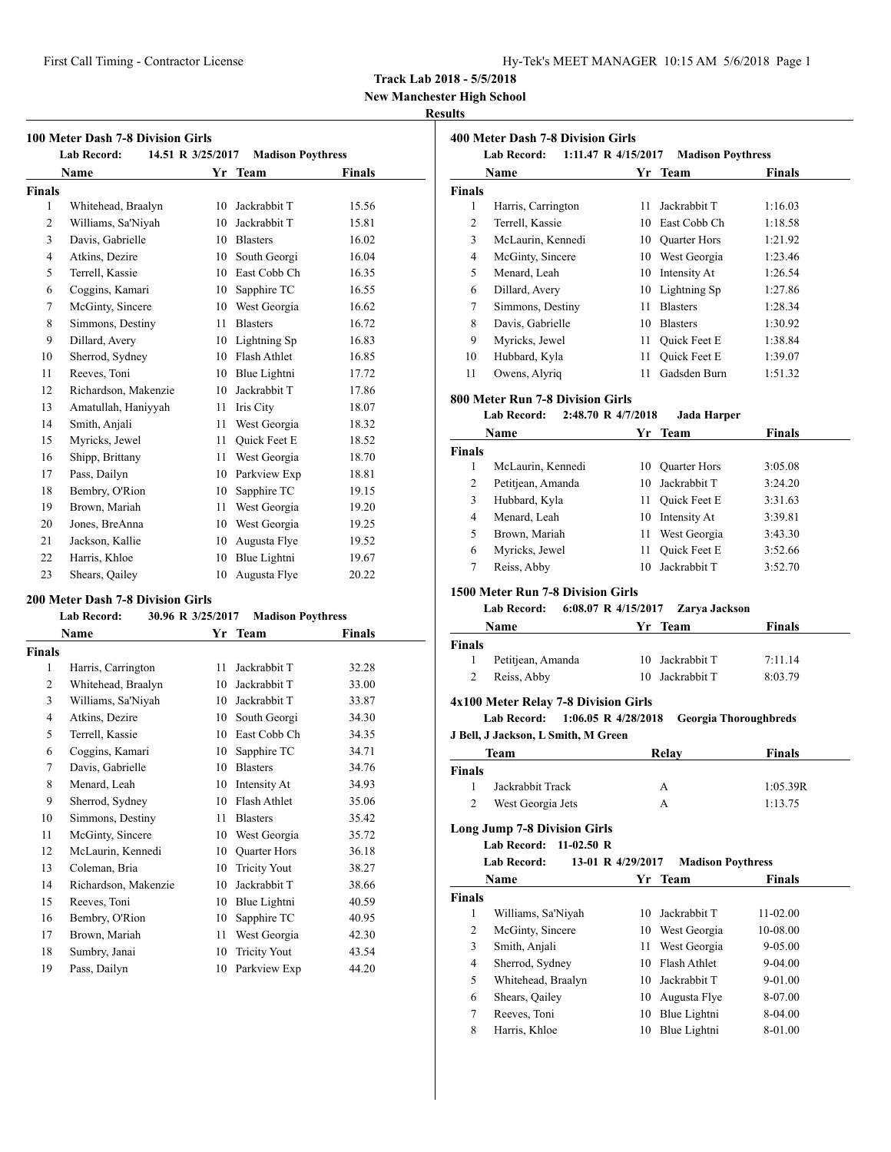| Hy-Tek's MEET MANAGER 10:15 AM 5/6/2018 Page 1 |  |  |  |
|------------------------------------------------|--|--|--|
|------------------------------------------------|--|--|--|

**New Manchester High School**

#### **Results**

|                | <b>100 Meter Dash 7-8 Division Girls</b> |    |                          |               |
|----------------|------------------------------------------|----|--------------------------|---------------|
|                | 14.51 R 3/25/2017<br><b>Lab Record:</b>  |    | <b>Madison Poythress</b> |               |
|                | Name                                     | Yr | <b>Team</b>              | <b>Finals</b> |
| <b>Finals</b>  |                                          |    |                          |               |
| 1              | Whitehead, Braalyn                       | 10 | Jackrabbit T             | 15.56         |
| 2              | Williams, Sa'Niyah                       | 10 | Jackrabbit T             | 15.81         |
| 3              | Davis, Gabrielle                         | 10 | <b>Blasters</b>          | 16.02         |
| $\overline{4}$ | Atkins, Dezire                           | 10 | South Georgi             | 16.04         |
| 5              | Terrell, Kassie                          | 10 | East Cobb Ch             | 16.35         |
| 6              | Coggins, Kamari                          | 10 | Sapphire TC              | 16.55         |
| 7              | McGinty, Sincere                         | 10 | West Georgia             | 16.62         |
| 8              | Simmons, Destiny                         | 11 | <b>Blasters</b>          | 16.72         |
| 9              | Dillard, Avery                           | 10 | Lightning Sp             | 16.83         |
| 10             | Sherrod, Sydney                          | 10 | Flash Athlet             | 16.85         |
| 11             | Reeves, Toni                             | 10 | Blue Lightni             | 17.72         |
| 12             | Richardson, Makenzie                     | 10 | Jackrabbit T             | 17.86         |
| 13             | Amatullah, Haniyyah                      | 11 | Iris City                | 18.07         |
| 14             | Smith, Anjali                            | 11 | West Georgia             | 18.32         |
| 15             | Myricks, Jewel                           | 11 | <b>Ouick Feet E</b>      | 18.52         |
| 16             | Shipp, Brittany                          | 11 | West Georgia             | 18.70         |
| 17             | Pass, Dailyn                             | 10 | Parkview Exp             | 18.81         |
| 18             | Bembry, O'Rion                           | 10 | Sapphire TC              | 19.15         |
| 19             | Brown, Mariah                            | 11 | West Georgia             | 19.20         |
| 20             | Jones, BreAnna                           | 10 | West Georgia             | 19.25         |
| 21             | Jackson, Kallie                          | 10 | Augusta Flye             | 19.52         |
| 22             | Harris, Khloe                            | 10 | Blue Lightni             | 19.67         |
| 23             | Shears, Qailey                           | 10 | Augusta Flye             | 20.22         |

#### **200 Meter Dash 7-8 Division Girls**

| Lab Record: | 30.96 R 3/25/2017 | <b>Madison Poythress</b> |
|-------------|-------------------|--------------------------|
|             |                   |                          |

|                | Name                 | Yr | <b>Team</b>         | Finals |
|----------------|----------------------|----|---------------------|--------|
| <b>Finals</b>  |                      |    |                     |        |
| 1              | Harris, Carrington   | 11 | Jackrabbit T        | 32.28  |
| $\overline{2}$ | Whitehead, Braalyn   | 10 | Jackrabbit T        | 33.00  |
| 3              | Williams, Sa'Niyah   | 10 | Jackrabbit T        | 33.87  |
| $\overline{4}$ | Atkins, Dezire       | 10 | South Georgi        | 34.30  |
| 5              | Terrell, Kassie      | 10 | East Cobb Ch        | 34.35  |
| 6              | Coggins, Kamari      | 10 | Sapphire TC         | 34.71  |
| 7              | Davis, Gabrielle     | 10 | <b>Blasters</b>     | 34.76  |
| 8              | Menard, Leah         | 10 | Intensity At        | 34.93  |
| 9              | Sherrod, Sydney      | 10 | Flash Athlet        | 35.06  |
| 10             | Simmons, Destiny     | 11 | <b>Blasters</b>     | 35.42  |
| 11             | McGinty, Sincere     | 10 | West Georgia        | 35.72  |
| 12             | McLaurin, Kennedi    | 10 | <b>Quarter Hors</b> | 36.18  |
| 13             | Coleman, Bria        | 10 | <b>Tricity Yout</b> | 38.27  |
| 14             | Richardson, Makenzie | 10 | Jackrabbit T        | 38.66  |
| 15             | Reeves, Toni         | 10 | Blue Lightni        | 40.59  |
| 16             | Bembry, O'Rion       | 10 | Sapphire TC         | 40.95  |
| 17             | Brown, Mariah        | 11 | West Georgia        | 42.30  |
| 18             | Sumbry, Janai        | 10 | <b>Tricity Yout</b> | 43.54  |
| 19             | Pass, Dailyn         | 10 | Parkview Exp        | 44.20  |

|               | 400 Meter Dash 7-8 Division Girls<br><b>Lab Record:</b> | 1:11.47 R 4/15/2017   | <b>Madison Poythress</b> |                              |
|---------------|---------------------------------------------------------|-----------------------|--------------------------|------------------------------|
|               | Name                                                    |                       | Yr Team                  | Finals                       |
| <b>Finals</b> |                                                         |                       |                          |                              |
| 1             | Harris, Carrington                                      | 11                    | Jackrabbit T             | 1:16.03                      |
| 2             | Terrell, Kassie                                         |                       | 10 East Cobb Ch          | 1:18.58                      |
| 3             | McLaurin, Kennedi                                       |                       | 10 Quarter Hors          | 1:21.92                      |
| 4             | McGinty, Sincere                                        |                       | 10 West Georgia          | 1:23.46                      |
| 5             | Menard, Leah                                            |                       | 10 Intensity At          | 1:26.54                      |
| 6             | Dillard, Avery                                          |                       | 10 Lightning Sp          | 1:27.86                      |
| 7             | Simmons, Destiny                                        | 11 -                  | <b>Blasters</b>          | 1:28.34                      |
| 8             | Davis, Gabrielle                                        |                       | 10 Blasters              | 1:30.92                      |
| 9             | Myricks, Jewel                                          |                       | 11 Quick Feet E          | 1:38.84                      |
| 10            | Hubbard, Kyla                                           | 11 -                  | Quick Feet E             | 1:39.07                      |
| 11            | Owens, Alyriq                                           | 11                    | Gadsden Burn             | 1:51.32                      |
|               |                                                         |                       |                          |                              |
|               | 800 Meter Run 7-8 Division Girls                        |                       |                          |                              |
|               | <b>Lab Record:</b>                                      | 2:48.70 R 4/7/2018    | <b>Jada Harper</b>       |                              |
|               | Name                                                    | Yr                    | <b>Team</b>              | <b>Finals</b>                |
| <b>Finals</b> |                                                         |                       |                          |                              |
| 1             | McLaurin, Kennedi                                       |                       | 10 Quarter Hors          | 3:05.08                      |
| 2             | Petitjean, Amanda                                       |                       | 10 Jackrabbit T          | 3:24.20                      |
| 3             | Hubbard, Kyla                                           |                       | 11 Quick Feet E          | 3:31.63                      |
| 4             | Menard, Leah                                            |                       | 10 Intensity At          | 3:39.81                      |
| 5             | Brown, Mariah                                           |                       | 11 West Georgia          | 3:43.30                      |
| 6             | Myricks, Jewel                                          | 11 -                  | Quick Feet E             | 3:52.66                      |
| 7             | Reiss, Abby                                             |                       | 10 Jackrabbit T          | 3:52.70                      |
|               | 1500 Meter Run 7-8 Division Girls                       |                       |                          |                              |
|               | Lab Record:                                             | 6:08.07 R $4/15/2017$ | Zarya Jackson            |                              |
|               | Name                                                    | Yr                    | <b>Team</b>              | Finals                       |
| <b>Finals</b> |                                                         |                       |                          |                              |
| 1             | Petitjean, Amanda                                       |                       | 10 Jackrabbit T          | 7:11.14                      |
| 2             | Reiss, Abby                                             |                       | 10 Jackrabbit T          | 8:03.79                      |
|               | 4x100 Meter Relay 7-8 Division Girls                    |                       |                          |                              |
|               | <b>Lab Record:</b>                                      | 1:06.05 R 4/28/2018   |                          | <b>Georgia Thoroughbreds</b> |
|               | J Bell, J Jackson, L Smith, M Green                     |                       |                          |                              |
|               | <b>Team</b>                                             |                       | Relay                    | <b>Finals</b>                |
| Finals        |                                                         |                       |                          |                              |
| 1             | Jackrabbit Track                                        |                       | А                        | 1:05.39R                     |
| 2             | West Georgia Jets                                       |                       | А                        | 1:13.75                      |
|               |                                                         |                       |                          |                              |
|               | <b>Long Jump 7-8 Division Girls</b>                     |                       |                          |                              |
|               | <b>Lab Record:</b><br>$11-02.50 R$                      |                       |                          |                              |
|               | <b>Lab Record:</b>                                      | 13-01 R 4/29/2017     | <b>Madison Poythress</b> |                              |
|               | Name                                                    |                       | Yr Team                  | <b>Finals</b>                |
| Finals        |                                                         |                       |                          |                              |
| 1             | Williams, Sa'Niyah                                      | 10                    | Jackrabbit T             | 11-02.00                     |
| 2             | McGinty, Sincere                                        |                       | 10 West Georgia          | 10-08.00                     |
| 3             | Smith, Anjali                                           | 11                    | West Georgia             | 9-05.00                      |
| 4             | Sherrod, Sydney                                         | 10                    | Flash Athlet             | 9-04.00                      |
| 5             | Whitehead, Braalyn                                      | 10                    | Jackrabbit T             | 9-01.00                      |
| 6             | Shears, Qailey                                          | 10                    | Augusta Flye             | 8-07.00                      |
| 7             | Reeves, Toni                                            | 10                    | Blue Lightni             | 8-04.00                      |
| 8             | Harris, Khloe                                           | 10                    | Blue Lightni             | 8-01.00                      |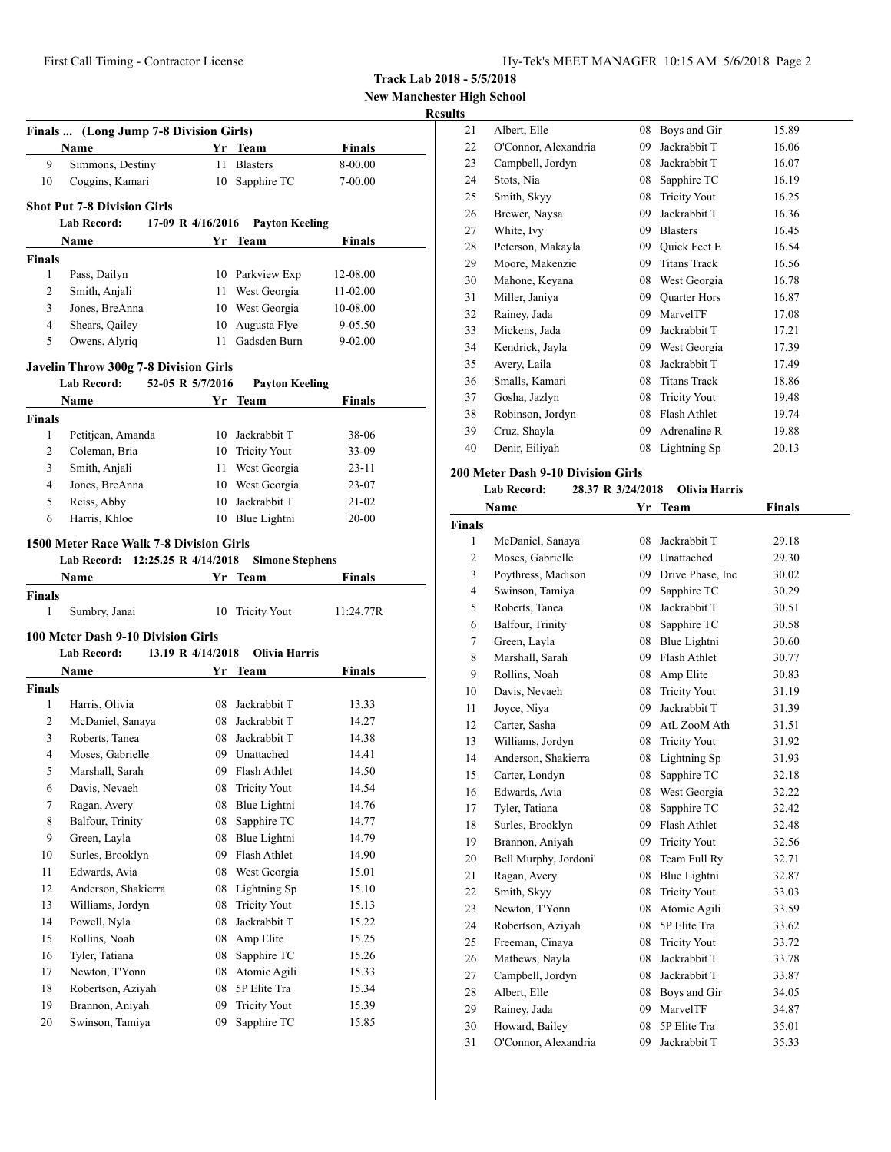**New Manchester High School**

#### **Results**

|                                     | Finals  (Long Jump 7-8 Division Girls)<br>Name                                     |                   | Yr Team                | <b>Finals</b> |
|-------------------------------------|------------------------------------------------------------------------------------|-------------------|------------------------|---------------|
| 9                                   | Simmons, Destiny                                                                   | 11                | <b>Blasters</b>        | 8-00.00       |
| 10                                  | Coggins, Kamari                                                                    |                   | 10 Sapphire TC         | 7-00.00       |
|                                     |                                                                                    |                   |                        |               |
|                                     | <b>Shot Put 7-8 Division Girls</b><br>Lab Record: 17-09 R 4/16/2016 Payton Keeling |                   |                        |               |
|                                     | Name                                                                               | Yr.               |                        | Finals        |
| <b>Finals</b>                       |                                                                                    |                   | Team                   |               |
| 1                                   | Pass, Dailyn                                                                       |                   | 10 Parkview Exp        | 12-08.00      |
| 2                                   | Smith, Anjali                                                                      |                   | 11 West Georgia        | 11-02.00      |
| 3                                   | Jones, BreAnna                                                                     |                   | 10 West Georgia        | 10-08.00      |
| 4                                   | Shears, Qailey                                                                     | 10                | Augusta Flye           | 9-05.50       |
| 5                                   | Owens, Alyriq                                                                      |                   | 11 Gadsden Burn        | 9-02.00       |
|                                     | <b>Javelin Throw 300g 7-8 Division Girls</b>                                       |                   |                        |               |
|                                     | Lab Record: 52-05 R 5/7/2016                                                       |                   | <b>Payton Keeling</b>  |               |
|                                     | Name                                                                               |                   | Yr Team                | Finals        |
| <b>Finals</b>                       |                                                                                    |                   |                        |               |
| 1                                   | Petitjean, Amanda                                                                  |                   | 10 Jackrabbit T        | 38-06         |
| 2                                   | Coleman, Bria                                                                      |                   | 10 Tricity Yout        | 33-09         |
| 3                                   | Smith, Anjali                                                                      |                   | 11 West Georgia        | $23-11$       |
| 4                                   | Jones, BreAnna                                                                     |                   | 10 West Georgia        | 23-07         |
| 5                                   | Reiss, Abby                                                                        | 10                | Jackrabbit T           | $21 - 02$     |
| 6                                   | Harris, Khloe                                                                      |                   | 10 Blue Lightni        | 20-00         |
|                                     |                                                                                    |                   |                        |               |
|                                     | 1500 Meter Race Walk 7-8 Division Girls                                            |                   |                        |               |
|                                     | Lab Record: 12:25.25 R 4/14/2018                                                   |                   | <b>Simone Stephens</b> |               |
|                                     | <b>Name</b>                                                                        |                   | Yr Team                | <b>Finals</b> |
|                                     |                                                                                    |                   |                        |               |
| 1                                   | Sumbry, Janai                                                                      |                   | 10 Tricity Yout        | 11:24.77R     |
|                                     | 100 Meter Dash 9-10 Division Girls                                                 |                   |                        |               |
|                                     | <b>Lab Record:</b>                                                                 | 13.19 R 4/14/2018 | Olivia Harris          |               |
|                                     | Name                                                                               |                   | Yr Team                | Finals        |
|                                     |                                                                                    |                   |                        |               |
| 1                                   | Harris, Olivia                                                                     |                   | 08 Jackrabbit T        | 13.33         |
| 2                                   | McDaniel, Sanaya                                                                   |                   | 08 Jackrabbit T        | 14.27         |
| 3                                   | Roberts, Tanea                                                                     | 08                | Jackrabbit T           | 14.38         |
| 4                                   | Moses, Gabrielle                                                                   |                   | 09 Unattached          | 14.41         |
| 5                                   | Marshall, Sarah                                                                    | 09                | Flash Athlet           | 14.50         |
| <b>Finals</b><br><b>Finals</b><br>6 | Davis, Nevaeh                                                                      | 08                | <b>Tricity Yout</b>    | 14.54         |
| 7                                   | Ragan, Avery                                                                       | 08                | Blue Lightni           | 14.76         |
| 8                                   | Balfour, Trinity                                                                   | 08                | Sapphire TC            | 14.77         |
| 9                                   | Green, Layla                                                                       | 08                | Blue Lightni           | 14.79         |
| 10                                  | Surles, Brooklyn                                                                   | 09                | Flash Athlet           | 14.90         |
| 11                                  | Edwards, Avia                                                                      | 08                | West Georgia           | 15.01         |
| 12                                  | Anderson, Shakierra                                                                | 08                | Lightning Sp           | 15.10         |
| 13                                  | Williams, Jordyn                                                                   | 08                | <b>Tricity Yout</b>    | 15.13         |
| 14                                  | Powell, Nyla                                                                       | 08                | Jackrabbit T           | 15.22         |
| 15                                  | Rollins, Noah                                                                      | 08                | Amp Elite              | 15.25         |
| 16                                  | Tyler, Tatiana                                                                     | 08                | Sapphire TC            | 15.26         |
| 17                                  | Newton, T'Yonn                                                                     | 08                | Atomic Agili           | 15.33         |
| 18                                  | Robertson, Aziyah                                                                  | 08                | 5P Elite Tra           | 15.34         |
| 19                                  | Brannon, Aniyah                                                                    | 09                | <b>Tricity Yout</b>    | 15.39         |

| ,  |                      |    |                     |       |
|----|----------------------|----|---------------------|-------|
| 21 | Albert, Elle         | 08 | Boys and Gir        | 15.89 |
| 22 | O'Connor, Alexandria | 09 | Jackrabbit T        | 16.06 |
| 23 | Campbell, Jordyn     | 08 | Jackrabbit T        | 16.07 |
| 24 | Stots, Nia           | 08 | Sapphire TC         | 16.19 |
| 25 | Smith, Skyy          | 08 | <b>Tricity Yout</b> | 16.25 |
| 26 | Brewer, Naysa        | 09 | Jackrabbit T        | 16.36 |
| 27 | White, Ivy           | 09 | <b>Blasters</b>     | 16.45 |
| 28 | Peterson, Makayla    | 09 | Quick Feet E        | 16.54 |
| 29 | Moore, Makenzie      | 09 | <b>Titans Track</b> | 16.56 |
| 30 | Mahone, Keyana       | 08 | West Georgia        | 16.78 |
| 31 | Miller, Janiya       | 09 | <b>Quarter Hors</b> | 16.87 |
| 32 | Rainey, Jada         | 09 | MarvelTF            | 17.08 |
| 33 | Mickens, Jada        | 09 | Jackrabbit T        | 17.21 |
| 34 | Kendrick, Jayla      | 09 | West Georgia        | 17.39 |
| 35 | Avery, Laila         | 08 | Jackrabbit T        | 17.49 |
| 36 | Smalls, Kamari       | 08 | <b>Titans Track</b> | 18.86 |
| 37 | Gosha, Jazlyn        | 08 | <b>Tricity Yout</b> | 19.48 |
| 38 | Robinson, Jordyn     | 08 | Flash Athlet        | 19.74 |
| 39 | Cruz, Shayla         | 09 | Adrenaline R        | 19.88 |
| 40 | Denir, Eiliyah       | 08 | Lightning Sp        | 20.13 |
|    |                      |    |                     |       |

## **200 Meter Dash 9-10 Division Girls**

#### **Lab Record: 28.37 R 3/24/2018 Olivia Harris**

|                | Name                  | Yr | <b>Team</b>         | <b>Finals</b> |  |
|----------------|-----------------------|----|---------------------|---------------|--|
| <b>Finals</b>  |                       |    |                     |               |  |
| $\mathbf{1}$   | McDaniel, Sanaya      | 08 | Jackrabbit T        | 29.18         |  |
| $\overline{c}$ | Moses, Gabrielle      | 09 | Unattached          | 29.30         |  |
| 3              | Poythress, Madison    | 09 | Drive Phase, Inc    | 30.02         |  |
| $\overline{4}$ | Swinson, Tamiya       | 09 | Sapphire TC         | 30.29         |  |
| 5              | Roberts, Tanea        | 08 | Jackrabbit T        | 30.51         |  |
| 6              | Balfour, Trinity      | 08 | Sapphire TC         | 30.58         |  |
| 7              | Green, Layla          | 08 | Blue Lightni        | 30.60         |  |
| 8              | Marshall, Sarah       | 09 | Flash Athlet        | 30.77         |  |
| 9              | Rollins, Noah         | 08 | Amp Elite           | 30.83         |  |
| 10             | Davis, Nevaeh         | 08 | <b>Tricity Yout</b> | 31.19         |  |
| 11             | Joyce, Niya           | 09 | Jackrabbit T        | 31.39         |  |
| 12             | Carter, Sasha         | 09 | AtL ZooM Ath        | 31.51         |  |
| 13             | Williams, Jordyn      | 08 | <b>Tricity Yout</b> | 31.92         |  |
| 14             | Anderson, Shakierra   | 08 | Lightning Sp        | 31.93         |  |
| 15             | Carter, Londyn        | 08 | Sapphire TC         | 32.18         |  |
| 16             | Edwards, Avia         | 08 | West Georgia        | 32.22         |  |
| 17             | Tyler, Tatiana        | 08 | Sapphire TC         | 32.42         |  |
| 18             | Surles, Brooklyn      | 09 | Flash Athlet        | 32.48         |  |
| 19             | Brannon, Aniyah       | 09 | <b>Tricity Yout</b> | 32.56         |  |
| 20             | Bell Murphy, Jordoni' | 08 | Team Full Ry        | 32.71         |  |
| 21             | Ragan, Avery          | 08 | Blue Lightni        | 32.87         |  |
| 22             | Smith, Skyy           | 08 | <b>Tricity Yout</b> | 33.03         |  |
| 23             | Newton, T'Yonn        | 08 | Atomic Agili        | 33.59         |  |
| 24             | Robertson, Aziyah     | 08 | 5P Elite Tra        | 33.62         |  |
| 25             | Freeman, Cinaya       | 08 | <b>Tricity Yout</b> | 33.72         |  |
| 26             | Mathews, Nayla        | 08 | Jackrabbit T        | 33.78         |  |
| 27             | Campbell, Jordyn      | 08 | Jackrabbit T        | 33.87         |  |
| 28             | Albert, Elle          |    | 08 Boys and Gir     | 34.05         |  |
| 29             | Rainey, Jada          | 09 | MarvelTF            | 34.87         |  |
| 30             | Howard, Bailey        | 08 | 5P Elite Tra        | 35.01         |  |
| 31             | O'Connor, Alexandria  | 09 | Jackrabbit T        | 35.33         |  |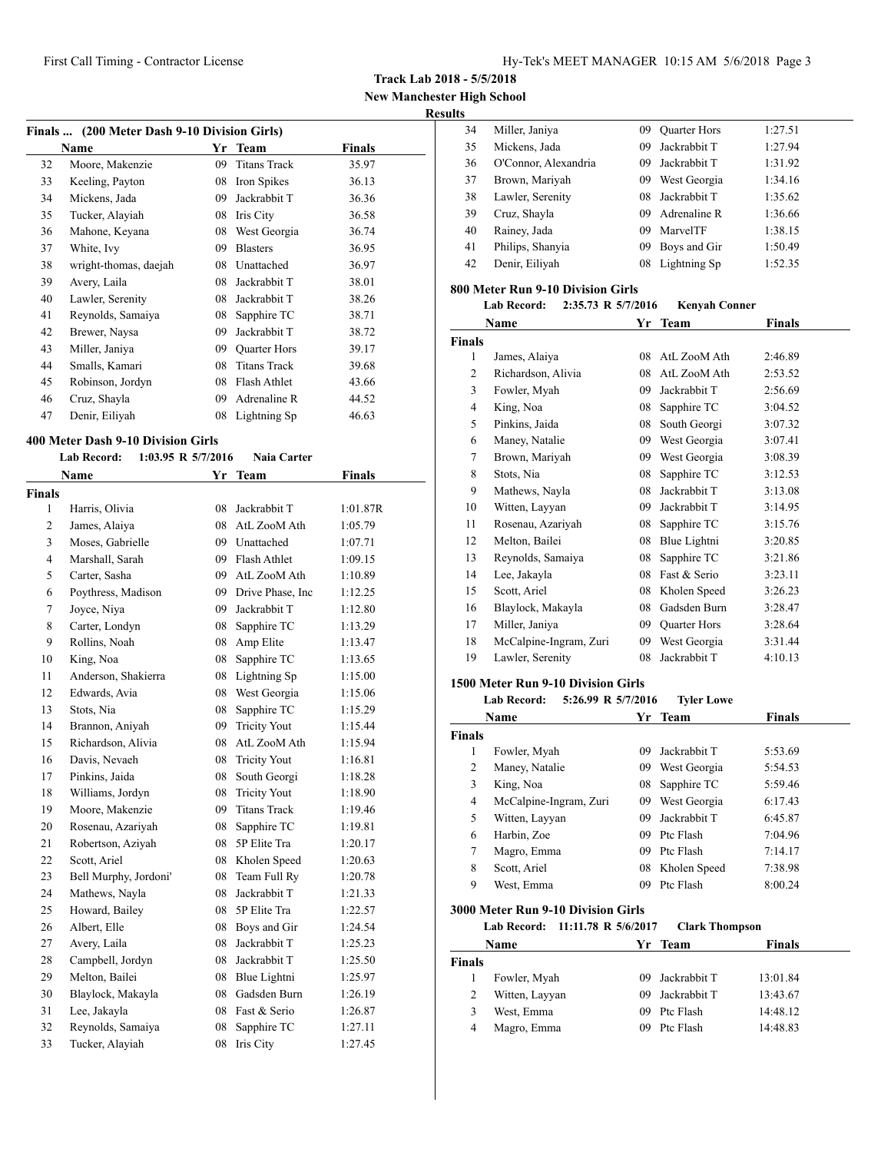**Track Lab 2018 - 5/5/2018**

**New Manchester High School**

#### **Results**

| Name                  | Yr | Team                | Finals                                       |  |
|-----------------------|----|---------------------|----------------------------------------------|--|
| Moore, Makenzie       | 09 | <b>Titans Track</b> | 35.97                                        |  |
| Keeling, Payton       | 08 | Iron Spikes         | 36.13                                        |  |
| Mickens, Jada         | 09 | Jackrabbit T        | 36.36                                        |  |
| Tucker, Alayiah       | 08 | Iris City           | 36.58                                        |  |
| Mahone, Keyana        | 08 | West Georgia        | 36.74                                        |  |
| White, Ivy            | 09 | <b>Blasters</b>     | 36.95                                        |  |
| wright-thomas, daejah | 08 | Unattached          | 36.97                                        |  |
| Avery, Laila          | 08 | Jackrabbit T        | 38.01                                        |  |
| Lawler, Serenity      | 08 | Jackrabbit T        | 38.26                                        |  |
| Reynolds, Samaiya     | 08 | Sapphire TC         | 38.71                                        |  |
| Brewer, Naysa         | 09 | Jackrabbit T        | 38.72                                        |  |
| Miller, Janiya        | 09 | <b>Quarter Hors</b> | 39.17                                        |  |
| Smalls, Kamari        | 08 | <b>Titans Track</b> | 39.68                                        |  |
| Robinson, Jordyn      | 08 | Flash Athlet        | 43.66                                        |  |
| Cruz, Shayla          | 09 | Adrenaline R        | 44.52                                        |  |
| Denir, Eiliyah        | 08 | Lightning Sp        | 46.63                                        |  |
|                       |    |                     | Finals  (200 Meter Dash 9-10 Division Girls) |  |

#### **400 Meter Dash 9-10 Division Girls**

|                | Lab Record:<br>$1:03.95$ R $5/7/2016$ |    | <b>Naia Carter</b>  |               |
|----------------|---------------------------------------|----|---------------------|---------------|
|                | <b>Name</b>                           | Yr | Team                | <b>Finals</b> |
| Finals         |                                       |    |                     |               |
| 1              | Harris, Olivia                        | 08 | Jackrabbit T        | 1:01.87R      |
| $\overline{c}$ | James, Alaiya                         | 08 | AtL ZooM Ath        | 1:05.79       |
| 3              | Moses, Gabrielle                      |    | 09 Unattached       | 1:07.71       |
| 4              | Marshall, Sarah                       | 09 | Flash Athlet        | 1:09.15       |
| 5              | Carter, Sasha                         | 09 | AtL ZooM Ath        | 1:10.89       |
| 6              | Poythress, Madison                    | 09 | Drive Phase, Inc.   | 1:12.25       |
| 7              | Joyce, Niya                           | 09 | Jackrabbit T        | 1:12.80       |
| 8              | Carter, Londyn                        | 08 | Sapphire TC         | 1:13.29       |
| 9              | Rollins, Noah                         | 08 | Amp Elite           | 1:13.47       |
| 10             | King, Noa                             | 08 | Sapphire TC         | 1:13.65       |
| 11             | Anderson, Shakierra                   | 08 | Lightning Sp        | 1:15.00       |
| 12             | Edwards, Avia                         | 08 | West Georgia        | 1:15.06       |
| 13             | Stots, Nia                            | 08 | Sapphire TC         | 1:15.29       |
| 14             | Brannon, Aniyah                       | 09 | <b>Tricity Yout</b> | 1:15.44       |
| 15             | Richardson, Alivia                    | 08 | AtL ZooM Ath        | 1:15.94       |
| 16             | Davis, Nevaeh                         | 08 | <b>Tricity Yout</b> | 1:16.81       |
| 17             | Pinkins, Jaida                        | 08 | South Georgi        | 1:18.28       |
| 18             | Williams, Jordyn                      | 08 | <b>Tricity Yout</b> | 1:18.90       |
| 19             | Moore, Makenzie                       | 09 | <b>Titans Track</b> | 1:19.46       |
| 20             | Rosenau, Azariyah                     | 08 | Sapphire TC         | 1:19.81       |
| 21             | Robertson, Aziyah                     | 08 | 5P Elite Tra        | 1:20.17       |
| 22             | Scott, Ariel                          | 08 | Kholen Speed        | 1:20.63       |
| 23             | Bell Murphy, Jordoni'                 | 08 | Team Full Ry        | 1:20.78       |
| 24             | Mathews, Nayla                        | 08 | Jackrabbit T        | 1:21.33       |
| 25             | Howard, Bailey                        | 08 | 5P Elite Tra        | 1:22.57       |
| 26             | Albert, Elle                          | 08 | Boys and Gir        | 1:24.54       |
| 27             | Avery, Laila                          | 08 | Jackrabbit T        | 1:25.23       |
| 28             | Campbell, Jordyn                      | 08 | Jackrabbit T        | 1:25.50       |
| 29             | Melton, Bailei                        | 08 | Blue Lightni        | 1:25.97       |
| 30             | Blaylock, Makayla                     | 08 | Gadsden Burn        | 1:26.19       |
| 31             | Lee, Jakayla                          | 08 | Fast & Serio        | 1:26.87       |
| 32             | Reynolds, Samaiya                     | 08 | Sapphire TC         | 1:27.11       |
| 33             | Tucker, Alayiah                       | 08 | Iris City           | 1:27.45       |

| ື |    |                      |     |                     |         |
|---|----|----------------------|-----|---------------------|---------|
|   | 34 | Miller, Janiya       | 09. | <b>Quarter Hors</b> | 1:27.51 |
|   | 35 | Mickens, Jada        | 09  | Jackrabbit T        | 1:27.94 |
|   | 36 | O'Connor, Alexandria | 09. | Jackrabbit T        | 1:31.92 |
|   | 37 | Brown, Mariyah       | 09  | West Georgia        | 1:34.16 |
|   | 38 | Lawler, Serenity     | 08  | Jackrabbit T        | 1:35.62 |
|   | 39 | Cruz, Shayla         | 09. | Adrenaline R        | 1:36.66 |
|   | 40 | Rainey, Jada         | 09. | MarvelTF            | 1:38.15 |
|   | 41 | Philips, Shanyia     | 09  | Boys and Gir        | 1:50.49 |
|   | 42 | Denir, Eiliyah       | 08  | Lightning Sp        | 1:52.35 |
|   |    |                      |     |                     |         |

## **800 Meter Run 9-10 Division Girls**

| Lab Record: |  | 2:35.73 R 5/7/2016 | Kenyah Conner |
|-------------|--|--------------------|---------------|
|-------------|--|--------------------|---------------|

|                | Name                   | Yr | <b>Team</b>         | Finals  |
|----------------|------------------------|----|---------------------|---------|
| <b>Finals</b>  |                        |    |                     |         |
| 1              | James, Alaiya          | 08 | AtL ZooM Ath        | 2:46.89 |
| 2              | Richardson, Alivia     | 08 | AtL ZooM Ath        | 2:53.52 |
| 3              | Fowler, Myah           | 09 | Jackrabbit T        | 2:56.69 |
| $\overline{4}$ | King, Noa              | 08 | Sapphire TC         | 3:04.52 |
| 5              | Pinkins, Jaida         | 08 | South Georgi        | 3:07.32 |
| 6              | Maney, Natalie         | 09 | West Georgia        | 3:07.41 |
| 7              | Brown, Mariyah         | 09 | West Georgia        | 3:08.39 |
| 8              | Stots, Nia             | 08 | Sapphire TC         | 3:12.53 |
| 9              | Mathews, Nayla         | 08 | Jackrabbit T        | 3:13.08 |
| 10             | Witten, Layyan         | 09 | Jackrabbit T        | 3:14.95 |
| 11             | Rosenau, Azariyah      | 08 | Sapphire TC         | 3:15.76 |
| 12             | Melton, Bailei         | 08 | Blue Lightni        | 3:20.85 |
| 13             | Reynolds, Samaiya      | 08 | Sapphire TC         | 3:21.86 |
| 14             | Lee, Jakayla           | 08 | Fast & Serio        | 3:23.11 |
| 15             | Scott, Ariel           | 08 | Kholen Speed        | 3:26.23 |
| 16             | Blaylock, Makayla      | 08 | Gadsden Burn        | 3:28.47 |
| 17             | Miller, Janiya         | 09 | <b>Quarter Hors</b> | 3:28.64 |
| 18             | McCalpine-Ingram, Zuri | 09 | West Georgia        | 3:31.44 |
| 19             | Lawler, Serenity       | 08 | Jackrabbit T        | 4:10.13 |

### **1500 Meter Run 9-10 Division Girls**

#### **Lab Record: 5:26.99 R 5/7/2016 Tyler Lowe**

|               | Name                   |    | Yr Team      | <b>Finals</b> |
|---------------|------------------------|----|--------------|---------------|
| <b>Finals</b> |                        |    |              |               |
| 1             | Fowler, Myah           | 09 | Jackrabbit T | 5:53.69       |
| 2             | Maney, Natalie         | 09 | West Georgia | 5:54.53       |
| 3             | King, Noa              | 08 | Sapphire TC  | 5:59.46       |
| 4             | McCalpine-Ingram, Zuri | 09 | West Georgia | 6:17.43       |
| 5             | Witten, Layyan         | 09 | Jackrabbit T | 6:45.87       |
| 6             | Harbin, Zoe            | 09 | Ptc Flash    | 7:04.96       |
| 7             | Magro, Emma            | 09 | Ptc Flash    | 7:14.17       |
| 8             | Scott, Ariel           | 08 | Kholen Speed | 7:38.98       |
| 9             | West. Emma             | 09 | Ptc Flash    | 8:00.24       |

#### **3000 Meter Run 9-10 Division Girls**

#### **Lab Record: 11:11.78 R 5/6/2017 Clark Thompson**

| <b>Name</b> |                |     | Yr Team         | <b>Finals</b> |  |
|-------------|----------------|-----|-----------------|---------------|--|
| Finals      |                |     |                 |               |  |
|             | Fowler, Myah   |     | 09 Jackrabbit T | 13:01.84      |  |
| 2           | Witten, Layyan | 09  | Jackrabbit T    | 13:43.67      |  |
| 3           | West, Emma     | 09. | Ptc Flash       | 14:48.12      |  |
| 4           | Magro, Emma    | 09. | Ptc Flash       | 14:48.83      |  |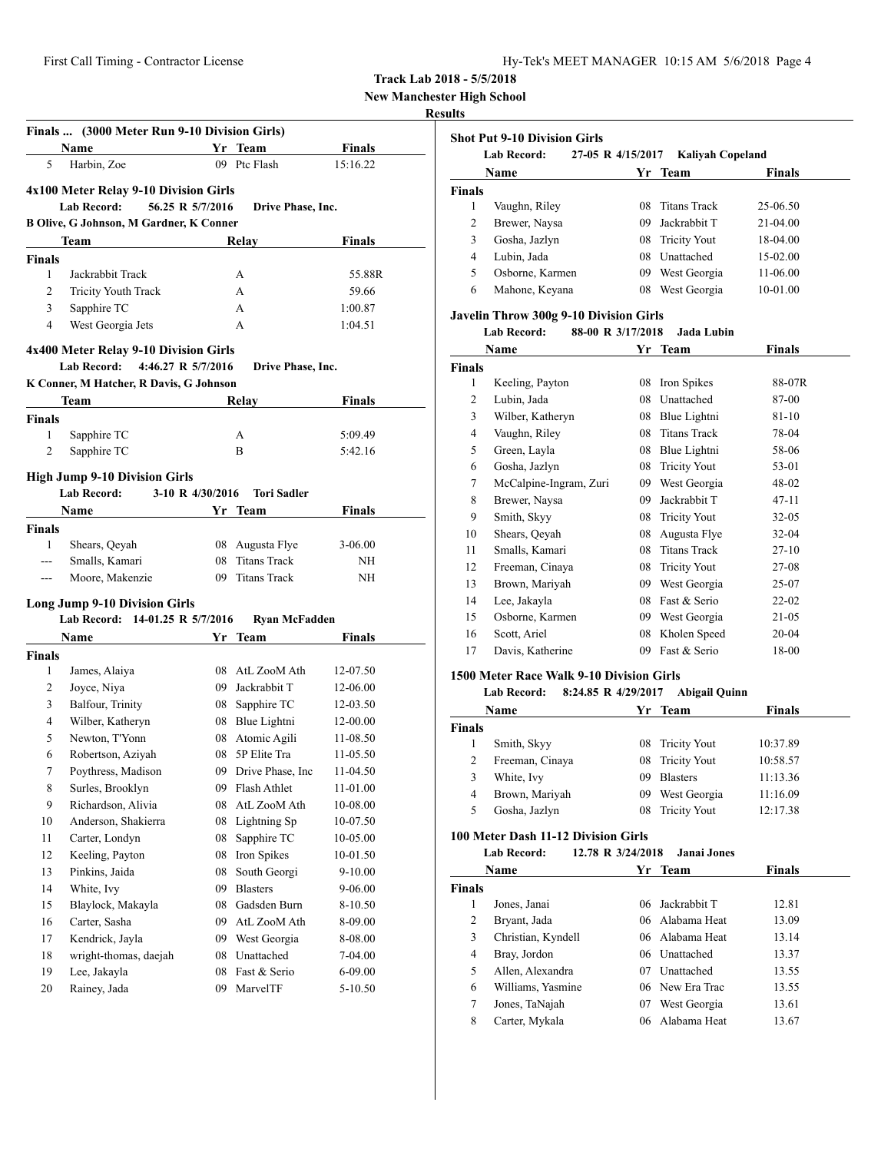| Hy-Tek's MEET MANAGER 10:15 AM 5/6/2018 Page 4 |  |  |  |
|------------------------------------------------|--|--|--|
|------------------------------------------------|--|--|--|

**New Manchester High School**

#### **Results**

| 5<br>Harbin, Zoe<br>Ptc Flash<br>15:16.22<br>09<br>4x100 Meter Relay 9-10 Division Girls<br><b>Lab Record:</b><br>56.25 R 5/7/2016<br>Drive Phase, Inc.<br>B Olive, G Johnson, M Gardner, K Conner<br>Team<br>Relay<br>Finals<br><b>Finals</b><br>1<br>Jackrabbit Track<br>А<br>55.88R<br>$\overline{c}$<br><b>Tricity Youth Track</b><br>A<br>59.66<br>Sapphire TC<br>3<br>А<br>1:00.87<br>West Georgia Jets<br>4<br>1:04.51<br>А<br>4x400 Meter Relay 9-10 Division Girls<br><b>Lab Record:</b><br>4:46.27 R 5/7/2016<br>Drive Phase, Inc.<br>K Conner, M Hatcher, R Davis, G Johnson<br>Team<br>Relay<br>Finals<br>$\mathbf{1}$<br>Sapphire TC<br>5:09.49<br>А<br>2<br>Sapphire TC<br>B<br>5:42.16<br><b>High Jump 9-10 Division Girls</b><br>Lab Record:<br>3-10 R 4/30/2016<br><b>Tori Sadler</b><br><b>Finals</b><br>Name<br>Yr<br>Team<br><b>Finals</b><br>08 Augusta Flye<br>1<br>Shears, Qeyah<br>3-06.00<br>Smalls, Kamari<br>08 Titans Track<br>NΗ<br>---<br><b>Titans Track</b><br>Moore, Makenzie<br>09<br>ΝH<br>$---$<br><b>Long Jump 9-10 Division Girls</b><br>Lab Record: 14-01.25 R 5/7/2016<br><b>Ryan McFadden</b><br>Name<br>Finals<br>Yr<br>Team<br><b>Finals</b><br>1<br>08 AtL ZooM Ath<br>12-07.50<br>James, Alaiya<br>2<br>Joyce, Niya<br>09 Jackrabbit T<br>12-06.00<br>3<br>Balfour, Trinity<br>Sapphire TC<br>12-03.50<br>08<br>08 Blue Lightni<br>4<br>Wilber, Katheryn<br>12-00.00<br>Newton, T'Yonn<br>5<br>08 Atomic Agili<br>11-08.50<br>Robertson, Aziyah<br>08 5P Elite Tra<br>6<br>11-05.50<br>09 Drive Phase. Inc<br>7<br>Poythress, Madison<br>11-04.50<br>8<br>Surles, Brooklyn<br>Flash Athlet<br>09<br>11-01.00<br>9<br>Richardson, Alivia<br>08<br>AtL ZooM Ath<br>10-08.00<br>10<br>Anderson, Shakierra<br>08<br>Lightning Sp<br>10-07.50<br>11<br>Carter, Londyn<br>08<br>Sapphire TC<br>10-05.00<br>12<br>Keeling, Payton<br>08<br>Iron Spikes<br>10-01.50<br>Pinkins, Jaida<br>13<br>08<br>South Georgi<br>9-10.00<br>14<br>White, Ivy<br>09<br><b>Blasters</b><br>9-06.00<br>15<br>Blaylock, Makayla<br>08<br>Gadsden Burn<br>8-10.50<br>16<br>Carter, Sasha<br>09<br>AtL ZooM Ath<br>8-09.00<br>17<br>Kendrick, Jayla<br>09<br>West Georgia<br>8-08.00<br>wright-thomas, daejah<br>18<br>Unattached<br>08<br>7-04.00<br>19<br>Lee, Jakayla<br>08<br>Fast & Serio<br>6-09.00<br>20<br>Rainey, Jada<br>09<br>MarvelTF<br>5-10.50 |               | Finals  (3000 Meter Run 9-10 Division Girls)<br>Name | Yr Team | Finals |
|---------------------------------------------------------------------------------------------------------------------------------------------------------------------------------------------------------------------------------------------------------------------------------------------------------------------------------------------------------------------------------------------------------------------------------------------------------------------------------------------------------------------------------------------------------------------------------------------------------------------------------------------------------------------------------------------------------------------------------------------------------------------------------------------------------------------------------------------------------------------------------------------------------------------------------------------------------------------------------------------------------------------------------------------------------------------------------------------------------------------------------------------------------------------------------------------------------------------------------------------------------------------------------------------------------------------------------------------------------------------------------------------------------------------------------------------------------------------------------------------------------------------------------------------------------------------------------------------------------------------------------------------------------------------------------------------------------------------------------------------------------------------------------------------------------------------------------------------------------------------------------------------------------------------------------------------------------------------------------------------------------------------------------------------------------------------------------------------------------------------------------------------------------------------------------------------------------------------------------------------------------------------------------------------------------------------------------------------------------------------------------|---------------|------------------------------------------------------|---------|--------|
|                                                                                                                                                                                                                                                                                                                                                                                                                                                                                                                                                                                                                                                                                                                                                                                                                                                                                                                                                                                                                                                                                                                                                                                                                                                                                                                                                                                                                                                                                                                                                                                                                                                                                                                                                                                                                                                                                                                                                                                                                                                                                                                                                                                                                                                                                                                                                                                 |               |                                                      |         |        |
|                                                                                                                                                                                                                                                                                                                                                                                                                                                                                                                                                                                                                                                                                                                                                                                                                                                                                                                                                                                                                                                                                                                                                                                                                                                                                                                                                                                                                                                                                                                                                                                                                                                                                                                                                                                                                                                                                                                                                                                                                                                                                                                                                                                                                                                                                                                                                                                 |               |                                                      |         |        |
|                                                                                                                                                                                                                                                                                                                                                                                                                                                                                                                                                                                                                                                                                                                                                                                                                                                                                                                                                                                                                                                                                                                                                                                                                                                                                                                                                                                                                                                                                                                                                                                                                                                                                                                                                                                                                                                                                                                                                                                                                                                                                                                                                                                                                                                                                                                                                                                 |               |                                                      |         |        |
|                                                                                                                                                                                                                                                                                                                                                                                                                                                                                                                                                                                                                                                                                                                                                                                                                                                                                                                                                                                                                                                                                                                                                                                                                                                                                                                                                                                                                                                                                                                                                                                                                                                                                                                                                                                                                                                                                                                                                                                                                                                                                                                                                                                                                                                                                                                                                                                 |               |                                                      |         |        |
|                                                                                                                                                                                                                                                                                                                                                                                                                                                                                                                                                                                                                                                                                                                                                                                                                                                                                                                                                                                                                                                                                                                                                                                                                                                                                                                                                                                                                                                                                                                                                                                                                                                                                                                                                                                                                                                                                                                                                                                                                                                                                                                                                                                                                                                                                                                                                                                 |               |                                                      |         |        |
|                                                                                                                                                                                                                                                                                                                                                                                                                                                                                                                                                                                                                                                                                                                                                                                                                                                                                                                                                                                                                                                                                                                                                                                                                                                                                                                                                                                                                                                                                                                                                                                                                                                                                                                                                                                                                                                                                                                                                                                                                                                                                                                                                                                                                                                                                                                                                                                 |               |                                                      |         |        |
|                                                                                                                                                                                                                                                                                                                                                                                                                                                                                                                                                                                                                                                                                                                                                                                                                                                                                                                                                                                                                                                                                                                                                                                                                                                                                                                                                                                                                                                                                                                                                                                                                                                                                                                                                                                                                                                                                                                                                                                                                                                                                                                                                                                                                                                                                                                                                                                 |               |                                                      |         |        |
|                                                                                                                                                                                                                                                                                                                                                                                                                                                                                                                                                                                                                                                                                                                                                                                                                                                                                                                                                                                                                                                                                                                                                                                                                                                                                                                                                                                                                                                                                                                                                                                                                                                                                                                                                                                                                                                                                                                                                                                                                                                                                                                                                                                                                                                                                                                                                                                 |               |                                                      |         |        |
|                                                                                                                                                                                                                                                                                                                                                                                                                                                                                                                                                                                                                                                                                                                                                                                                                                                                                                                                                                                                                                                                                                                                                                                                                                                                                                                                                                                                                                                                                                                                                                                                                                                                                                                                                                                                                                                                                                                                                                                                                                                                                                                                                                                                                                                                                                                                                                                 |               |                                                      |         |        |
|                                                                                                                                                                                                                                                                                                                                                                                                                                                                                                                                                                                                                                                                                                                                                                                                                                                                                                                                                                                                                                                                                                                                                                                                                                                                                                                                                                                                                                                                                                                                                                                                                                                                                                                                                                                                                                                                                                                                                                                                                                                                                                                                                                                                                                                                                                                                                                                 |               |                                                      |         |        |
|                                                                                                                                                                                                                                                                                                                                                                                                                                                                                                                                                                                                                                                                                                                                                                                                                                                                                                                                                                                                                                                                                                                                                                                                                                                                                                                                                                                                                                                                                                                                                                                                                                                                                                                                                                                                                                                                                                                                                                                                                                                                                                                                                                                                                                                                                                                                                                                 |               |                                                      |         |        |
|                                                                                                                                                                                                                                                                                                                                                                                                                                                                                                                                                                                                                                                                                                                                                                                                                                                                                                                                                                                                                                                                                                                                                                                                                                                                                                                                                                                                                                                                                                                                                                                                                                                                                                                                                                                                                                                                                                                                                                                                                                                                                                                                                                                                                                                                                                                                                                                 |               |                                                      |         |        |
|                                                                                                                                                                                                                                                                                                                                                                                                                                                                                                                                                                                                                                                                                                                                                                                                                                                                                                                                                                                                                                                                                                                                                                                                                                                                                                                                                                                                                                                                                                                                                                                                                                                                                                                                                                                                                                                                                                                                                                                                                                                                                                                                                                                                                                                                                                                                                                                 |               |                                                      |         |        |
|                                                                                                                                                                                                                                                                                                                                                                                                                                                                                                                                                                                                                                                                                                                                                                                                                                                                                                                                                                                                                                                                                                                                                                                                                                                                                                                                                                                                                                                                                                                                                                                                                                                                                                                                                                                                                                                                                                                                                                                                                                                                                                                                                                                                                                                                                                                                                                                 |               |                                                      |         |        |
|                                                                                                                                                                                                                                                                                                                                                                                                                                                                                                                                                                                                                                                                                                                                                                                                                                                                                                                                                                                                                                                                                                                                                                                                                                                                                                                                                                                                                                                                                                                                                                                                                                                                                                                                                                                                                                                                                                                                                                                                                                                                                                                                                                                                                                                                                                                                                                                 |               |                                                      |         |        |
|                                                                                                                                                                                                                                                                                                                                                                                                                                                                                                                                                                                                                                                                                                                                                                                                                                                                                                                                                                                                                                                                                                                                                                                                                                                                                                                                                                                                                                                                                                                                                                                                                                                                                                                                                                                                                                                                                                                                                                                                                                                                                                                                                                                                                                                                                                                                                                                 | <b>Finals</b> |                                                      |         |        |
|                                                                                                                                                                                                                                                                                                                                                                                                                                                                                                                                                                                                                                                                                                                                                                                                                                                                                                                                                                                                                                                                                                                                                                                                                                                                                                                                                                                                                                                                                                                                                                                                                                                                                                                                                                                                                                                                                                                                                                                                                                                                                                                                                                                                                                                                                                                                                                                 |               |                                                      |         |        |
|                                                                                                                                                                                                                                                                                                                                                                                                                                                                                                                                                                                                                                                                                                                                                                                                                                                                                                                                                                                                                                                                                                                                                                                                                                                                                                                                                                                                                                                                                                                                                                                                                                                                                                                                                                                                                                                                                                                                                                                                                                                                                                                                                                                                                                                                                                                                                                                 |               |                                                      |         |        |
|                                                                                                                                                                                                                                                                                                                                                                                                                                                                                                                                                                                                                                                                                                                                                                                                                                                                                                                                                                                                                                                                                                                                                                                                                                                                                                                                                                                                                                                                                                                                                                                                                                                                                                                                                                                                                                                                                                                                                                                                                                                                                                                                                                                                                                                                                                                                                                                 |               |                                                      |         |        |
|                                                                                                                                                                                                                                                                                                                                                                                                                                                                                                                                                                                                                                                                                                                                                                                                                                                                                                                                                                                                                                                                                                                                                                                                                                                                                                                                                                                                                                                                                                                                                                                                                                                                                                                                                                                                                                                                                                                                                                                                                                                                                                                                                                                                                                                                                                                                                                                 |               |                                                      |         |        |
|                                                                                                                                                                                                                                                                                                                                                                                                                                                                                                                                                                                                                                                                                                                                                                                                                                                                                                                                                                                                                                                                                                                                                                                                                                                                                                                                                                                                                                                                                                                                                                                                                                                                                                                                                                                                                                                                                                                                                                                                                                                                                                                                                                                                                                                                                                                                                                                 |               |                                                      |         |        |
|                                                                                                                                                                                                                                                                                                                                                                                                                                                                                                                                                                                                                                                                                                                                                                                                                                                                                                                                                                                                                                                                                                                                                                                                                                                                                                                                                                                                                                                                                                                                                                                                                                                                                                                                                                                                                                                                                                                                                                                                                                                                                                                                                                                                                                                                                                                                                                                 |               |                                                      |         |        |
|                                                                                                                                                                                                                                                                                                                                                                                                                                                                                                                                                                                                                                                                                                                                                                                                                                                                                                                                                                                                                                                                                                                                                                                                                                                                                                                                                                                                                                                                                                                                                                                                                                                                                                                                                                                                                                                                                                                                                                                                                                                                                                                                                                                                                                                                                                                                                                                 |               |                                                      |         |        |
|                                                                                                                                                                                                                                                                                                                                                                                                                                                                                                                                                                                                                                                                                                                                                                                                                                                                                                                                                                                                                                                                                                                                                                                                                                                                                                                                                                                                                                                                                                                                                                                                                                                                                                                                                                                                                                                                                                                                                                                                                                                                                                                                                                                                                                                                                                                                                                                 |               |                                                      |         |        |
|                                                                                                                                                                                                                                                                                                                                                                                                                                                                                                                                                                                                                                                                                                                                                                                                                                                                                                                                                                                                                                                                                                                                                                                                                                                                                                                                                                                                                                                                                                                                                                                                                                                                                                                                                                                                                                                                                                                                                                                                                                                                                                                                                                                                                                                                                                                                                                                 |               |                                                      |         |        |
|                                                                                                                                                                                                                                                                                                                                                                                                                                                                                                                                                                                                                                                                                                                                                                                                                                                                                                                                                                                                                                                                                                                                                                                                                                                                                                                                                                                                                                                                                                                                                                                                                                                                                                                                                                                                                                                                                                                                                                                                                                                                                                                                                                                                                                                                                                                                                                                 |               |                                                      |         |        |
|                                                                                                                                                                                                                                                                                                                                                                                                                                                                                                                                                                                                                                                                                                                                                                                                                                                                                                                                                                                                                                                                                                                                                                                                                                                                                                                                                                                                                                                                                                                                                                                                                                                                                                                                                                                                                                                                                                                                                                                                                                                                                                                                                                                                                                                                                                                                                                                 |               |                                                      |         |        |
|                                                                                                                                                                                                                                                                                                                                                                                                                                                                                                                                                                                                                                                                                                                                                                                                                                                                                                                                                                                                                                                                                                                                                                                                                                                                                                                                                                                                                                                                                                                                                                                                                                                                                                                                                                                                                                                                                                                                                                                                                                                                                                                                                                                                                                                                                                                                                                                 |               |                                                      |         |        |
|                                                                                                                                                                                                                                                                                                                                                                                                                                                                                                                                                                                                                                                                                                                                                                                                                                                                                                                                                                                                                                                                                                                                                                                                                                                                                                                                                                                                                                                                                                                                                                                                                                                                                                                                                                                                                                                                                                                                                                                                                                                                                                                                                                                                                                                                                                                                                                                 |               |                                                      |         |        |
|                                                                                                                                                                                                                                                                                                                                                                                                                                                                                                                                                                                                                                                                                                                                                                                                                                                                                                                                                                                                                                                                                                                                                                                                                                                                                                                                                                                                                                                                                                                                                                                                                                                                                                                                                                                                                                                                                                                                                                                                                                                                                                                                                                                                                                                                                                                                                                                 |               |                                                      |         |        |
|                                                                                                                                                                                                                                                                                                                                                                                                                                                                                                                                                                                                                                                                                                                                                                                                                                                                                                                                                                                                                                                                                                                                                                                                                                                                                                                                                                                                                                                                                                                                                                                                                                                                                                                                                                                                                                                                                                                                                                                                                                                                                                                                                                                                                                                                                                                                                                                 |               |                                                      |         |        |
|                                                                                                                                                                                                                                                                                                                                                                                                                                                                                                                                                                                                                                                                                                                                                                                                                                                                                                                                                                                                                                                                                                                                                                                                                                                                                                                                                                                                                                                                                                                                                                                                                                                                                                                                                                                                                                                                                                                                                                                                                                                                                                                                                                                                                                                                                                                                                                                 |               |                                                      |         |        |
|                                                                                                                                                                                                                                                                                                                                                                                                                                                                                                                                                                                                                                                                                                                                                                                                                                                                                                                                                                                                                                                                                                                                                                                                                                                                                                                                                                                                                                                                                                                                                                                                                                                                                                                                                                                                                                                                                                                                                                                                                                                                                                                                                                                                                                                                                                                                                                                 |               |                                                      |         |        |
|                                                                                                                                                                                                                                                                                                                                                                                                                                                                                                                                                                                                                                                                                                                                                                                                                                                                                                                                                                                                                                                                                                                                                                                                                                                                                                                                                                                                                                                                                                                                                                                                                                                                                                                                                                                                                                                                                                                                                                                                                                                                                                                                                                                                                                                                                                                                                                                 |               |                                                      |         |        |
|                                                                                                                                                                                                                                                                                                                                                                                                                                                                                                                                                                                                                                                                                                                                                                                                                                                                                                                                                                                                                                                                                                                                                                                                                                                                                                                                                                                                                                                                                                                                                                                                                                                                                                                                                                                                                                                                                                                                                                                                                                                                                                                                                                                                                                                                                                                                                                                 |               |                                                      |         |        |
|                                                                                                                                                                                                                                                                                                                                                                                                                                                                                                                                                                                                                                                                                                                                                                                                                                                                                                                                                                                                                                                                                                                                                                                                                                                                                                                                                                                                                                                                                                                                                                                                                                                                                                                                                                                                                                                                                                                                                                                                                                                                                                                                                                                                                                                                                                                                                                                 |               |                                                      |         |        |
|                                                                                                                                                                                                                                                                                                                                                                                                                                                                                                                                                                                                                                                                                                                                                                                                                                                                                                                                                                                                                                                                                                                                                                                                                                                                                                                                                                                                                                                                                                                                                                                                                                                                                                                                                                                                                                                                                                                                                                                                                                                                                                                                                                                                                                                                                                                                                                                 |               |                                                      |         |        |
|                                                                                                                                                                                                                                                                                                                                                                                                                                                                                                                                                                                                                                                                                                                                                                                                                                                                                                                                                                                                                                                                                                                                                                                                                                                                                                                                                                                                                                                                                                                                                                                                                                                                                                                                                                                                                                                                                                                                                                                                                                                                                                                                                                                                                                                                                                                                                                                 |               |                                                      |         |        |
|                                                                                                                                                                                                                                                                                                                                                                                                                                                                                                                                                                                                                                                                                                                                                                                                                                                                                                                                                                                                                                                                                                                                                                                                                                                                                                                                                                                                                                                                                                                                                                                                                                                                                                                                                                                                                                                                                                                                                                                                                                                                                                                                                                                                                                                                                                                                                                                 |               |                                                      |         |        |
|                                                                                                                                                                                                                                                                                                                                                                                                                                                                                                                                                                                                                                                                                                                                                                                                                                                                                                                                                                                                                                                                                                                                                                                                                                                                                                                                                                                                                                                                                                                                                                                                                                                                                                                                                                                                                                                                                                                                                                                                                                                                                                                                                                                                                                                                                                                                                                                 |               |                                                      |         |        |
|                                                                                                                                                                                                                                                                                                                                                                                                                                                                                                                                                                                                                                                                                                                                                                                                                                                                                                                                                                                                                                                                                                                                                                                                                                                                                                                                                                                                                                                                                                                                                                                                                                                                                                                                                                                                                                                                                                                                                                                                                                                                                                                                                                                                                                                                                                                                                                                 |               |                                                      |         |        |
|                                                                                                                                                                                                                                                                                                                                                                                                                                                                                                                                                                                                                                                                                                                                                                                                                                                                                                                                                                                                                                                                                                                                                                                                                                                                                                                                                                                                                                                                                                                                                                                                                                                                                                                                                                                                                                                                                                                                                                                                                                                                                                                                                                                                                                                                                                                                                                                 |               |                                                      |         |        |
|                                                                                                                                                                                                                                                                                                                                                                                                                                                                                                                                                                                                                                                                                                                                                                                                                                                                                                                                                                                                                                                                                                                                                                                                                                                                                                                                                                                                                                                                                                                                                                                                                                                                                                                                                                                                                                                                                                                                                                                                                                                                                                                                                                                                                                                                                                                                                                                 |               |                                                      |         |        |
|                                                                                                                                                                                                                                                                                                                                                                                                                                                                                                                                                                                                                                                                                                                                                                                                                                                                                                                                                                                                                                                                                                                                                                                                                                                                                                                                                                                                                                                                                                                                                                                                                                                                                                                                                                                                                                                                                                                                                                                                                                                                                                                                                                                                                                                                                                                                                                                 |               |                                                      |         |        |
|                                                                                                                                                                                                                                                                                                                                                                                                                                                                                                                                                                                                                                                                                                                                                                                                                                                                                                                                                                                                                                                                                                                                                                                                                                                                                                                                                                                                                                                                                                                                                                                                                                                                                                                                                                                                                                                                                                                                                                                                                                                                                                                                                                                                                                                                                                                                                                                 |               |                                                      |         |        |
|                                                                                                                                                                                                                                                                                                                                                                                                                                                                                                                                                                                                                                                                                                                                                                                                                                                                                                                                                                                                                                                                                                                                                                                                                                                                                                                                                                                                                                                                                                                                                                                                                                                                                                                                                                                                                                                                                                                                                                                                                                                                                                                                                                                                                                                                                                                                                                                 |               |                                                      |         |        |
|                                                                                                                                                                                                                                                                                                                                                                                                                                                                                                                                                                                                                                                                                                                                                                                                                                                                                                                                                                                                                                                                                                                                                                                                                                                                                                                                                                                                                                                                                                                                                                                                                                                                                                                                                                                                                                                                                                                                                                                                                                                                                                                                                                                                                                                                                                                                                                                 |               |                                                      |         |        |
|                                                                                                                                                                                                                                                                                                                                                                                                                                                                                                                                                                                                                                                                                                                                                                                                                                                                                                                                                                                                                                                                                                                                                                                                                                                                                                                                                                                                                                                                                                                                                                                                                                                                                                                                                                                                                                                                                                                                                                                                                                                                                                                                                                                                                                                                                                                                                                                 |               |                                                      |         |        |
|                                                                                                                                                                                                                                                                                                                                                                                                                                                                                                                                                                                                                                                                                                                                                                                                                                                                                                                                                                                                                                                                                                                                                                                                                                                                                                                                                                                                                                                                                                                                                                                                                                                                                                                                                                                                                                                                                                                                                                                                                                                                                                                                                                                                                                                                                                                                                                                 |               |                                                      |         |        |

| <b>Shot Put 9-10 Division Girls</b> |                    |                   |                         |               |  |  |
|-------------------------------------|--------------------|-------------------|-------------------------|---------------|--|--|
|                                     | <b>Lab Record:</b> | 27-05 R 4/15/2017 | <b>Kaliyah Copeland</b> |               |  |  |
|                                     | <b>Name</b>        |                   | Yr Team                 | <b>Finals</b> |  |  |
| Finals                              |                    |                   |                         |               |  |  |
|                                     | Vaughn, Riley      | 08                | <b>Titans Track</b>     | 25-06.50      |  |  |
| 2                                   | Brewer, Naysa      | 09                | Jackrabbit T            | $21-04.00$    |  |  |
| 3                                   | Gosha, Jazlyn      | 08                | <b>Tricity Yout</b>     | 18-04.00      |  |  |
| 4                                   | Lubin, Jada        | 08                | Unattached              | 15-02.00      |  |  |
| 5                                   | Osborne, Karmen    | 09                | West Georgia            | 11-06.00      |  |  |
| 6                                   | Mahone, Keyana     | 08                | West Georgia            | 10-01.00      |  |  |

## **Javelin Throw 300g 9-10 Division Girls**

#### **Lab Record: 88-00 R 3/17/2018 Jada Lubin**

| Name                   |    | Team                | Finals    |
|------------------------|----|---------------------|-----------|
|                        |    |                     |           |
| Keeling, Payton        | 08 | Iron Spikes         | 88-07R    |
| Lubin, Jada            | 08 | Unattached          | 87-00     |
| Wilber, Katheryn       | 08 | Blue Lightni        | 81-10     |
| Vaughn, Riley          | 08 | <b>Titans Track</b> | 78-04     |
| Green, Layla           | 08 | Blue Lightni        | 58-06     |
| Gosha, Jazlyn          | 08 | <b>Tricity Yout</b> | 53-01     |
| McCalpine-Ingram, Zuri | 09 | West Georgia        | 48-02     |
| Brewer, Naysa          | 09 | Jackrabbit T        | $47 - 11$ |
| Smith, Skyy            | 08 | <b>Tricity Yout</b> | $32 - 05$ |
| Shears, Qeyah          | 08 | Augusta Flye        | $32 - 04$ |
| Smalls, Kamari         | 08 | <b>Titans Track</b> | $27-10$   |
| Freeman, Cinaya        | 08 | <b>Tricity Yout</b> | 27-08     |
| Brown, Mariyah         | 09 | West Georgia        | 25-07     |
| Lee, Jakayla           | 08 | Fast & Serio        | $22 - 02$ |
| Osborne, Karmen        | 09 | West Georgia        | 21-05     |
| Scott, Ariel           | 08 | Kholen Speed        | 20-04     |
| Davis, Katherine       | 09 | Fast & Serio        | 18-00     |
|                        |    | Yr                  |           |

#### **1500 Meter Race Walk 9-10 Division Girls**

#### **Lab Record: 8:24.85 R 4/29/2017 Abigail Quinn**

| <b>Name</b>   |                 | Yr Team |                     | <b>Finals</b> |  |
|---------------|-----------------|---------|---------------------|---------------|--|
| <b>Finals</b> |                 |         |                     |               |  |
|               | Smith, Skyy     |         | 08 Tricity Yout     | 10:37.89      |  |
|               | Freeman, Cinaya |         | 08 Tricity Yout     | 10:58.57      |  |
| 3             | White, Ivy      | 09      | <b>Blasters</b>     | 11:13.36      |  |
| 4             | Brown, Mariyah  | 09      | West Georgia        | 11:16.09      |  |
|               | Gosha, Jazlyn   | 08      | <b>Tricity Yout</b> | 12:17.38      |  |

## **100 Meter Dash 11-12 Division Girls**

#### **Lab Record: 12.78 R 3/24/2018 Janai Jones**

| Name          |                    |    | Yr Team         | Finals |  |
|---------------|--------------------|----|-----------------|--------|--|
| <b>Finals</b> |                    |    |                 |        |  |
| 1             | Jones, Janai       |    | 06 Jackrabbit T | 12.81  |  |
| 2             | Bryant, Jada       |    | 06 Alabama Heat | 13.09  |  |
| 3             | Christian, Kyndell |    | 06 Alabama Heat | 13.14  |  |
| 4             | Bray, Jordon       |    | 06 Unattached   | 13.37  |  |
| 5             | Allen, Alexandra   | 07 | Unattached      | 13.55  |  |
| 6             | Williams, Yasmine  |    | 06 New Era Trac | 13.55  |  |
| 7             | Jones, TaNajah     | 07 | West Georgia    | 13.61  |  |
| 8             | Carter, Mykala     |    | 06 Alabama Heat | 13.67  |  |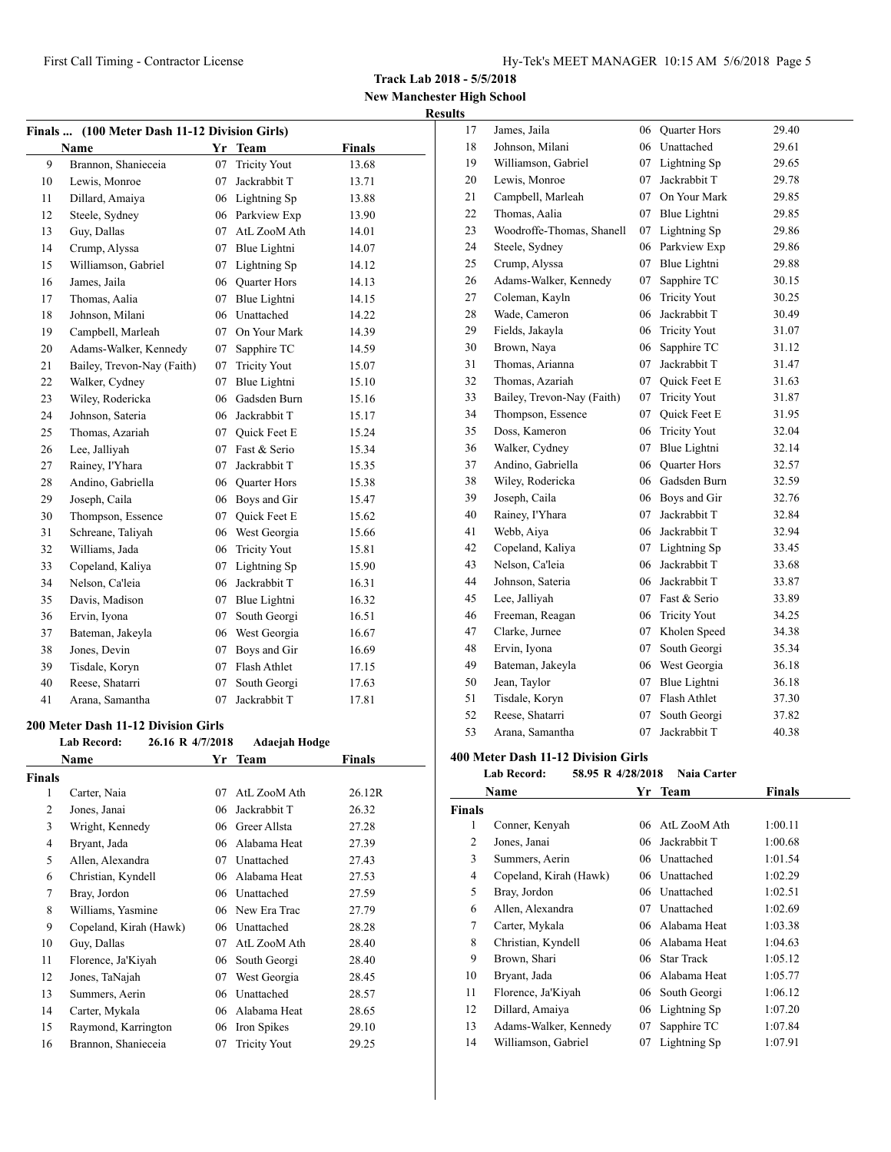**New Manchester High School Results**

| Finals  (100 Meter Dash 11-12 Division Girls) |                            |    |                     |               |  |
|-----------------------------------------------|----------------------------|----|---------------------|---------------|--|
|                                               | Name                       | Yr | <b>Team</b>         | <b>Finals</b> |  |
| 9                                             | Brannon, Shanieceia        | 07 | <b>Tricity Yout</b> | 13.68         |  |
| 10                                            | Lewis, Monroe              | 07 | Jackrabbit T        | 13.71         |  |
| 11                                            | Dillard, Amaiya            | 06 | Lightning Sp        | 13.88         |  |
| 12                                            | Steele, Sydney             | 06 | Parkview Exp        | 13.90         |  |
| 13                                            | Guy, Dallas                | 07 | AtL ZooM Ath        | 14.01         |  |
| 14                                            | Crump, Alyssa              | 07 | Blue Lightni        | 14.07         |  |
| 15                                            | Williamson, Gabriel        | 07 | Lightning Sp        | 14.12         |  |
| 16                                            | James, Jaila               | 06 | <b>Ouarter Hors</b> | 14.13         |  |
| 17                                            | Thomas, Aalia              | 07 | Blue Lightni        | 14.15         |  |
| 18                                            | Johnson, Milani            | 06 | Unattached          | 14.22         |  |
| 19                                            | Campbell, Marleah          | 07 | On Your Mark        | 14.39         |  |
| 20                                            | Adams-Walker, Kennedy      | 07 | Sapphire TC         | 14.59         |  |
| 21                                            | Bailey, Trevon-Nay (Faith) | 07 | <b>Tricity Yout</b> | 15.07         |  |
| 22                                            | Walker, Cydney             | 07 | Blue Lightni        | 15.10         |  |
| 23                                            | Wiley, Rodericka           | 06 | Gadsden Burn        | 15.16         |  |
| 24                                            | Johnson, Sateria           | 06 | Jackrabbit T        | 15.17         |  |
| 25                                            | Thomas, Azariah            | 07 | <b>Ouick Feet E</b> | 15.24         |  |
| 26                                            | Lee, Jalliyah              |    | 07 Fast & Serio     | 15.34         |  |
| 27                                            | Rainey, I'Yhara            | 07 | Jackrabbit T        | 15.35         |  |
| 28                                            | Andino, Gabriella          |    | 06 Quarter Hors     | 15.38         |  |
| 29                                            | Joseph, Caila              | 06 | Boys and Gir        | 15.47         |  |
| 30                                            | Thompson, Essence          | 07 | Quick Feet E        | 15.62         |  |
| 31                                            | Schreane, Taliyah          | 06 | West Georgia        | 15.66         |  |
| 32                                            | Williams, Jada             | 06 | <b>Tricity Yout</b> | 15.81         |  |
| 33                                            | Copeland, Kaliya           | 07 | Lightning Sp        | 15.90         |  |
| 34                                            | Nelson, Ca'leia            | 06 | Jackrabbit T        | 16.31         |  |
| 35                                            | Davis, Madison             | 07 | Blue Lightni        | 16.32         |  |
| 36                                            | Ervin, Iyona               | 07 | South Georgi        | 16.51         |  |
| 37                                            | Bateman, Jakeyla           | 06 | West Georgia        | 16.67         |  |
| 38                                            | Jones, Devin               | 07 | Boys and Gir        | 16.69         |  |
| 39                                            | Tisdale, Koryn             | 07 | Flash Athlet        | 17.15         |  |
| 40                                            | Reese, Shatarri            | 07 | South Georgi        | 17.63         |  |
| 41                                            | Arana, Samantha            | 07 | Jackrabbit T        | 17.81         |  |

#### **200 Meter Dash 11-12 Division Girls**

|        | <b>Lab Record:</b><br>26.16 R 4/7/2018 |    | <b>Adaejah Hodge</b> |               |  |
|--------|----------------------------------------|----|----------------------|---------------|--|
|        | <b>Name</b>                            |    | Yr Team              | <b>Finals</b> |  |
| Finals |                                        |    |                      |               |  |
| 1      | Carter, Naia                           | 07 | AtL ZooM Ath         | 26.12R        |  |
| 2      | Jones, Janai                           | 06 | Jackrabbit T         | 26.32         |  |
| 3      | Wright, Kennedy                        | 06 | Greer Allsta         | 27.28         |  |
| 4      | Bryant, Jada                           | 06 | Alabama Heat         | 27.39         |  |
| 5      | Allen, Alexandra                       | 07 | Unattached           | 27.43         |  |
| 6      | Christian, Kyndell                     | 06 | Alabama Heat         | 27.53         |  |
| 7      | Bray, Jordon                           | 06 | Unattached           | 27.59         |  |
| 8      | Williams, Yasmine                      | 06 | New Era Trac         | 27.79         |  |
| 9      | Copeland, Kirah (Hawk)                 | 06 | Unattached           | 28.28         |  |
| 10     | Guy, Dallas                            | 07 | AtL ZooM Ath         | 28.40         |  |
| 11     | Florence, Ja'Kiyah                     | 06 | South Georgi         | 28.40         |  |
| 12     | Jones, TaNajah                         | 07 | West Georgia         | 28.45         |  |
| 13     | Summers, Aerin                         | 06 | Unattached           | 28.57         |  |
| 14     | Carter, Mykala                         | 06 | Alabama Heat         | 28.65         |  |
| 15     | Raymond, Karrington                    | 06 | Iron Spikes          | 29.10         |  |
| 16     | Brannon, Shanieceia                    | 07 | <b>Tricity Yout</b>  | 29.25         |  |
|        |                                        |    |                      |               |  |

| 17 | James, Jaila               |    | 06 Quarter Hors     | 29.40 |
|----|----------------------------|----|---------------------|-------|
| 18 | Johnson, Milani            | 06 | Unattached          | 29.61 |
| 19 | Williamson, Gabriel        | 07 | Lightning Sp        | 29.65 |
| 20 | Lewis, Monroe              | 07 | Jackrabbit T        | 29.78 |
| 21 | Campbell, Marleah          | 07 | On Your Mark        | 29.85 |
| 22 | Thomas, Aalia              | 07 | <b>Blue Lightni</b> | 29.85 |
| 23 | Woodroffe-Thomas, Shanell  | 07 | Lightning Sp        | 29.86 |
| 24 | Steele, Sydney             | 06 | Parkview Exp        | 29.86 |
| 25 | Crump, Alyssa              | 07 | Blue Lightni        | 29.88 |
| 26 | Adams-Walker, Kennedy      | 07 | Sapphire TC         | 30.15 |
| 27 | Coleman, Kayln             | 06 | <b>Tricity Yout</b> | 30.25 |
| 28 | Wade, Cameron              | 06 | Jackrabbit T        | 30.49 |
| 29 | Fields, Jakayla            | 06 | <b>Tricity Yout</b> | 31.07 |
| 30 | Brown, Naya                | 06 | Sapphire TC         | 31.12 |
| 31 | Thomas, Arianna            | 07 | Jackrabbit T        | 31.47 |
| 32 | Thomas, Azariah            | 07 | <b>Ouick Feet E</b> | 31.63 |
| 33 | Bailey, Trevon-Nay (Faith) | 07 | <b>Tricity Yout</b> | 31.87 |
| 34 | Thompson, Essence          | 07 | <b>Ouick Feet E</b> | 31.95 |
| 35 | Doss, Kameron              | 06 | <b>Tricity Yout</b> | 32.04 |
| 36 | Walker, Cydney             | 07 | Blue Lightni        | 32.14 |
| 37 | Andino, Gabriella          | 06 | <b>Quarter Hors</b> | 32.57 |
| 38 | Wiley, Rodericka           | 06 | Gadsden Burn        | 32.59 |
| 39 | Joseph, Caila              | 06 | Boys and Gir        | 32.76 |
| 40 | Rainey, I'Yhara            | 07 | Jackrabbit T        | 32.84 |
| 41 | Webb, Aiya                 | 06 | Jackrabbit T        | 32.94 |
| 42 | Copeland, Kaliya           | 07 | Lightning Sp        | 33.45 |
| 43 | Nelson, Ca'leia            | 06 | Jackrabbit T        | 33.68 |
| 44 | Johnson, Sateria           | 06 | Jackrabbit T        | 33.87 |
| 45 | Lee, Jalliyah              | 07 | Fast & Serio        | 33.89 |
| 46 | Freeman, Reagan            | 06 | <b>Tricity Yout</b> | 34.25 |
| 47 | Clarke, Jurnee             | 07 | Kholen Speed        | 34.38 |
| 48 | Ervin, Iyona               | 07 | South Georgi        | 35.34 |
| 49 | Bateman, Jakeyla           | 06 | West Georgia        | 36.18 |
| 50 | Jean, Taylor               | 07 | Blue Lightni        | 36.18 |
| 51 | Tisdale, Koryn             | 07 | Flash Athlet        | 37.30 |
| 52 | Reese, Shatarri            | 07 | South Georgi        | 37.82 |
| 53 | Arana, Samantha            | 07 | Jackrabbit T        | 40.38 |

#### **400 Meter Dash 11-12 Division Girls**

**Lab Record: 58.95 R 4/28/2018 Naia Carter**

| Name   |                        | Yr | Team            | <b>Finals</b> |  |
|--------|------------------------|----|-----------------|---------------|--|
| Finals |                        |    |                 |               |  |
| 1      | Conner, Kenyah         | 06 | AtL ZooM Ath    | 1:00.11       |  |
| 2      | Jones, Janai           | 06 | Jackrabbit T    | 1:00.68       |  |
| 3      | Summers, Aerin         | 06 | Unattached      | 1:01.54       |  |
| 4      | Copeland, Kirah (Hawk) | 06 | Unattached      | 1:02.29       |  |
| 5      | Bray, Jordon           | 06 | Unattached      | 1:02.51       |  |
| 6      | Allen, Alexandra       | 07 | Unattached      | 1:02.69       |  |
| 7      | Carter, Mykala         | 06 | Alabama Heat    | 1:03.38       |  |
| 8      | Christian, Kyndell     | 06 | Alabama Heat    | 1:04.63       |  |
| 9      | Brown, Shari           |    | 06 Star Track   | 1:05.12       |  |
| 10     | Bryant, Jada           | 06 | Alabama Heat    | 1:05.77       |  |
| 11     | Florence, Ja'Kiyah     |    | 06 South Georgi | 1:06.12       |  |
| 12     | Dillard, Amaiya        | 06 | Lightning Sp    | 1:07.20       |  |
| 13     | Adams-Walker, Kennedy  | 07 | Sapphire TC     | 1:07.84       |  |
| 14     | Williamson, Gabriel    | 07 | Lightning Sp    | 1:07.91       |  |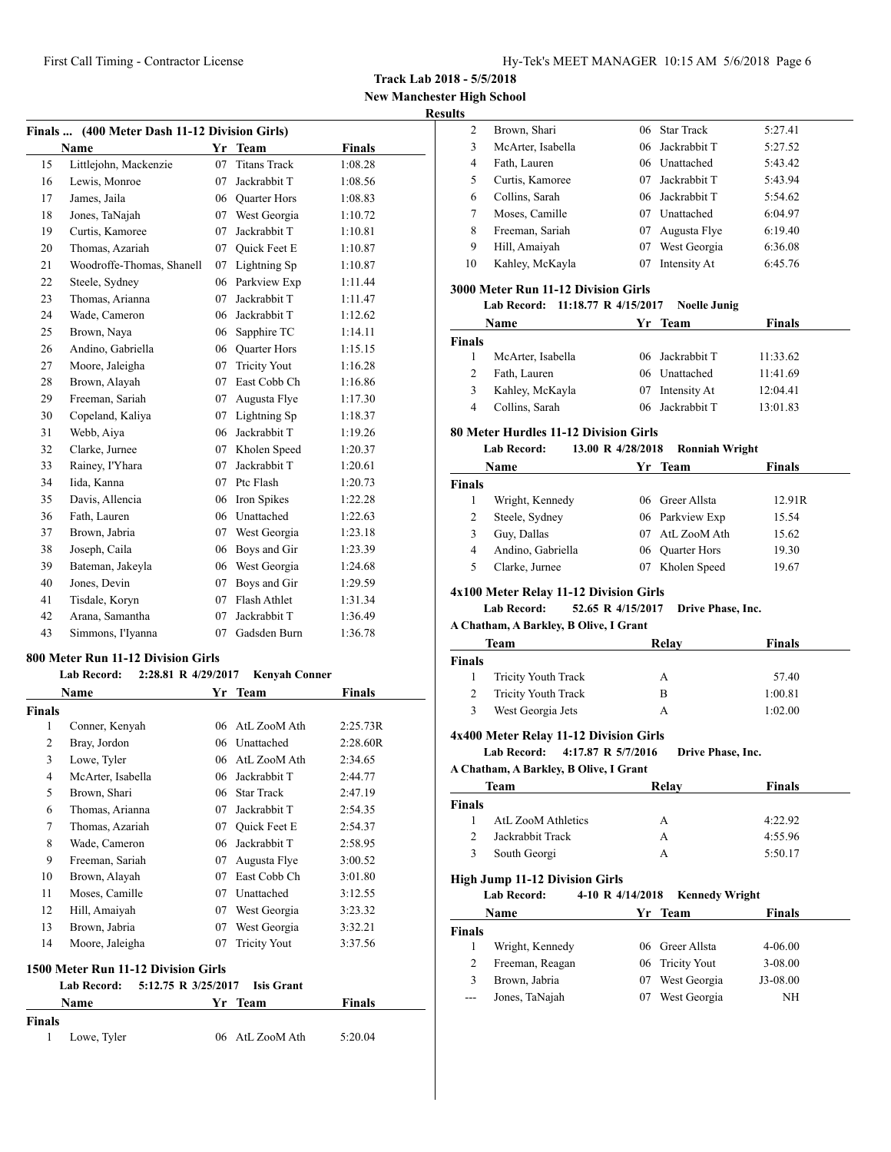**New Manchester High School**

#### **Results**

|    | Finals  (400 Meter Dash 11-12 Division Girls) |    |                     |               |  |  |
|----|-----------------------------------------------|----|---------------------|---------------|--|--|
|    | <b>Name</b>                                   | Yr | <b>Team</b>         | <b>Finals</b> |  |  |
| 15 | Littlejohn, Mackenzie                         | 07 | <b>Titans Track</b> | 1:08.28       |  |  |
| 16 | Lewis, Monroe                                 | 07 | Jackrabbit T        | 1:08.56       |  |  |
| 17 | James, Jaila                                  | 06 | <b>Quarter Hors</b> | 1:08.83       |  |  |
| 18 | Jones, TaNajah                                | 07 | West Georgia        | 1:10.72       |  |  |
| 19 | Curtis, Kamoree                               | 07 | Jackrabbit T        | 1:10.81       |  |  |
| 20 | Thomas, Azariah                               | 07 | <b>Ouick Feet E</b> | 1:10.87       |  |  |
| 21 | Woodroffe-Thomas, Shanell                     | 07 | Lightning Sp        | 1:10.87       |  |  |
| 22 | Steele, Sydney                                | 06 | Parkview Exp        | 1:11.44       |  |  |
| 23 | Thomas, Arianna                               | 07 | Jackrabbit T        | 1:11.47       |  |  |
| 24 | Wade, Cameron                                 | 06 | Jackrabbit T        | 1:12.62       |  |  |
| 25 | Brown, Naya                                   | 06 | Sapphire TC         | 1:14.11       |  |  |
| 26 | Andino, Gabriella                             | 06 | <b>Quarter Hors</b> | 1:15.15       |  |  |
| 27 | Moore, Jaleigha                               | 07 | <b>Tricity Yout</b> | 1:16.28       |  |  |
| 28 | Brown, Alayah                                 | 07 | East Cobb Ch        | 1:16.86       |  |  |
| 29 | Freeman, Sariah                               | 07 | Augusta Flye        | 1:17.30       |  |  |
| 30 | Copeland, Kaliya                              | 07 | Lightning Sp        | 1:18.37       |  |  |
| 31 | Webb, Aiya                                    | 06 | Jackrabbit T        | 1:19.26       |  |  |
| 32 | Clarke, Jurnee                                | 07 | Kholen Speed        | 1:20.37       |  |  |
| 33 | Rainey, I'Yhara                               | 07 | Jackrabbit T        | 1:20.61       |  |  |
| 34 | Iida, Kanna                                   | 07 | Ptc Flash           | 1:20.73       |  |  |
| 35 | Davis, Allencia                               | 06 | Iron Spikes         | 1:22.28       |  |  |
| 36 | Fath, Lauren                                  | 06 | Unattached          | 1:22.63       |  |  |
| 37 | Brown, Jabria                                 | 07 | West Georgia        | 1:23.18       |  |  |
| 38 | Joseph, Caila                                 | 06 | Boys and Gir        | 1:23.39       |  |  |
| 39 | Bateman, Jakeyla                              | 06 | West Georgia        | 1:24.68       |  |  |
| 40 | Jones, Devin                                  | 07 | Boys and Gir        | 1:29.59       |  |  |
| 41 | Tisdale, Koryn                                | 07 | Flash Athlet        | 1:31.34       |  |  |
| 42 | Arana, Samantha                               | 07 | Jackrabbit T        | 1:36.49       |  |  |
| 43 | Simmons, I'Iyanna                             | 07 | Gadsden Burn        | 1:36.78       |  |  |
|    |                                               |    |                     |               |  |  |

## **800 Meter Run 11-12 Division Girls**

| <b>Lab Record:</b> |  | 2:28.81 R 4/29/2017 | Kenvah Conner |
|--------------------|--|---------------------|---------------|
|                    |  |                     |               |

|               | <b>Name</b>       | Yr | <b>Team</b>         | <b>Finals</b> |
|---------------|-------------------|----|---------------------|---------------|
| <b>Finals</b> |                   |    |                     |               |
| 1             | Conner, Kenyah    | 06 | AtL ZooM Ath        | 2:25.73R      |
| 2             | Bray, Jordon      |    | 06 Unattached       | 2:28.60R      |
| 3             | Lowe, Tyler       | 06 | AtL ZooM Ath        | 2:34.65       |
| 4             | McArter, Isabella | 06 | Jackrabbit T        | 2:44.77       |
| 5             | Brown, Shari      | 06 | <b>Star Track</b>   | 2:47.19       |
| 6             | Thomas, Arianna   | 07 | Jackrabbit T        | 2:54.35       |
| 7             | Thomas, Azariah   | 07 | Quick Feet E        | 2:54.37       |
| 8             | Wade, Cameron     | 06 | Jackrabbit T        | 2:58.95       |
| 9             | Freeman, Sariah   | 07 | Augusta Flye        | 3:00.52       |
| 10            | Brown, Alayah     | 07 | East Cobb Ch        | 3:01.80       |
| 11            | Moses, Camille    | 07 | Unattached          | 3:12.55       |
| 12            | Hill, Amaiyah     | 07 | West Georgia        | 3:23.32       |
| 13            | Brown, Jabria     | 07 | West Georgia        | 3:32.21       |
| 14            | Moore, Jaleigha   | 07 | <b>Tricity Yout</b> | 3:37.56       |
|               |                   |    |                     |               |

## **1500 Meter Run 11-12 Division Girls**

|               |               | Lab Record: 5:12.75 R 3/25/2017 Isis Grant |               |  |
|---------------|---------------|--------------------------------------------|---------------|--|
|               | Name          | Yr Team                                    | <b>Finals</b> |  |
| <b>Finals</b> |               |                                            |               |  |
|               | 1 Lowe, Tyler | 06 AtL ZooM Ath                            | 5:20.04       |  |

| 2  | Brown, Shari      |     | 06 Star Track   | 5:27.41 |
|----|-------------------|-----|-----------------|---------|
| 3  | McArter, Isabella |     | 06 Jackrabbit T | 5:27.52 |
| 4  | Fath, Lauren      |     | 06 Unattached   | 5:43.42 |
| 5  | Curtis, Kamoree   | 07. | Jackrabbit T    | 5:43.94 |
| 6  | Collins, Sarah    |     | 06 Jackrabbit T | 5:54.62 |
| 7  | Moses, Camille    | 07  | Unattached      | 6:04.97 |
| 8  | Freeman, Sariah   | 07  | Augusta Flye    | 6:19.40 |
| 9  | Hill, Amaiyah     | 07  | West Georgia    | 6:36.08 |
| 10 | Kahley, McKayla   | 07  | Intensity At    | 6:45.76 |
|    |                   |     |                 |         |

## **3000 Meter Run 11-12 Division Girls**

| Name          |                   | Yr Team         | <b>Finals</b> |  |  |
|---------------|-------------------|-----------------|---------------|--|--|
| <b>Finals</b> |                   |                 |               |  |  |
|               | McArter, Isabella | 06 Jackrabbit T | 11:33.62      |  |  |
|               | Fath, Lauren      | 06 Unattached   | 11:41.69      |  |  |
| 3             | Kahley, McKayla   | Intensity At    | 12:04.41      |  |  |
| 4             | Collins, Sarah    | 06 Jackrabbit T | 13:01.83      |  |  |

## **80 Meter Hurdles 11-12 Division Girls**

## **Lab Record: 13.00 R 4/28/2018 Ronniah Wright**

|        | Name              |    | Yr Team         | <b>Finals</b> |  |
|--------|-------------------|----|-----------------|---------------|--|
| Finals |                   |    |                 |               |  |
|        | Wright, Kennedy   |    | 06 Greer Allsta | 12.91R        |  |
| 2      | Steele, Sydney    |    | 06 Parkview Exp | 15.54         |  |
|        | Guy, Dallas       |    | 07 AtL ZooM Ath | 15.62         |  |
| 4      | Andino, Gabriella |    | 06 Ouarter Hors | 19.30         |  |
|        | Clarke, Jurnee    | 07 | Kholen Speed    | 19.67         |  |

#### **4x100 Meter Relay 11-12 Division Girls**

#### **Lab Record: 52.65 R 4/15/2017 Drive Phase, Inc.**

#### **A Chatham, A Barkley, B Olive, I Grant**

|               | Team                       | Relav | Finals  |
|---------------|----------------------------|-------|---------|
| <b>Finals</b> |                            |       |         |
|               | <b>Tricity Youth Track</b> | А     | 57.40   |
| 2             | <b>Tricity Youth Track</b> | в     | 1:00.81 |
| 3             | West Georgia Jets          | А     | 1:02.00 |

#### **4x400 Meter Relay 11-12 Division Girls**

**Lab Record: 4:17.87 R 5/7/2016 Drive Phase, Inc.**

#### **A Chatham, A Barkley, B Olive, I Grant**

| Team          |                    | Relav | <b>Finals</b> |  |
|---------------|--------------------|-------|---------------|--|
| <b>Finals</b> |                    |       |               |  |
|               | AtL ZooM Athletics | А     | 4:22.92       |  |
| $\mathcal{D}$ | Jackrabbit Track   | А     | 4:55.96       |  |
| 3             | South Georgi       | А     | 5:50.17       |  |

#### **High Jump 11-12 Division Girls**

**Lab Record: 4-10 R 4/14/2018 Kennedy Wright**

|        | Name            |    | Yr Team         | Finals      |  |
|--------|-----------------|----|-----------------|-------------|--|
| Finals |                 |    |                 |             |  |
|        | Wright, Kennedy |    | 06 Greer Allsta | 4-06.00     |  |
|        | Freeman, Reagan |    | 06 Tricity Yout | $3 - 08.00$ |  |
|        | Brown, Jabria   |    | 07 West Georgia | J3-08.00    |  |
| ---    | Jones, TaNajah  | 07 | West Georgia    | NH          |  |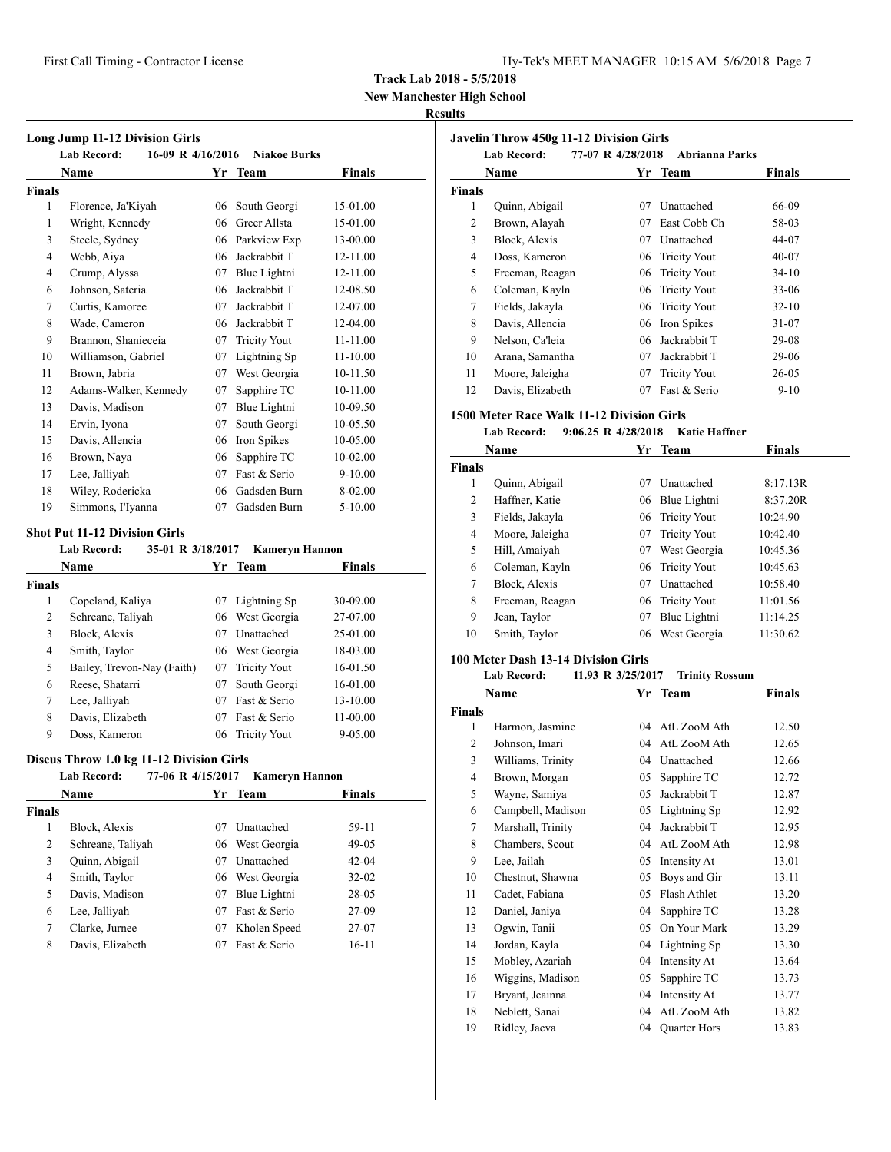**New Manchester High School**

#### **Results**

|                | <b>Long Jump 11-12 Division Girls</b>   |    |                     |              |
|----------------|-----------------------------------------|----|---------------------|--------------|
|                | <b>Lab Record:</b><br>16-09 R 4/16/2016 |    | <b>Niakoe Burks</b> |              |
|                | <b>Name</b>                             | Yr | Team                | Finals       |
| <b>Finals</b>  |                                         |    |                     |              |
| $\mathbf{1}$   | Florence, Ja'Kiyah                      | 06 | South Georgi        | 15-01.00     |
| 1              | Wright, Kennedy                         | 06 | Greer Allsta        | 15-01.00     |
| 3              | Steele, Sydney                          | 06 | Parkview Exp        | 13-00.00     |
| $\overline{4}$ | Webb, Aiya                              | 06 | Jackrabbit T        | 12-11.00     |
| $\overline{4}$ | Crump, Alyssa                           | 07 | Blue Lightni        | 12-11.00     |
| 6              | Johnson, Sateria                        | 06 | Jackrabbit T        | 12-08.50     |
| 7              | Curtis, Kamoree                         | 07 | Jackrabbit T        | 12-07.00     |
| 8              | Wade, Cameron                           | 06 | Jackrabbit T        | 12-04.00     |
| 9              | Brannon, Shanieceia                     | 07 | <b>Tricity Yout</b> | 11-11.00     |
| 10             | Williamson, Gabriel                     | 07 | Lightning Sp        | $11 - 10.00$ |
| 11             | Brown, Jabria                           | 07 | West Georgia        | 10-11.50     |
| 12             | Adams-Walker, Kennedy                   | 07 | Sapphire TC         | 10-11.00     |
| 13             | Davis, Madison                          | 07 | Blue Lightni        | 10-09.50     |
| 14             | Ervin, Iyona                            | 07 | South Georgi        | 10-05.50     |
| 15             | Davis, Allencia                         | 06 | Iron Spikes         | 10-05.00     |
| 16             | Brown, Naya                             | 06 | Sapphire TC         | 10-02.00     |
| 17             | Lee, Jalliyah                           | 07 | Fast & Serio        | $9 - 10.00$  |
| 18             | Wiley, Rodericka                        | 06 | Gadsden Burn        | 8-02.00      |
| 19             | Simmons, I'Iyanna                       | 07 | Gadsden Burn        | $5 - 10.00$  |

#### **Shot Put 11-12 Division Girls**

**Lab Record: 35-01 R 3/18/2017 Kameryn Hannon**

|               | <b>Name</b>                | Yr | <b>Team</b>         | Finals      |  |
|---------------|----------------------------|----|---------------------|-------------|--|
| <b>Finals</b> |                            |    |                     |             |  |
| 1             | Copeland, Kaliya           | 07 | Lightning Sp        | 30-09.00    |  |
| 2             | Schreane, Taliyah          | 06 | West Georgia        | 27-07.00    |  |
| 3             | Block, Alexis              | 07 | Unattached          | 25-01.00    |  |
| 4             | Smith, Taylor              |    | 06 West Georgia     | 18-03.00    |  |
| 5             | Bailey, Trevon-Nay (Faith) | 07 | <b>Tricity Yout</b> | 16-01.50    |  |
| 6             | Reese, Shatarri            | 07 | South Georgi        | 16-01.00    |  |
| 7             | Lee, Jalliyah              | 07 | Fast & Serio        | 13-10.00    |  |
| 8             | Davis, Elizabeth           | 07 | Fast & Serio        | 11-00.00    |  |
| 9             | Doss, Kameron              | 06 | <b>Tricity Yout</b> | $9 - 05.00$ |  |

#### **Discus Throw 1.0 kg 11-12 Division Girls**

#### **Lab Record: 77-06 R 4/15/2017 Kameryn Hannon**

|        | <b>Name</b>       |    | Yr Team         | <b>Finals</b> |  |
|--------|-------------------|----|-----------------|---------------|--|
| Finals |                   |    |                 |               |  |
| 1      | Block, Alexis     | 07 | Unattached      | 59-11         |  |
| 2      | Schreane, Taliyah |    | 06 West Georgia | $49-05$       |  |
| 3      | Quinn, Abigail    | 07 | Unattached      | $42 - 04$     |  |
| 4      | Smith, Taylor     | 06 | West Georgia    | $32 - 02$     |  |
| 5      | Davis, Madison    | 07 | Blue Lightni    | 28-05         |  |
| 6      | Lee, Jalliyah     | 07 | Fast & Serio    | 27-09         |  |
| 7      | Clarke, Jurnee    | 07 | Kholen Speed    | 27-07         |  |
| 8      | Davis, Elizabeth  | 07 | Fast & Serio    | $16-11$       |  |

|               | <b>Javelin Throw 450g 11-12 Division Girls</b><br><b>Lab Record:</b> | 77-07 R 4/28/2018 | <b>Abrianna Parks</b> |           |
|---------------|----------------------------------------------------------------------|-------------------|-----------------------|-----------|
|               | Name                                                                 | Yr                | Team                  | Finals    |
| <b>Finals</b> |                                                                      |                   |                       |           |
| 1             | Quinn, Abigail                                                       | 07                | Unattached            | 66-09     |
| 2             | Brown, Alayah                                                        | 07                | East Cobb Ch          | 58-03     |
| 3             | Block, Alexis                                                        | 07                | Unattached            | 44-07     |
| 4             | Doss, Kameron                                                        | 06                | <b>Tricity Yout</b>   | $40 - 07$ |
| 5             | Freeman, Reagan                                                      | 06                | <b>Tricity Yout</b>   | $34-10$   |
| 6             | Coleman, Kayln                                                       | 06                | <b>Tricity Yout</b>   | $33 - 06$ |
| 7             | Fields, Jakayla                                                      | 06                | <b>Tricity Yout</b>   | $32 - 10$ |
| 8             | Davis, Allencia                                                      | 06                | Iron Spikes           | 31-07     |
| 9             | Nelson, Ca'leia                                                      | 06                | Jackrabbit T          | 29-08     |
| 10            | Arana, Samantha                                                      | 07                | Jackrabbit T          | 29-06     |
| 11            | Moore, Jaleigha                                                      | 07                | <b>Tricity Yout</b>   | $26 - 05$ |
| 12            | Davis, Elizabeth                                                     | 07                | Fast & Serio          | $9-10$    |

#### **1500 Meter Race Walk 11-12 Division Girls**

## **Lab Record: 9:06.25 R 4/28/2018 Katie Haffner**

|               | Name            | Yr. | Team                | <b>Finals</b> |
|---------------|-----------------|-----|---------------------|---------------|
| <b>Finals</b> |                 |     |                     |               |
| 1             | Quinn, Abigail  | 07  | Unattached          | 8:17.13R      |
| 2             | Haffner, Katie  | 06  | Blue Lightni        | 8:37.20R      |
| 3             | Fields, Jakayla |     | 06 Tricity Yout     | 10:24.90      |
| 4             | Moore, Jaleigha | 07  | <b>Tricity Yout</b> | 10:42.40      |
| 5             | Hill, Amaiyah   | 07  | West Georgia        | 10:45.36      |
| 6             | Coleman, Kayln  |     | 06 Tricity Yout     | 10:45.63      |
| 7             | Block, Alexis   | 07  | Unattached          | 10:58.40      |
| 8             | Freeman, Reagan |     | 06 Tricity Yout     | 11:01.56      |
| 9             | Jean, Taylor    | 07  | Blue Lightni        | 11:14.25      |
| 10            | Smith, Taylor   | 06  | West Georgia        | 11:30.62      |

## **100 Meter Dash 13-14 Division Girls**

#### **Lab Record: 11.93 R 3/25/2017 Trinity Rossum**

|                | Name              | Yr | <b>Team</b>         | Finals |  |
|----------------|-------------------|----|---------------------|--------|--|
| Finals         |                   |    |                     |        |  |
| 1              | Harmon, Jasmine   | 04 | AtL ZooM Ath        | 12.50  |  |
| $\overline{c}$ | Johnson, Imari    | 04 | AtL ZooM Ath        | 12.65  |  |
| 3              | Williams, Trinity | 04 | Unattached          | 12.66  |  |
| $\overline{4}$ | Brown, Morgan     | 05 | Sapphire TC         | 12.72  |  |
| 5              | Wayne, Samiya     | 05 | Jackrabbit T        | 12.87  |  |
| 6              | Campbell, Madison | 05 | Lightning Sp        | 12.92  |  |
| 7              | Marshall, Trinity | 04 | Jackrabbit T        | 12.95  |  |
| 8              | Chambers, Scout   | 04 | AtL ZooM Ath        | 12.98  |  |
| 9              | Lee, Jailah       | 05 | Intensity At        | 13.01  |  |
| 10             | Chestnut, Shawna  | 05 | Boys and Gir        | 13.11  |  |
| 11             | Cadet, Fabiana    | 05 | Flash Athlet        | 13.20  |  |
| 12             | Daniel, Janiya    | 04 | Sapphire TC         | 13.28  |  |
| 13             | Ogwin, Tanii      | 05 | On Your Mark        | 13.29  |  |
| 14             | Jordan, Kayla     | 04 | Lightning Sp        | 13.30  |  |
| 15             | Mobley, Azariah   | 04 | Intensity At        | 13.64  |  |
| 16             | Wiggins, Madison  | 05 | Sapphire TC         | 13.73  |  |
| 17             | Bryant, Jeainna   | 04 | Intensity At        | 13.77  |  |
| 18             | Neblett, Sanai    | 04 | AtL ZooM Ath        | 13.82  |  |
| 19             | Ridley, Jaeva     | 04 | <b>Quarter Hors</b> | 13.83  |  |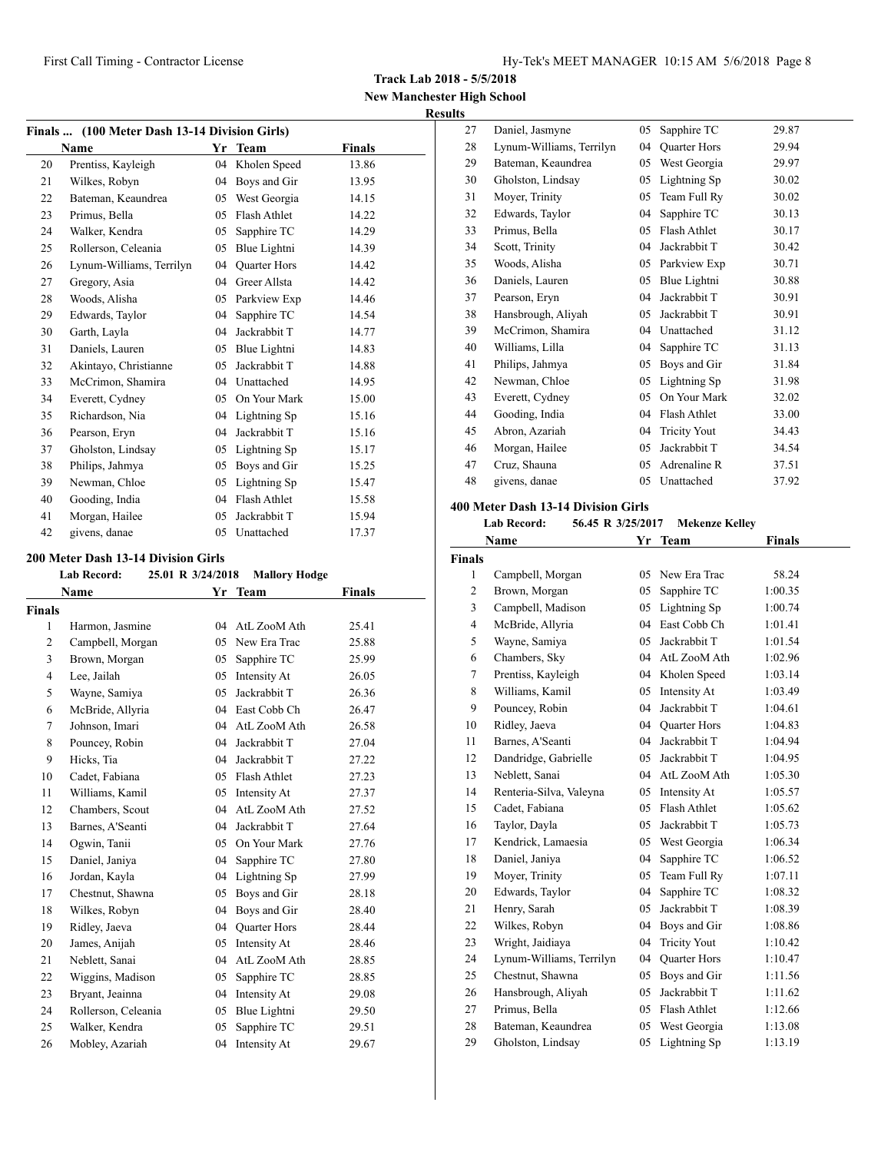**Track Lab 2018 - 5/5/2018**

**New Manchester High School Results**

|    | Finals  (100 Meter Dash 13-14 Division Girls) |    |                     |               |
|----|-----------------------------------------------|----|---------------------|---------------|
|    | Name                                          | Yr | <b>Team</b>         | <b>Finals</b> |
| 20 | Prentiss, Kayleigh                            | 04 | Kholen Speed        | 13.86         |
| 21 | Wilkes, Robyn                                 | 04 | Boys and Gir        | 13.95         |
| 22 | Bateman, Keaundrea                            | 05 | West Georgia        | 14.15         |
| 23 | Primus, Bella                                 | 05 | Flash Athlet        | 14.22         |
| 24 | Walker, Kendra                                | 05 | Sapphire TC         | 14.29         |
| 25 | Rollerson, Celeania                           | 05 | Blue Lightni        | 14.39         |
| 26 | Lynum-Williams, Terrilyn                      | 04 | <b>Quarter Hors</b> | 14.42         |
| 27 | Gregory, Asia                                 | 04 | Greer Allsta        | 14.42         |
| 28 | Woods, Alisha                                 | 05 | Parkview Exp        | 14.46         |
| 29 | Edwards, Taylor                               | 04 | Sapphire TC         | 14.54         |
| 30 | Garth, Layla                                  | 04 | Jackrabbit T        | 14.77         |
| 31 | Daniels, Lauren                               | 05 | Blue Lightni        | 14.83         |
| 32 | Akintayo, Christianne                         | 05 | Jackrabbit T        | 14.88         |
| 33 | McCrimon, Shamira                             | 04 | Unattached          | 14.95         |
| 34 | Everett, Cydney                               | 05 | On Your Mark        | 15.00         |
| 35 | Richardson, Nia                               | 04 | Lightning Sp        | 15.16         |
| 36 | Pearson, Eryn                                 | 04 | Jackrabbit T        | 15.16         |
| 37 | Gholston, Lindsay                             | 05 | Lightning Sp        | 15.17         |
| 38 | Philips, Jahmya                               | 05 | Boys and Gir        | 15.25         |
| 39 | Newman, Chloe                                 | 05 | Lightning Sp        | 15.47         |
| 40 | Gooding, India                                | 04 | Flash Athlet        | 15.58         |
| 41 | Morgan, Hailee                                | 05 | Jackrabbit T        | 15.94         |
| 42 | givens, danae                                 | 05 | Unattached          | 17.37         |

#### **200 Meter Dash 13-14 Division Girls**

|                | <b>Lab Record:</b>  | 25.01 R 3/24/2018 | <b>Mallory Hodge</b> |        |
|----------------|---------------------|-------------------|----------------------|--------|
|                | Name                |                   | Yr Team              | Finals |
| <b>Finals</b>  |                     |                   |                      |        |
| $\mathbf{1}$   | Harmon, Jasmine     | 04                | AtL ZooM Ath         | 25.41  |
| $\overline{2}$ | Campbell, Morgan    | 05                | New Era Trac         | 25.88  |
| 3              | Brown, Morgan       | 05                | Sapphire TC          | 25.99  |
| $\overline{4}$ | Lee, Jailah         | 05                | Intensity At         | 26.05  |
| 5              | Wayne, Samiya       | 05                | Jackrabbit T         | 26.36  |
| 6              | McBride, Allyria    |                   | 04 East Cobb Ch      | 26.47  |
| 7              | Johnson, Imari      | 04                | AtL ZooM Ath         | 26.58  |
| 8              | Pouncey, Robin      | 04                | Jackrabbit T         | 27.04  |
| 9              | Hicks, Tia          | 04                | Jackrabbit T         | 27.22  |
| 10             | Cadet, Fabiana      | 05                | Flash Athlet         | 27.23  |
| 11             | Williams, Kamil     | 05                | Intensity At         | 27.37  |
| 12             | Chambers, Scout     | 04                | AtL ZooM Ath         | 27.52  |
| 13             | Barnes, A'Seanti    | 04                | Jackrabbit T         | 27.64  |
| 14             | Ogwin, Tanii        | 05                | On Your Mark         | 27.76  |
| 15             | Daniel, Janiya      | 04                | Sapphire TC          | 27.80  |
| 16             | Jordan, Kayla       | 04                | Lightning Sp         | 27.99  |
| 17             | Chestnut, Shawna    | 05                | Boys and Gir         | 28.18  |
| 18             | Wilkes, Robyn       | 04                | Boys and Gir         | 28.40  |
| 19             | Ridley, Jaeva       | 04                | <b>Ouarter Hors</b>  | 28.44  |
| 20             | James, Anijah       | 05                | Intensity At         | 28.46  |
| 21             | Neblett, Sanai      | 04                | AtL ZooM Ath         | 28.85  |
| 22             | Wiggins, Madison    | 05                | Sapphire TC          | 28.85  |
| 23             | Bryant, Jeainna     | 04                | Intensity At         | 29.08  |
| 24             | Rollerson, Celeania | 05                | Blue Lightni         | 29.50  |
| 25             | Walker, Kendra      | 05                | Sapphire TC          | 29.51  |
| 26             | Mobley, Azariah     | 04                | Intensity At         | 29.67  |

| 27 | Daniel, Jasmyne          | 05 | Sapphire TC         | 29.87 |
|----|--------------------------|----|---------------------|-------|
| 28 | Lynum-Williams, Terrilyn | 04 | Quarter Hors        | 29.94 |
| 29 | Bateman, Keaundrea       | 05 | West Georgia        | 29.97 |
| 30 | Gholston, Lindsay        | 05 | Lightning Sp        | 30.02 |
| 31 | Moyer, Trinity           | 05 | Team Full Ry        | 30.02 |
| 32 | Edwards, Taylor          | 04 | Sapphire TC         | 30.13 |
| 33 | Primus, Bella            | 05 | Flash Athlet        | 30.17 |
| 34 | Scott, Trinity           | 04 | Jackrabbit T        | 30.42 |
| 35 | Woods, Alisha            | 05 | Parkview Exp        | 30.71 |
| 36 | Daniels, Lauren          | 05 | Blue Lightni        | 30.88 |
| 37 | Pearson, Eryn            | 04 | Jackrabbit T        | 30.91 |
| 38 | Hansbrough, Aliyah       | 05 | Jackrabbit T        | 30.91 |
| 39 | McCrimon, Shamira        | 04 | Unattached          | 31.12 |
| 40 | Williams, Lilla          | 04 | Sapphire TC         | 31.13 |
| 41 | Philips, Jahmya          | 05 | Boys and Gir        | 31.84 |
| 42 | Newman, Chloe            | 05 | Lightning Sp        | 31.98 |
| 43 | Everett, Cydney          | 05 | On Your Mark        | 32.02 |
| 44 | Gooding, India           | 04 | Flash Athlet        | 33.00 |
| 45 | Abron, Azariah           | 04 | <b>Tricity Yout</b> | 34.43 |
| 46 | Morgan, Hailee           | 05 | Jackrabbit T        | 34.54 |
| 47 | Cruz, Shauna             | 05 | Adrenaline R        | 37.51 |
| 48 | givens, danae            | 05 | Unattached          | 37.92 |
|    |                          |    |                     |       |

## **400 Meter Dash 13-14 Division Girls**

| <b>Lab Record:</b> |  | 56.45 R 3/25/2017 | Mekenze Kelley |
|--------------------|--|-------------------|----------------|
|--------------------|--|-------------------|----------------|

|                | Name                     | Yr | Team                | Finals  |  |
|----------------|--------------------------|----|---------------------|---------|--|
| <b>Finals</b>  |                          |    |                     |         |  |
| 1              | Campbell, Morgan         | 05 | New Era Trac        | 58.24   |  |
| 2              | Brown, Morgan            | 05 | Sapphire TC         | 1:00.35 |  |
| 3              | Campbell, Madison        | 05 | Lightning Sp        | 1:00.74 |  |
| $\overline{4}$ | McBride, Allyria         | 04 | East Cobb Ch        | 1:01.41 |  |
| 5              | Wayne, Samiya            | 05 | Jackrabbit T        | 1:01.54 |  |
| 6              | Chambers, Sky            |    | 04 AtL ZooM Ath     | 1:02.96 |  |
| 7              | Prentiss, Kayleigh       | 04 | Kholen Speed        | 1:03.14 |  |
| 8              | Williams, Kamil          | 05 | Intensity At        | 1:03.49 |  |
| 9              | Pouncey, Robin           | 04 | Jackrabbit T        | 1:04.61 |  |
| 10             | Ridley, Jaeva            | 04 | Quarter Hors        | 1:04.83 |  |
| 11             | Barnes, A'Seanti         | 04 | Jackrabbit T        | 1:04.94 |  |
| 12             | Dandridge, Gabrielle     | 05 | Jackrabbit T        | 1:04.95 |  |
| 13             | Neblett, Sanai           | 04 | AtL ZooM Ath        | 1:05.30 |  |
| 14             | Renteria-Silva, Valeyna  | 05 | Intensity At        | 1:05.57 |  |
| 15             | Cadet. Fabiana           | 05 | Flash Athlet        | 1:05.62 |  |
| 16             | Taylor, Dayla            | 05 | Jackrabbit T        | 1:05.73 |  |
| 17             | Kendrick, Lamaesia       | 05 | West Georgia        | 1:06.34 |  |
| 18             | Daniel, Janiya           | 04 | Sapphire TC         | 1:06.52 |  |
| 19             | Moyer, Trinity           | 05 | Team Full Ry        | 1:07.11 |  |
| 20             | Edwards, Taylor          | 04 | Sapphire TC         | 1:08.32 |  |
| 21             | Henry, Sarah             | 05 | Jackrabbit T        | 1:08.39 |  |
| 22             | Wilkes, Robyn            | 04 | Boys and Gir        | 1:08.86 |  |
| 23             | Wright, Jaidiaya         | 04 | <b>Tricity Yout</b> | 1:10.42 |  |
| 24             | Lynum-Williams, Terrilyn | 04 | <b>Ouarter Hors</b> | 1:10.47 |  |
| 25             | Chestnut, Shawna         | 05 | Boys and Gir        | 1:11.56 |  |
| 26             | Hansbrough, Aliyah       | 05 | Jackrabbit T        | 1:11.62 |  |
| 27             | Primus, Bella            | 05 | Flash Athlet        | 1:12.66 |  |
| 28             | Bateman, Keaundrea       | 05 | West Georgia        | 1:13.08 |  |
| 29             | Gholston, Lindsay        | 05 | Lightning Sp        | 1:13.19 |  |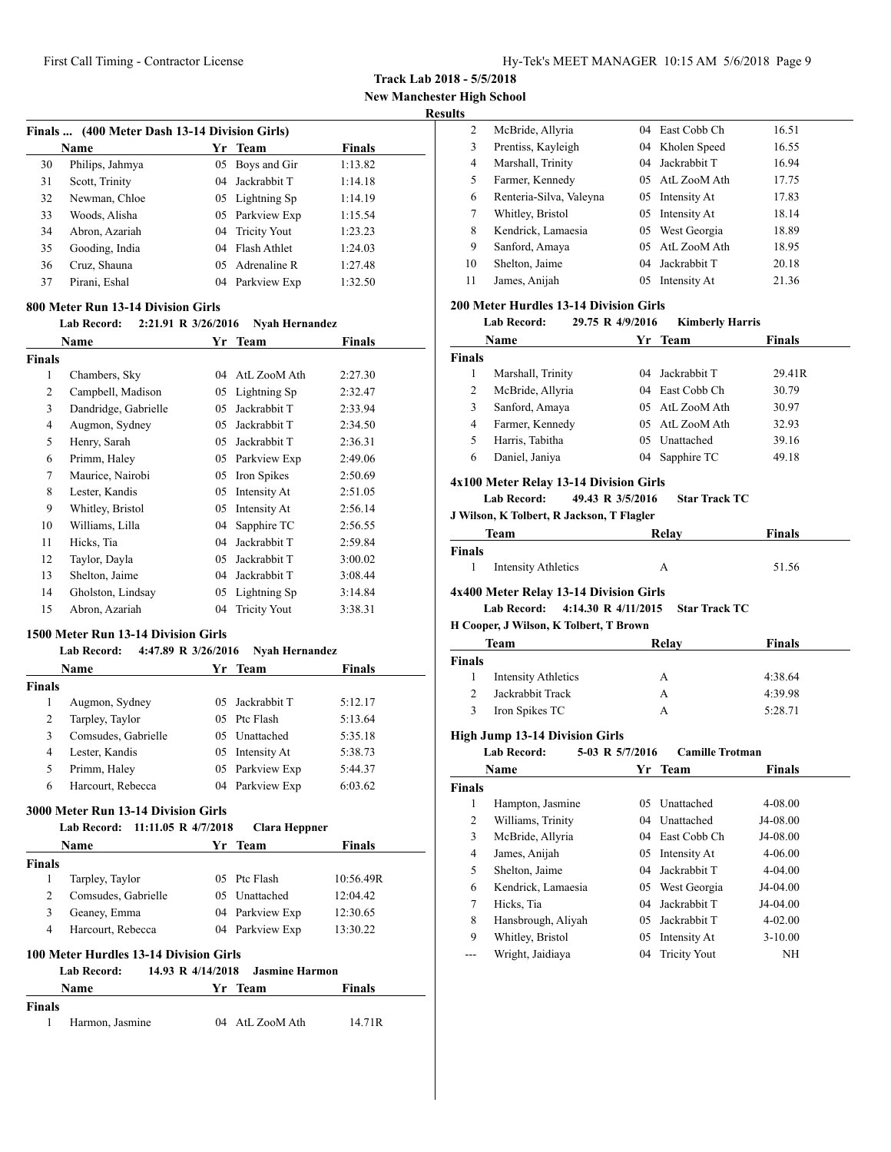**Track Lab 2018 - 5/5/2018**

**New Manchester High School**

|--|

| Finals  (400 Meter Dash 13-14 Division Girls) |                 |    |                 |               |  |
|-----------------------------------------------|-----------------|----|-----------------|---------------|--|
|                                               | Name            |    | Yr Team         | <b>Finals</b> |  |
| 30                                            | Philips, Jahmya |    | 05 Boys and Gir | 1:13.82       |  |
| 31                                            | Scott, Trinity  |    | 04 Jackrabbit T | 1:14.18       |  |
| 32                                            | Newman, Chloe   |    | 05 Lightning Sp | 1:14.19       |  |
| 33                                            | Woods, Alisha   |    | 05 Parkview Exp | 1:15.54       |  |
| 34                                            | Abron, Azariah  |    | 04 Tricity Yout | 1:23.23       |  |
| 35                                            | Gooding, India  |    | 04 Flash Athlet | 1:24.03       |  |
| 36                                            | Cruz, Shauna    |    | 05 Adrenaline R | 1:27.48       |  |
| 37                                            | Pirani, Eshal   | 04 | Parkview Exp    | 1:32.50       |  |

#### **800 Meter Run 13-14 Division Girls**

#### **Lab Record: 2:21.91 R 3/26/2016 Nyah Hernandez**

| Name                 | Yr | <b>Team</b>         | <b>Finals</b> |
|----------------------|----|---------------------|---------------|
|                      |    |                     |               |
| Chambers, Sky        | 04 | AtL ZooM Ath        | 2:27.30       |
| Campbell, Madison    | 05 | Lightning Sp        | 2:32.47       |
| Dandridge, Gabrielle | 05 | Jackrabbit T        | 2:33.94       |
| Augmon, Sydney       | 05 | Jackrabbit T        | 2:34.50       |
| Henry, Sarah         | 05 | Jackrabbit T        | 2:36.31       |
| Primm, Haley         | 05 | Parkview Exp        | 2:49.06       |
| Maurice, Nairobi     | 05 | Iron Spikes         | 2:50.69       |
| Lester, Kandis       | 05 | Intensity At        | 2:51.05       |
| Whitley, Bristol     | 05 | Intensity At        | 2:56.14       |
| Williams, Lilla      | 04 | Sapphire TC         | 2:56.55       |
| Hicks, Tia           | 04 | Jackrabbit T        | 2:59.84       |
| Taylor, Dayla        | 05 | Jackrabbit T        | 3:00.02       |
| Shelton, Jaime       | 04 | Jackrabbit T        | 3:08.44       |
| Gholston, Lindsay    | 05 | Lightning Sp        | 3:14.84       |
| Abron, Azariah       | 04 | <b>Tricity Yout</b> | 3:38.31       |
|                      |    |                     |               |

## **1500 Meter Run 13-14 Division Girls**

#### **Lab Record: 4:47.89 R 3/26/2016 Nyah Hernandez**

| <b>Name</b>   |                     | Yr Team         | <b>Finals</b> |  |
|---------------|---------------------|-----------------|---------------|--|
| <b>Finals</b> |                     |                 |               |  |
|               | Augmon, Sydney      | 05 Jackrabbit T | 5:12.17       |  |
| 2             | Tarpley, Taylor     | 05 Ptc Flash    | 5:13.64       |  |
| 3             | Comsudes, Gabrielle | 05 Unattached   | 5:35.18       |  |
| 4             | Lester, Kandis      | 05 Intensity At | 5:38.73       |  |
| 5             | Primm, Haley        | 05 Parkview Exp | 5:44.37       |  |
| 6             | Harcourt, Rebecca   | 04 Parkview Exp | 6:03.62       |  |
|               |                     |                 |               |  |

## **3000 Meter Run 13-14 Division Girls**

|        | 11:11.05 R 4/7/2018<br><b>Lab Record:</b> |     | Clara Heppner   |               |
|--------|-------------------------------------------|-----|-----------------|---------------|
|        | Name                                      | Yr. | Team            | <b>Finals</b> |
| Finals |                                           |     |                 |               |
|        | Tarpley, Taylor                           |     | 05 Ptc Flash    | 10:56.49R     |
|        | Comsudes, Gabrielle                       |     | 05 Unattached   | 12:04.42      |
|        | Geaney, Emma                              |     | 04 Parkview Exp | 12:30.65      |
| 4      | Harcourt, Rebecca                         |     | 04 Parkview Exp | 13:30.22      |

## **100 Meter Hurdles 13-14 Division Girls**

|               | Lab Record:     | 14.93 R 4/14/2018 Jasmine Harmon |                 |        |
|---------------|-----------------|----------------------------------|-----------------|--------|
|               | Name            |                                  | Yr Team         | Finals |
| <b>Finals</b> |                 |                                  |                 |        |
|               | Harmon, Jasmine |                                  | 04 AtL ZooM Ath | 14.71R |

| 2  | McBride, Allyria        | 04. | East Cobb Ch    | 16.51 |
|----|-------------------------|-----|-----------------|-------|
| 3  | Prentiss, Kayleigh      |     | 04 Kholen Speed | 16.55 |
| 4  | Marshall, Trinity       | 04. | Jackrabbit T    | 16.94 |
| 5  | Farmer, Kennedy         |     | 05 AtL ZooM Ath | 17.75 |
| 6  | Renteria-Silva, Valeyna | 05  | Intensity At    | 17.83 |
| 7  | Whitley, Bristol        | 05  | Intensity At    | 18.14 |
| 8  | Kendrick, Lamaesia      |     | 05 West Georgia | 18.89 |
| 9  | Sanford, Amaya          | 05. | AtL ZooM Ath    | 18.95 |
| 10 | Shelton, Jaime          | 04  | Jackrabbit T    | 20.18 |
| 11 | James, Anijah           | 05  | Intensity At    | 21.36 |
|    |                         |     |                 |       |

#### **200 Meter Hurdles 13-14 Division Girls**

|                | <b>Lab Record:</b>                                                                                                            | 29.75 R 4/9/2016 | <b>Kimberly Harris</b> |               |
|----------------|-------------------------------------------------------------------------------------------------------------------------------|------------------|------------------------|---------------|
|                | Name                                                                                                                          | Yr               | Team                   | Finals        |
| Finals         |                                                                                                                               |                  |                        |               |
| 1              | Marshall, Trinity                                                                                                             | 04               | Jackrabbit T           | 29.41R        |
| 2              | McBride, Allyria                                                                                                              |                  | 04 East Cobb Ch        | 30.79         |
| 3              | Sanford, Amaya                                                                                                                |                  | 05 AtL ZooM Ath        | 30.97         |
| 4              | Farmer, Kennedy                                                                                                               |                  | 05 AtL ZooM Ath        | 32.93         |
| 5              | Harris, Tabitha                                                                                                               |                  | 05 Unattached          | 39.16         |
| 6              | Daniel, Janiya                                                                                                                |                  | 04 Sapphire TC         | 49.18         |
|                | 4x100 Meter Relay 13-14 Division Girls                                                                                        |                  |                        |               |
|                | <b>Lab Record:</b>                                                                                                            | 49.43 R 3/5/2016 | <b>Star Track TC</b>   |               |
|                | J Wilson, K Tolbert, R Jackson, T Flagler                                                                                     |                  |                        |               |
|                | Team                                                                                                                          |                  | Relay                  | Finals        |
| Finals         |                                                                                                                               |                  |                        |               |
| 1              | <b>Intensity Athletics</b>                                                                                                    |                  | A                      | 51.56         |
|                | 4x400 Meter Relay 13-14 Division Girls<br>4:14.30 R 4/11/2015<br><b>Lab Record:</b><br>H Cooper, J Wilson, K Tolbert, T Brown |                  | <b>Star Track TC</b>   |               |
|                | Team                                                                                                                          |                  | Relay                  | <b>Finals</b> |
| <b>Finals</b>  |                                                                                                                               |                  |                        |               |
| 1              | <b>Intensity Athletics</b>                                                                                                    |                  | A                      | 4:38.64       |
| $\overline{c}$ | Jackrabbit Track                                                                                                              |                  | A                      | 4:39.98       |
| 3              | Iron Spikes TC                                                                                                                |                  | A                      | 5:28.71       |
|                | <b>High Jump 13-14 Division Girls</b>                                                                                         |                  |                        |               |
|                | <b>Lab Record:</b>                                                                                                            | 5-03 R 5/7/2016  | <b>Camille Trotman</b> |               |
|                | Name                                                                                                                          | Yr               | <b>Team</b>            | Finals        |
| <b>Finals</b>  |                                                                                                                               |                  |                        |               |
| 1              | Hampton, Jasmine                                                                                                              |                  | 05 Unattached          | 4-08.00       |
| $\overline{c}$ | Williams, Trinity                                                                                                             |                  | 04 Unattached          | J4-08.00      |
| 3              | McBride, Allyria                                                                                                              |                  | 04 East Cobb Ch        | J4-08.00      |
| 4              | James, Anijah                                                                                                                 |                  | 05 Intensity At        | 4-06.00       |
| 5              | Shelton, Jaime                                                                                                                | 04               | Jackrabbit T           | 4-04.00       |
| 6              | Kendrick, Lamaesia                                                                                                            | 05               | West Georgia           | J4-04.00      |
| 7              | Hicks, Tia                                                                                                                    | 04               | Jackrabbit T           | J4-04.00      |
| 8              | Hansbrough, Aliyah                                                                                                            | 05               | Jackrabbit T           | 4-02.00       |
| 9              | Whitley, Bristol                                                                                                              | 05               | Intensity At           | $3-10.00$     |
| ---            | Wright, Jaidiaya                                                                                                              | 04               | <b>Tricity Yout</b>    | NΗ            |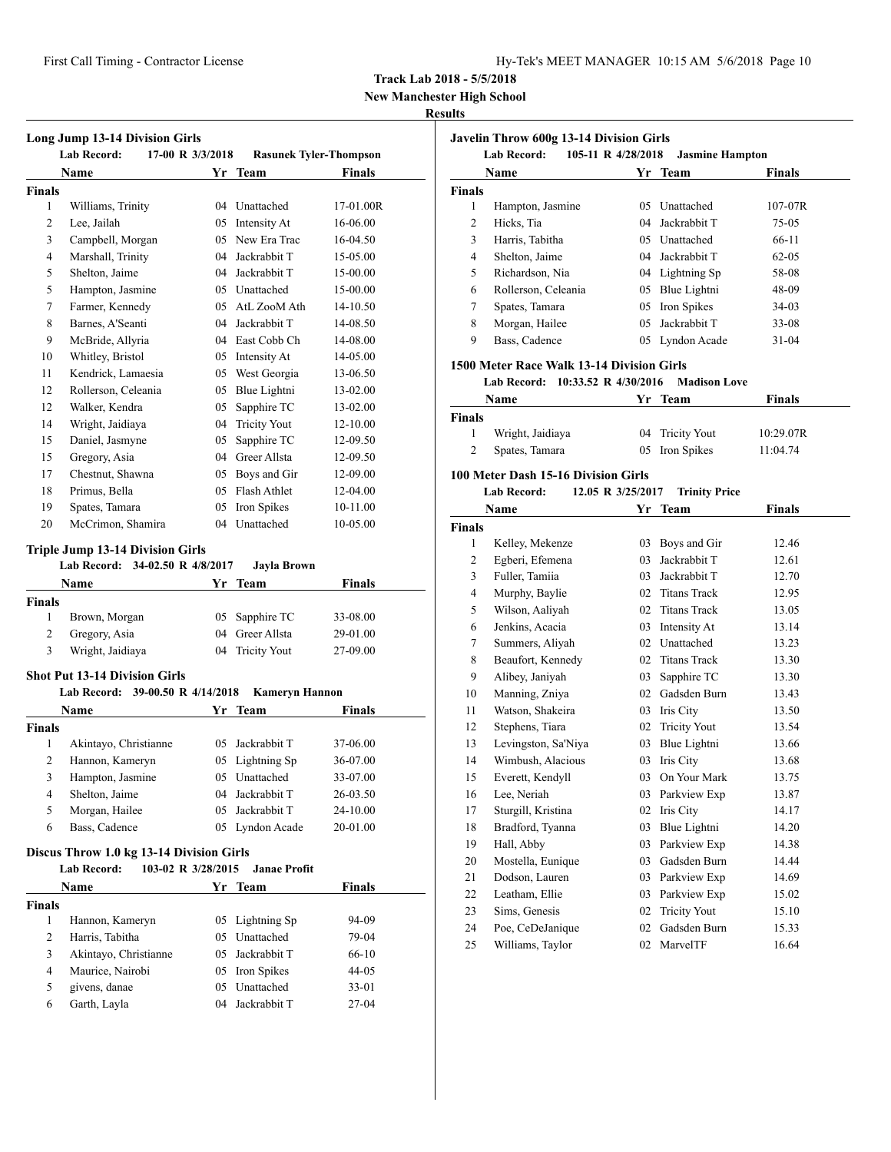**New Manchester High School**

## **Results**

| Long Jump 13-14 Division Girls<br><b>Lab Record:</b><br>17-00 R 3/3/2018<br><b>Rasunek Tyler-Thompson</b> |                                                                                                                          |          |                                                                                                                |                                                                         |
|-----------------------------------------------------------------------------------------------------------|--------------------------------------------------------------------------------------------------------------------------|----------|----------------------------------------------------------------------------------------------------------------|-------------------------------------------------------------------------|
|                                                                                                           | Name                                                                                                                     |          | Yr Team                                                                                                        | <b>Finals</b>                                                           |
| Finals                                                                                                    |                                                                                                                          |          |                                                                                                                |                                                                         |
| 1                                                                                                         | Williams, Trinity                                                                                                        |          | 04 Unattached                                                                                                  | 17-01.00R                                                               |
| 2                                                                                                         | Lee, Jailah                                                                                                              |          | 05 Intensity At                                                                                                | 16-06.00                                                                |
| 3                                                                                                         | Campbell, Morgan                                                                                                         |          | 05 New Era Trac                                                                                                | 16-04.50                                                                |
| $\overline{4}$                                                                                            | Marshall, Trinity                                                                                                        | 04       | Jackrabbit T                                                                                                   | 15-05.00                                                                |
| 5                                                                                                         | Shelton, Jaime                                                                                                           |          | 04 Jackrabbit T                                                                                                | 15-00.00                                                                |
| 5                                                                                                         | Hampton, Jasmine                                                                                                         |          | 05 Unattached                                                                                                  | 15-00.00                                                                |
| 7                                                                                                         | Farmer, Kennedy                                                                                                          |          | 05 AtL ZooM Ath                                                                                                | 14-10.50                                                                |
| 8                                                                                                         | Barnes, A'Seanti                                                                                                         |          | 04 Jackrabbit T                                                                                                | 14-08.50                                                                |
| 9                                                                                                         | McBride, Allyria                                                                                                         |          | 04 East Cobb Ch                                                                                                | 14-08.00                                                                |
| 10                                                                                                        | Whitley, Bristol                                                                                                         |          | 05 Intensity At                                                                                                | 14-05.00                                                                |
| 11                                                                                                        | Kendrick, Lamaesia                                                                                                       |          | 05 West Georgia                                                                                                | 13-06.50                                                                |
| 12                                                                                                        | Rollerson, Celeania                                                                                                      |          | 05 Blue Lightni                                                                                                | 13-02.00                                                                |
| 12                                                                                                        | Walker, Kendra                                                                                                           | 05       | Sapphire TC                                                                                                    | 13-02.00                                                                |
| 14                                                                                                        | Wright, Jaidiaya                                                                                                         | 04       | <b>Tricity Yout</b>                                                                                            | 12-10.00                                                                |
| 15                                                                                                        | Daniel, Jasmyne                                                                                                          | 05       | Sapphire TC                                                                                                    | 12-09.50                                                                |
| 15                                                                                                        | Gregory, Asia                                                                                                            |          | 04 Greer Allsta                                                                                                | 12-09.50                                                                |
| 17                                                                                                        | Chestnut, Shawna                                                                                                         |          | 05 Boys and Gir                                                                                                | 12-09.00                                                                |
| 18                                                                                                        | Primus, Bella                                                                                                            |          | 05 Flash Athlet                                                                                                | 12-04.00                                                                |
| 19                                                                                                        | Spates, Tamara                                                                                                           |          | 05 Iron Spikes                                                                                                 | 10-11.00                                                                |
| 20                                                                                                        | McCrimon, Shamira                                                                                                        |          | 04 Unattached                                                                                                  | 10-05.00                                                                |
|                                                                                                           | <b>Triple Jump 13-14 Division Girls</b><br>Lab Record: 34-02.50 R 4/8/2017                                               |          | Jayla Brown                                                                                                    |                                                                         |
|                                                                                                           | <b>Name</b>                                                                                                              | Yr       | <b>Team</b>                                                                                                    | <b>Finals</b>                                                           |
| <b>Finals</b>                                                                                             |                                                                                                                          |          |                                                                                                                |                                                                         |
| 1                                                                                                         | Brown, Morgan                                                                                                            | 05       | Sapphire TC                                                                                                    | 33-08.00                                                                |
| 2                                                                                                         | Gregory, Asia                                                                                                            | 04       | Greer Allsta                                                                                                   | 29-01.00                                                                |
| 3                                                                                                         | Wright, Jaidiaya                                                                                                         | 04       | <b>Tricity Yout</b>                                                                                            | 27-09.00                                                                |
|                                                                                                           | <b>Shot Put 13-14 Division Girls</b>                                                                                     |          |                                                                                                                |                                                                         |
|                                                                                                           | Lab Record: 39-00.50 R 4/14/2018                                                                                         |          | <b>Kameryn Hannon</b>                                                                                          |                                                                         |
|                                                                                                           | Name                                                                                                                     | Yr       | Team                                                                                                           | Finals                                                                  |
| Finals                                                                                                    |                                                                                                                          |          |                                                                                                                |                                                                         |
| 1                                                                                                         | Akintayo, Christianne                                                                                                    |          | 05 Jackrabbit T                                                                                                | 37-06.00                                                                |
| 2                                                                                                         | Hannon, Kameryn                                                                                                          |          | 05 Lightning Sp                                                                                                | 36-07.00                                                                |
| $\overline{\mathbf{3}}$                                                                                   | Hampton, Jasmine                                                                                                         |          | 05 Unattached                                                                                                  | 33-07.00                                                                |
| 4                                                                                                         | Shelton, Jaime                                                                                                           |          | 04 Jackrabbit T                                                                                                | 26-03.50                                                                |
| 5                                                                                                         | Morgan, Hailee                                                                                                           | 05       | Jackrabbit T                                                                                                   | 24-10.00                                                                |
| 6                                                                                                         | Bass, Cadence                                                                                                            |          | 05 Lyndon Acade                                                                                                | 20-01.00                                                                |
|                                                                                                           | Discus Throw 1.0 kg 13-14 Division Girls<br>103-02 R 3/28/2015                                                           |          |                                                                                                                |                                                                         |
|                                                                                                           | <b>Lab Record:</b>                                                                                                       |          | <b>Janae Profit</b>                                                                                            |                                                                         |
|                                                                                                           |                                                                                                                          |          |                                                                                                                |                                                                         |
|                                                                                                           |                                                                                                                          |          |                                                                                                                |                                                                         |
|                                                                                                           |                                                                                                                          |          |                                                                                                                |                                                                         |
|                                                                                                           |                                                                                                                          |          |                                                                                                                |                                                                         |
|                                                                                                           |                                                                                                                          |          |                                                                                                                |                                                                         |
|                                                                                                           |                                                                                                                          |          |                                                                                                                |                                                                         |
|                                                                                                           |                                                                                                                          |          |                                                                                                                |                                                                         |
| Finals<br>1<br>$\mathbf{2}$<br>3<br>4<br>5<br>6                                                           | Name<br>Hannon, Kameryn<br>Harris, Tabitha<br>Akintayo, Christianne<br>Maurice, Nairobi<br>givens, danae<br>Garth, Layla | 05<br>05 | Yr Team<br>Lightning Sp<br>Unattached<br>05 Jackrabbit T<br>05 Iron Spikes<br>05 Unattached<br>04 Jackrabbit T | <b>Finals</b><br>94-09<br>79-04<br>66-10<br>44-05<br>$33 - 01$<br>27-04 |

| Javelin Throw 600g 13-14 Division Girls<br><b>Lab Record:</b><br>105-11 R 4/28/2018<br><b>Jasmine Hampton</b> |                                            |                   |                                     |                |
|---------------------------------------------------------------------------------------------------------------|--------------------------------------------|-------------------|-------------------------------------|----------------|
|                                                                                                               | Name                                       |                   | Yr Team                             | <b>Finals</b>  |
| <b>Finals</b>                                                                                                 |                                            |                   |                                     |                |
| 1                                                                                                             | Hampton, Jasmine                           | 05                | Unattached                          | 107-07R        |
| 2                                                                                                             | Hicks, Tia                                 | 04                | Jackrabbit T                        | $75-05$        |
| 3                                                                                                             | Harris, Tabitha                            |                   | 05 Unattached                       | 66-11          |
| $\overline{4}$                                                                                                | Shelton, Jaime                             | 04                | Jackrabbit T                        | $62 - 05$      |
| 5                                                                                                             | Richardson, Nia                            |                   | 04 Lightning Sp                     | 58-08          |
| 6                                                                                                             | Rollerson, Celeania                        | 05                | Blue Lightni                        | 48-09          |
| 7                                                                                                             | Spates, Tamara                             | 05                | Iron Spikes                         | 34-03          |
| 8                                                                                                             | Morgan, Hailee                             | 05                | Jackrabbit T                        | $33-08$        |
| 9                                                                                                             | Bass, Cadence                              | 05                | Lyndon Acade                        | $31-04$        |
|                                                                                                               | 1500 Meter Race Walk 13-14 Division Girls  |                   |                                     |                |
|                                                                                                               | 10:33.52 R 4/30/2016<br><b>Lab Record:</b> |                   | <b>Madison Love</b>                 |                |
|                                                                                                               | Name                                       |                   | Yr Team                             | <b>Finals</b>  |
| <b>Finals</b>                                                                                                 |                                            |                   |                                     |                |
| 1                                                                                                             | Wright, Jaidiaya                           | 04                | <b>Tricity Yout</b>                 | 10:29.07R      |
| 2                                                                                                             | Spates, Tamara                             | 05                | Iron Spikes                         | 11:04.74       |
|                                                                                                               |                                            |                   |                                     |                |
|                                                                                                               | 100 Meter Dash 15-16 Division Girls        |                   |                                     |                |
|                                                                                                               | <b>Lab Record:</b>                         | 12.05 R 3/25/2017 | <b>Trinity Price</b>                |                |
|                                                                                                               | Name                                       | Yr                | Team                                | <b>Finals</b>  |
| <b>Finals</b>                                                                                                 |                                            |                   |                                     |                |
| 1                                                                                                             | Kelley, Mekenze                            | 03                | Boys and Gir                        | 12.46          |
| $\overline{c}$<br>3                                                                                           | Egberi, Efemena<br>Fuller, Tamiia          | 03                | Jackrabbit T                        | 12.61          |
|                                                                                                               |                                            | 03<br>02          | Jackrabbit T                        | 12.70          |
| 4                                                                                                             | Murphy, Baylie<br>Wilson, Aaliyah          |                   | <b>Titans Track</b>                 | 12.95          |
| 5                                                                                                             | Jenkins, Acacia                            | 02                | <b>Titans Track</b>                 | 13.05          |
| 6                                                                                                             |                                            | 03                | Intensity At<br>Unattached          | 13.14          |
| 7                                                                                                             | Summers, Aliyah                            | 02                |                                     | 13.23          |
| 8<br>9                                                                                                        | Beaufort, Kennedy<br>Alibey, Janiyah       | 02                | Titans Track                        | 13.30          |
|                                                                                                               |                                            | 03                | Sapphire TC<br>Gadsden Burn         | 13.30          |
| 10                                                                                                            | Manning, Zniya<br>Watson, Shakeira         | 02                | Iris City                           | 13.43          |
| 11<br>12                                                                                                      |                                            | 03                |                                     | 13.50          |
| 13                                                                                                            | Stephens, Tiara<br>Levingston, Sa'Niya     | 02<br>03          | <b>Tricity Yout</b><br>Blue Lightni | 13.54<br>13.66 |
| 14                                                                                                            | Wimbush, Alacious                          | 03                | Iris City                           |                |
| 15                                                                                                            |                                            |                   | 03 On Your Mark                     | 13.68          |
|                                                                                                               | Everett, Kendyll<br>Lee, Neriah            |                   | Parkview Exp                        | 13.75          |
| 16<br>17                                                                                                      |                                            | 03<br>02          | Iris City                           | 13.87          |
| 18                                                                                                            | Sturgill, Kristina<br>Bradford, Tyanna     | 03                | Blue Lightni                        | 14.17<br>14.20 |
|                                                                                                               |                                            | 03                | Parkview Exp                        |                |
| 19<br>20                                                                                                      | Hall, Abby<br>Mostella, Eunique            | 03                | Gadsden Burn                        | 14.38<br>14.44 |
|                                                                                                               |                                            |                   |                                     |                |
| 21                                                                                                            | Dodson, Lauren<br>Leatham, Ellie           | 03                | Parkview Exp                        | 14.69          |
| 22                                                                                                            |                                            | 03                | Parkview Exp                        | 15.02          |
| 23                                                                                                            | Sims, Genesis                              | 02                | <b>Tricity Yout</b>                 | 15.10          |
| 24                                                                                                            | Poe, CeDeJanique                           | 02                | Gadsden Burn                        | 15.33          |
| 25                                                                                                            | Williams, Taylor                           | 02                | MarvelTF                            | 16.64          |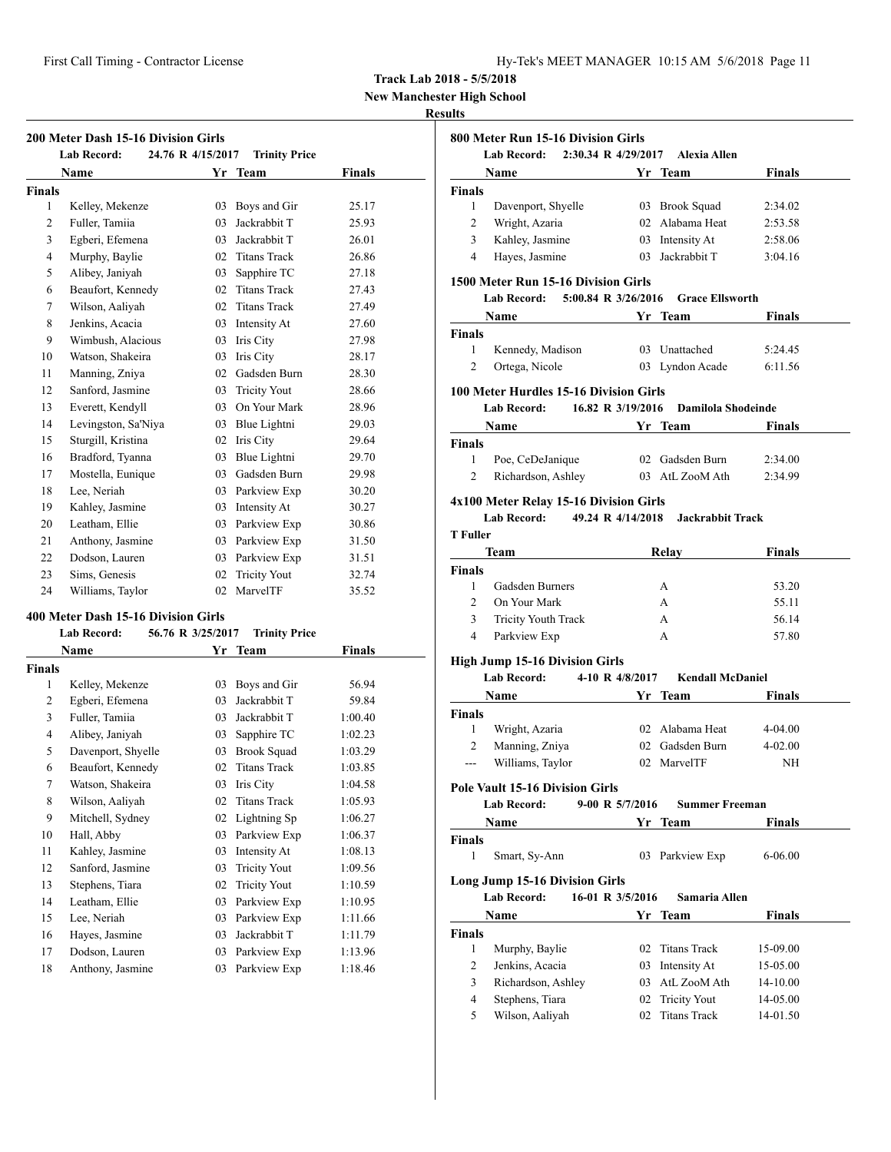| Hy-Tek's MEET MANAGER 10:15 AM 5/6/2018 Page 11 |  |  |  |
|-------------------------------------------------|--|--|--|
|-------------------------------------------------|--|--|--|

**New Manchester High School**

#### **Results**

| 200 Meter Dash 15-16 Division Girls |                                                                                                        |                   |                      |        |  |
|-------------------------------------|--------------------------------------------------------------------------------------------------------|-------------------|----------------------|--------|--|
|                                     | <b>Lab Record:</b>                                                                                     | 24.76 R 4/15/2017 | <b>Trinity Price</b> |        |  |
|                                     | Name                                                                                                   |                   | Yr Team              | Finals |  |
| <b>Finals</b>                       |                                                                                                        |                   |                      |        |  |
| 1                                   | Kelley, Mekenze                                                                                        | 03                | Boys and Gir         | 25.17  |  |
| $\overline{2}$                      | Fuller, Tamiia                                                                                         | 03                | Jackrabbit T         | 25.93  |  |
| 3                                   | Egberi, Efemena                                                                                        | 03                | Jackrabbit T         | 26.01  |  |
| $\overline{4}$                      | Murphy, Baylie                                                                                         |                   | 02 Titans Track      | 26.86  |  |
| 5                                   | Alibey, Janiyah                                                                                        | 03                | Sapphire TC          | 27.18  |  |
| 6                                   | Beaufort, Kennedy                                                                                      | 02                | <b>Titans Track</b>  | 27.43  |  |
| 7                                   | Wilson, Aaliyah                                                                                        | 02                | <b>Titans Track</b>  | 27.49  |  |
| 8                                   | Jenkins, Acacia                                                                                        | 03                | Intensity At         | 27.60  |  |
| 9                                   | Wimbush, Alacious                                                                                      | 03                | Iris City            | 27.98  |  |
| 10                                  | Watson, Shakeira                                                                                       | 03                | Iris City            | 28.17  |  |
| 11                                  | Manning, Zniya                                                                                         | 02                | Gadsden Burn         | 28.30  |  |
| 12                                  | Sanford, Jasmine                                                                                       | 03                | <b>Tricity Yout</b>  | 28.66  |  |
| 13                                  | Everett, Kendyll                                                                                       | 03                | On Your Mark         | 28.96  |  |
| 14                                  | Levingston, Sa'Niya                                                                                    | 03                | Blue Lightni         | 29.03  |  |
| 15                                  | Sturgill, Kristina                                                                                     | 02                | Iris City            | 29.64  |  |
| 16                                  | Bradford, Tyanna                                                                                       | 03                | Blue Lightni         | 29.70  |  |
| 17                                  | Mostella, Eunique                                                                                      | 03                | Gadsden Burn         | 29.98  |  |
| 18                                  | Lee, Neriah                                                                                            |                   | 03 Parkview Exp      | 30.20  |  |
| 19                                  | Kahley, Jasmine                                                                                        | 03                | Intensity At         | 30.27  |  |
| 20                                  | Leatham, Ellie                                                                                         | 03                | Parkview Exp         | 30.86  |  |
| 21                                  | Anthony, Jasmine                                                                                       | 03                | Parkview Exp         | 31.50  |  |
| 22                                  | Dodson, Lauren                                                                                         | 03                | Parkview Exp         | 31.51  |  |
| 23                                  | Sims, Genesis                                                                                          | 02                | <b>Tricity Yout</b>  | 32.74  |  |
| 24                                  | Williams, Taylor                                                                                       | 02                | MarvelTF             | 35.52  |  |
|                                     | 400 Meter Dash 15-16 Division Girls<br>56.76 R 3/25/2017<br><b>Lab Record:</b><br><b>Trinity Price</b> |                   |                      |        |  |
|                                     | <b>Name</b>                                                                                            | Yr                | <b>Team</b>          | Finals |  |

|                | глашс              |    | тсаш                | г шагэ  |
|----------------|--------------------|----|---------------------|---------|
| <b>Finals</b>  |                    |    |                     |         |
| 1              | Kelley, Mekenze    | 03 | Boys and Gir        | 56.94   |
| $\overline{2}$ | Egberi, Efemena    | 03 | Jackrabbit T        | 59.84   |
| 3              | Fuller, Tamiia     | 03 | Jackrabbit T        | 1:00.40 |
| $\overline{4}$ | Alibey, Janiyah    | 03 | Sapphire TC         | 1:02.23 |
| 5              | Davenport, Shyelle | 03 | <b>Brook Squad</b>  | 1:03.29 |
| 6              | Beaufort, Kennedy  | 02 | <b>Titans Track</b> | 1:03.85 |
| 7              | Watson, Shakeira   | 03 | Iris City           | 1:04.58 |
| 8              | Wilson, Aaliyah    | 02 | <b>Titans Track</b> | 1:05.93 |
| 9              | Mitchell, Sydney   | 02 | Lightning Sp        | 1:06.27 |
| 10             | Hall, Abby         | 03 | Parkview Exp        | 1:06.37 |
| 11             | Kahley, Jasmine    | 03 | Intensity At        | 1:08.13 |
| 12             | Sanford, Jasmine   | 03 | <b>Tricity Yout</b> | 1:09.56 |
| 13             | Stephens, Tiara    | 02 | <b>Tricity Yout</b> | 1:10.59 |
| 14             | Leatham, Ellie     | 03 | Parkview Exp        | 1:10.95 |
| 15             | Lee, Neriah        | 03 | Parkview Exp        | 1:11.66 |
| 16             | Hayes, Jasmine     | 03 | Jackrabbit T        | 1:11.79 |
| 17             | Dodson, Lauren     | 03 | Parkview Exp        | 1:13.96 |
| 18             | Anthony, Jasmine   | 03 | Parkview Exp        | 1:18.46 |
|                |                    |    |                     |         |

|                         | Lab Record: 2:30.34 R 4/29/2017                                        |                   | <b>Alexia Allen</b>                              |                                              |
|-------------------------|------------------------------------------------------------------------|-------------------|--------------------------------------------------|----------------------------------------------|
|                         | <b>Name</b>                                                            |                   | <b>Solution Start Property Property Property</b> | <b>Finals</b>                                |
| Finals                  |                                                                        |                   |                                                  |                                              |
| 1                       | Davenport, Shyelle                                                     |                   | 03 Brook Squad                                   | 2:34.02                                      |
| 2                       | Wright, Azaria                                                         |                   | 02 Alabama Heat                                  | 2:53.58                                      |
| 3                       | Kahley, Jasmine                                                        |                   | 03 Intensity At                                  | 2:58.06                                      |
| 4                       | Hayes, Jasmine                                                         |                   | 03 Jackrabbit T                                  | 3:04.16                                      |
|                         | 1500 Meter Run 15-16 Division Girls<br>Lab Record: 5:00.84 R 3/26/2016 |                   | <b>Grace Ellsworth</b>                           |                                              |
|                         | Name                                                                   |                   | Yr Team                                          | Finals                                       |
| <b>Finals</b>           |                                                                        |                   |                                                  |                                              |
| 1                       | Kennedy, Madison                                                       |                   | 03 Unattached                                    | 5:24.45                                      |
| 2                       | Ortega, Nicole                                                         |                   | 03 Lyndon Acade                                  | 6:11.56                                      |
|                         | 100 Meter Hurdles 15-16 Division Girls                                 |                   |                                                  |                                              |
|                         | <b>Lab Record:</b>                                                     | 16.82 R 3/19/2016 | Damilola Shodeinde                               |                                              |
|                         | Name Yr Team                                                           |                   |                                                  | <b>Finals</b>                                |
| <b>Finals</b>           |                                                                        |                   |                                                  |                                              |
| 1                       | Poe, CeDeJanique                                                       |                   | 02 Gadsden Burn                                  | 2:34.00                                      |
| 2                       | Richardson, Ashley 03 AtL ZooM Ath                                     |                   |                                                  | 2:34.99                                      |
| <b>T</b> Fuller         | 4x100 Meter Relay 15-16 Division Girls<br>Lab Record:                  |                   | 49.24 R 4/14/2018 Jackrabbit Track               |                                              |
|                         | Team                                                                   |                   | Relay                                            | Finals                                       |
| <b>Finals</b>           |                                                                        |                   |                                                  |                                              |
| 1                       | Gadsden Burners                                                        |                   | A                                                | 53.20                                        |
| 2                       | On Your Mark                                                           |                   | $\mathsf{A}$                                     | 55.11                                        |
| 3                       | Tricity Youth Track                                                    |                   | A                                                | 56.14                                        |
| 4                       | Parkview Exp                                                           |                   | A                                                | 57.80                                        |
|                         | <b>High Jump 15-16 Division Girls</b>                                  |                   |                                                  |                                              |
|                         | <b>Lab Record:</b>                                                     | 4-10 R 4/8/2017   | <b>Kendall McDaniel</b>                          |                                              |
|                         | <b>Name</b>                                                            |                   | Yr Team                                          | <b>Finals</b>                                |
| <b>Finals</b>           |                                                                        |                   |                                                  |                                              |
| 1                       | Wright, Azaria                                                         |                   | 02 Alabama Heat                                  | 4-04.00                                      |
| 2                       | Manning, Zniya                                                         |                   | 02 Gadsden Burn                                  | $4 - 02.00$                                  |
| ---                     | Williams, Taylor                                                       |                   | 02 MarvelTF                                      | NH                                           |
|                         | <b>Pole Vault 15-16 Division Girls</b>                                 |                   |                                                  |                                              |
|                         | <b>Lab Record:</b>                                                     | 9-00 R 5/7/2016   | <b>Summer Freeman</b>                            |                                              |
|                         | Name                                                                   |                   | Yr Team                                          | <b>Finals</b>                                |
| <b>Finals</b><br>1      | Smart, Sy-Ann                                                          |                   | 03 Parkview Exp                                  | 6-06.00                                      |
|                         |                                                                        |                   |                                                  |                                              |
|                         | Long Jump 15-16 Division Girls<br><b>Lab Record:</b>                   | 16-01 R 3/5/2016  | Samaria Allen                                    |                                              |
|                         |                                                                        |                   |                                                  |                                              |
|                         | Name                                                                   |                   | Yr Team                                          | <b>Finals</b>                                |
|                         |                                                                        |                   |                                                  |                                              |
| 1                       | Murphy, Baylie                                                         | 02                | <b>Titans Track</b>                              | 15-09.00                                     |
| 2                       | Jenkins, Acacia                                                        | 03                | Intensity At                                     |                                              |
| 3                       | Richardson, Ashley                                                     | 03                | AtL ZooM Ath                                     |                                              |
| <b>Finals</b><br>4<br>5 | Stephens, Tiara<br>Wilson, Aaliyah                                     | 02<br>02          | <b>Tricity Yout</b><br><b>Titans Track</b>       | 15-05.00<br>14-10.00<br>14-05.00<br>14-01.50 |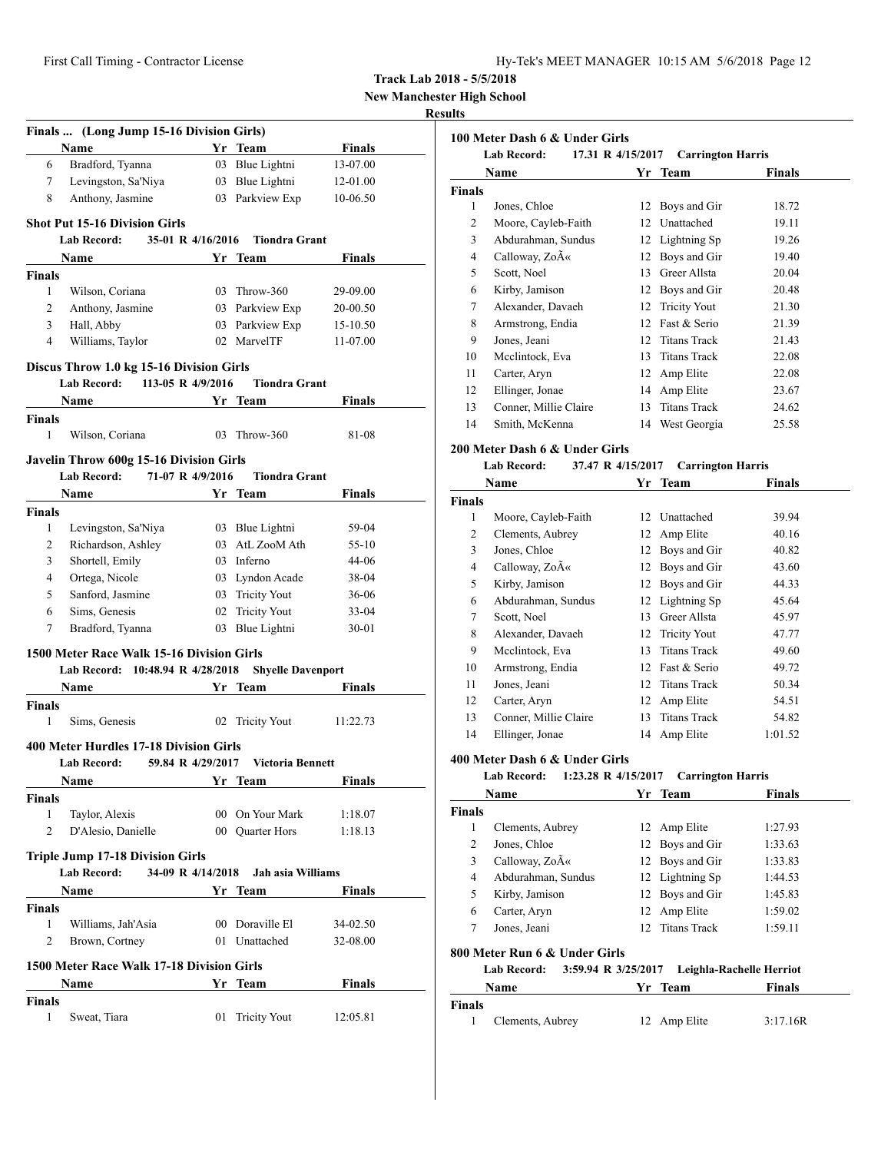**New Manchester High School**

#### **Results**

|                    | Finals  (Long Jump 15-16 Division Girls)                                          |    |                                    |                |  |
|--------------------|-----------------------------------------------------------------------------------|----|------------------------------------|----------------|--|
|                    | Name                                                                              |    | Yr Team                            | Finals         |  |
| 6                  | Bradford, Tyanna                                                                  |    | 03 Blue Lightni                    | 13-07.00       |  |
| 7                  | Levingston, Sa'Niya                                                               |    | 03 Blue Lightni                    | 12-01.00       |  |
| 8                  | Anthony, Jasmine                                                                  |    | 03 Parkview Exp                    | 10-06.50       |  |
|                    |                                                                                   |    |                                    |                |  |
|                    | <b>Shot Put 15-16 Division Girls</b>                                              |    |                                    |                |  |
|                    | <b>Lab Record:</b><br>35-01 R 4/16/2016                                           |    | <b>Tiondra Grant</b>               |                |  |
|                    | Name                                                                              |    | Yr Team                            | <b>Finals</b>  |  |
| <b>Finals</b>      |                                                                                   |    |                                    |                |  |
| 1                  | Wilson, Coriana                                                                   |    | 03 Throw-360                       | 29-09.00       |  |
| 2                  | Anthony, Jasmine                                                                  |    | 03 Parkview Exp                    | 20-00.50       |  |
| 3                  | Hall, Abby                                                                        |    | 03 Parkview Exp                    | 15-10.50       |  |
| $\overline{4}$     | Williams, Taylor                                                                  |    | 02 MarvelTF                        | 11-07.00       |  |
|                    | Discus Throw 1.0 kg 15-16 Division Girls                                          |    |                                    |                |  |
|                    | 113-05 R 4/9/2016<br>Lab Record:                                                  |    | <b>Tiondra Grant</b>               |                |  |
|                    | Name                                                                              |    | Yr Team                            | <b>Finals</b>  |  |
| <b>Finals</b><br>1 | Wilson, Coriana                                                                   | 03 | Throw-360                          | 81-08          |  |
|                    |                                                                                   |    |                                    |                |  |
|                    | Javelin Throw 600g 15-16 Division Girls<br>71-07 R 4/9/2016<br><b>Lab Record:</b> |    | <b>Tiondra Grant</b>               |                |  |
|                    |                                                                                   |    |                                    | Finals         |  |
|                    | Name                                                                              |    | Yr Team                            |                |  |
| Finals<br>1        |                                                                                   |    |                                    | 59-04          |  |
| 2                  | Levingston, Sa'Niya<br>Richardson, Ashley                                         |    | 03 Blue Lightni<br>03 AtL ZooM Ath | 55-10          |  |
|                    |                                                                                   |    | 03 Inferno                         |                |  |
| 3                  | Shortell, Emily<br>Ortega, Nicole                                                 |    |                                    | 44-06          |  |
| 4<br>5             | Sanford, Jasmine                                                                  |    | 03 Lyndon Acade                    | 38-04          |  |
| 6                  | Sims, Genesis                                                                     |    | 03 Tricity Yout<br>02 Tricity Yout | 36-06<br>33-04 |  |
| 7                  | Bradford, Tyanna                                                                  |    | 03 Blue Lightni                    | 30-01          |  |
|                    |                                                                                   |    |                                    |                |  |
|                    | 1500 Meter Race Walk 15-16 Division Girls<br>Lab Record: 10:48.94 R 4/28/2018     |    | <b>Shyelle Davenport</b>           |                |  |
|                    |                                                                                   |    |                                    |                |  |
|                    | <b>Name</b>                                                                       |    | Yr Team                            | <b>Finals</b>  |  |
| Finals<br>1        | Sims, Genesis                                                                     |    |                                    |                |  |
|                    |                                                                                   |    | 02 Tricity Yout                    | 11:22.73       |  |
|                    | 400 Meter Hurdles 17-18 Division Girls                                            |    |                                    |                |  |
|                    | 59.84 R 4/29/2017<br>Lab Record:                                                  |    | Victoria Bennett                   |                |  |
|                    | Name                                                                              |    | Yr Team                            | <b>Finals</b>  |  |
| Finals             |                                                                                   |    |                                    |                |  |
| 1                  | Taylor, Alexis                                                                    |    | 00 On Your Mark                    | 1:18.07        |  |
| $\overline{c}$     | D'Alesio, Danielle                                                                |    | 00 Quarter Hors                    | 1:18.13        |  |
|                    | <b>Triple Jump 17-18 Division Girls</b>                                           |    |                                    |                |  |
|                    | <b>Lab Record:</b><br>34-09 R 4/14/2018                                           |    | Jah asia Williams                  |                |  |
|                    | Name                                                                              |    | Yr Team                            | <b>Finals</b>  |  |
| Finals             |                                                                                   |    |                                    |                |  |
| 1                  | Williams, Jah'Asia                                                                |    | 00 Doraville El                    | 34-02.50       |  |
| 2                  | Brown, Cortney                                                                    | 01 | Unattached                         | 32-08.00       |  |
|                    | 1500 Meter Race Walk 17-18 Division Girls                                         |    |                                    |                |  |
|                    | Name                                                                              |    | Yr Team                            | <b>Finals</b>  |  |
| <b>Finals</b>      |                                                                                   |    |                                    |                |  |
| 1                  | Sweat, Tiara                                                                      | 01 | <b>Tricity Yout</b>                | 12:05.81       |  |

|               | Name                                    |    | Yr Team                  | Finals |
|---------------|-----------------------------------------|----|--------------------------|--------|
| <b>Finals</b> |                                         |    |                          |        |
| 1             | Jones, Chloe                            | 12 | Boys and Gir             | 18.72  |
| 2             | Moore, Cayleb-Faith                     |    | 12 Unattached            | 19.11  |
| 3             | Abdurahman, Sundus                      |    | 12 Lightning Sp          | 19.26  |
| 4             | Calloway, Zo«                           |    | 12 Boys and Gir          | 19.40  |
| 5             | Scott, Noel                             |    | 13 Greer Allsta          | 20.04  |
| 6             | Kirby, Jamison                          |    | 12 Boys and Gir          | 20.48  |
| 7             | Alexander, Davaeh                       |    | 12 Tricity Yout          | 21.30  |
| 8             | Armstrong, Endia                        |    | 12 Fast & Serio          | 21.39  |
| 9             | Jones, Jeani                            |    | 12 Titans Track          | 21.43  |
| 10            | Mcclintock, Eva                         |    | 13 Titans Track          | 22.08  |
| 11            | Carter, Aryn                            |    | 12 Amp Elite             | 22.08  |
| 12            | Ellinger, Jonae                         |    | 14 Amp Elite             | 23.67  |
| 13            | Conner, Millie Claire                   |    | 13 Titans Track          | 24.62  |
| 14            | Smith, McKenna                          |    | 14 West Georgia          | 25.58  |
|               | 200 Meter Dash 6 & Under Girls          |    |                          |        |
|               | <b>Lab Record:</b><br>37.47 R 4/15/2017 |    | <b>Carrington Harris</b> |        |
|               |                                         |    |                          |        |
|               | Name                                    |    | Yr Team                  | Finals |
| <b>Finals</b> |                                         |    |                          |        |
| $\mathbf{1}$  | Moore, Cayleb-Faith                     |    | 12 Unattached            | 39.94  |
| 2             | Clements, Aubrey                        | 12 | Amp Elite                | 40.16  |
| 3             | Jones, Chloe                            | 12 | Boys and Gir             | 40.82  |
| 4             | Calloway, ZoA«                          | 12 | Boys and Gir             | 43.60  |
| 5             | Kirby, Jamison                          |    | 12 Boys and Gir          | 44.33  |
| 6             | Abdurahman, Sundus                      | 12 | Lightning Sp             | 45.64  |
| 7             | Scott, Noel                             |    | 13 Greer Allsta          | 45.97  |
| 8             | Alexander, Davaeh                       |    | 12 Tricity Yout          | 47.77  |
| 9             | Mcclintock, Eva                         |    | 13 Titans Track          | 49.60  |
| 10            | Armstrong, Endia                        |    | 12 Fast & Serio          | 49.72  |
| 11            | Jones, Jeani                            |    | 12 Titans Track          | 50.34  |
| 12            | Carter, Aryn                            |    | 12 Amp Elite             | 54.51  |
| 13            | Conner, Millie Claire                   | 13 | <b>Titans Track</b>      | 54.82  |

| <b>Lab Record:</b> |                                                                            | 1:23.28 R 4/15/2017 Carrington Harris |                          |               |
|--------------------|----------------------------------------------------------------------------|---------------------------------------|--------------------------|---------------|
|                    | Name                                                                       |                                       | Yr Team                  | <b>Finals</b> |
| <b>Finals</b>      |                                                                            |                                       |                          |               |
| 1                  | Clements, Aubrey                                                           |                                       | 12 Amp Elite             | 1:27.93       |
| 2                  | Jones, Chloe                                                               |                                       | 12 Boys and Gir          | 1:33.63       |
| 3                  | Calloway, Zo«                                                              |                                       | 12 Boys and Gir          | 1:33.83       |
| 4                  | Abdurahman, Sundus                                                         |                                       | 12 Lightning Sp          | 1:44.53       |
| 5                  | Kirby, Jamison                                                             |                                       | 12 Boys and Gir          | 1:45.83       |
| 6                  | Carter, Aryn                                                               |                                       | 12 Amp Elite             | 1:59.02       |
| 7                  | Jones, Jeani                                                               |                                       | 12 Titans Track          | 1:59.11       |
|                    | 800 Meter Run 6 & Under Girls<br>3:59.94 R 3/25/2017<br><b>Lab Record:</b> |                                       | Leighla-Rachelle Herriot |               |
|                    | Name                                                                       |                                       | Yr Team                  | Finals        |
| <b>Finals</b>      |                                                                            |                                       |                          |               |

| `inals |                  |              |          |  |
|--------|------------------|--------------|----------|--|
|        | Clements, Aubrey | 12 Amp Elite | 3:17.16R |  |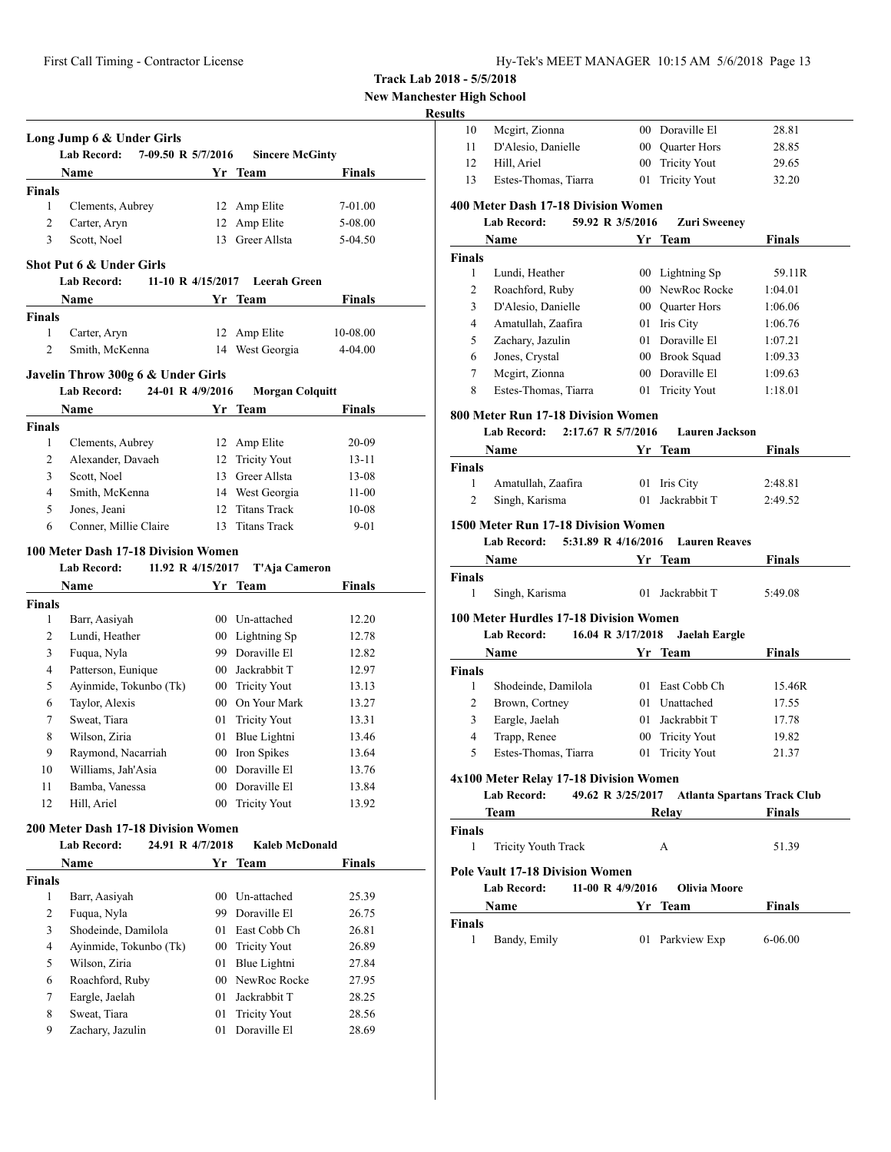First Call Timing - Contractor License Hy-Tek's MEET MANAGER 10:15 AM 5/6/2018 Page 13

**Track Lab 2018 - 5/5/2018**

**New Manchester High School**

#### **Result**

|                | Long Jump 6 & Under Girls<br><b>Lab Record:</b><br>7-09.50 R 5/7/2016 |    | <b>Sincere McGinty</b> |                |
|----------------|-----------------------------------------------------------------------|----|------------------------|----------------|
|                | Name                                                                  | Yr | <b>Team</b>            | Finals         |
| <b>Finals</b>  |                                                                       |    |                        |                |
| 1              | Clements, Aubrey                                                      |    | 12 Amp Elite           | 7-01.00        |
| 2              | Carter, Aryn                                                          |    | 12 Amp Elite           | 5-08.00        |
| 3              | Scott, Noel                                                           |    | 13 Greer Allsta        | 5-04.50        |
|                | Shot Put 6 & Under Girls                                              |    |                        |                |
|                | <b>Lab Record:</b><br>11-10 R 4/15/2017                               |    | <b>Leerah Green</b>    |                |
|                | Name                                                                  |    | Yr Team                | Finals         |
| <b>Finals</b>  |                                                                       |    |                        |                |
| 1              | Carter, Aryn                                                          | 12 | Amp Elite              | 10-08.00       |
| 2              | Smith, McKenna                                                        |    | 14 West Georgia        | $4 - 04.00$    |
|                | Javelin Throw 300g 6 & Under Girls                                    |    |                        |                |
|                | <b>Lab Record:</b><br>24-01 R 4/9/2016                                |    | <b>Morgan Colquitt</b> |                |
|                | Name                                                                  | Yr | Team                   | Finals         |
| <b>Finals</b>  |                                                                       |    |                        |                |
| $\mathbf{1}$   | Clements, Aubrey                                                      |    | 12 Amp Elite           | 20-09          |
| 2              | Alexander, Davaeh                                                     |    | 12 Tricity Yout        | 13-11          |
| 3              | Scott, Noel                                                           |    | 13 Greer Allsta        | 13-08          |
| 4              | Smith, McKenna                                                        |    | 14 West Georgia        | $11-00$        |
| 5              | Jones, Jeani                                                          |    | 12 Titans Track        | $10 - 08$      |
| 6              | Conner, Millie Claire                                                 |    | 13 Titans Track        | $9 - 01$       |
|                | 100 Meter Dash 17-18 Division Women                                   |    |                        |                |
|                | <b>Lab Record:</b><br>11.92 R 4/15/2017                               |    | T'Aja Cameron          |                |
|                | Name                                                                  |    | Yr Team                | <b>Finals</b>  |
| <b>Finals</b>  |                                                                       |    |                        |                |
| 1              | Barr, Aasiyah                                                         |    | 00 Un-attached         | 12.20          |
| 2              | Lundi, Heather                                                        |    | 00 Lightning Sp        | 12.78          |
| 3              | Fuqua, Nyla                                                           |    | 99 Doraville El        | 12.82          |
| $\overline{4}$ | Patterson, Eunique                                                    |    | 00 Jackrabbit T        | 12.97          |
| 5              | Ayinmide, Tokunbo (Tk)                                                |    | 00 Tricity Yout        | 13.13          |
| 6              | Taylor, Alexis                                                        |    | 00 On Your Mark        | 13.27          |
| 7              | Sweat, Tiara                                                          |    | 01 Tricity Yout        | 13.31          |
| 8              | Wilson, Ziria                                                         |    | 01 Blue Lightni        | 13.46          |
| 9              | Raymond, Nacarriah                                                    |    | 00 Iron Spikes         | 13.64          |
| 10             | Williams, Jah'Asia                                                    |    | 00 Doraville El        | 13.76          |
| 11             | Bamba, Vanessa                                                        |    | 00 Doraville El        |                |
| 12             | Hill, Ariel                                                           | 00 | <b>Tricity Yout</b>    | 13.84<br>13.92 |
|                |                                                                       |    |                        |                |
|                | 200 Meter Dash 17-18 Division Women                                   |    |                        |                |
|                | <b>Lab Record:</b><br>24.91 R 4/7/2018                                |    | <b>Kaleb McDonald</b>  |                |
|                | Name                                                                  | Yr | <b>Team</b>            | <b>Finals</b>  |
| <b>Finals</b>  |                                                                       |    |                        |                |
| 1              | Barr, Aasiyah                                                         |    | 00 Un-attached         | 25.39          |
| 2              | Fuqua, Nyla                                                           |    | 99 Doraville El        | 26.75          |
| 3              | Shodeinde, Damilola                                                   |    | 01 East Cobb Ch        | 26.81          |
| 4              | Avinmide, Tokunbo (Tk)                                                |    | 00 Tricity Yout        | 26.89          |
| 5              | Wilson, Ziria                                                         | 01 | Blue Lightni           | 27.84          |
| 6              | Roachford, Ruby                                                       |    | 00 NewRoc Rocke        | 27.95          |
| 7              | Eargle, Jaelah                                                        | 01 | Jackrabbit T           | 28.25          |
| 8              | Sweat, Tiara                                                          | 01 | <b>Tricity Yout</b>    | 28.56          |
| 9              | Zachary, Jazulin                                                      | 01 | Doraville El           | 28.69          |
|                |                                                                       |    |                        |                |

| ults                                                    |                                           |                   |                                               |                |
|---------------------------------------------------------|-------------------------------------------|-------------------|-----------------------------------------------|----------------|
| 10                                                      | Mcgirt, Zionna                            |                   | 00 Doraville El                               | 28.81          |
| 11                                                      | D'Alesio, Danielle                        |                   | 00 Quarter Hors                               | 28.85          |
| 12                                                      | Hill, Ariel                               |                   | 00 Tricity Yout                               | 29.65          |
| 13                                                      | Estes-Thomas, Tiarra                      | 01                | <b>Tricity Yout</b>                           | 32.20          |
|                                                         | 400 Meter Dash 17-18 Division Women       |                   |                                               |                |
|                                                         | <b>Lab Record:</b>                        | 59.92 R 3/5/2016  | <b>Zuri Sweeney</b>                           |                |
|                                                         | Name                                      |                   | Yr Team                                       | Finals         |
| Finals                                                  |                                           |                   |                                               |                |
| 1                                                       | Lundi, Heather                            |                   | 00 Lightning Sp                               | 59.11R         |
| 2                                                       | Roachford, Ruby                           |                   | 00 NewRoc Rocke                               | 1:04.01        |
| 3                                                       | D'Alesio, Danielle                        |                   | 00 Ouarter Hors                               | 1:06.06        |
| 4                                                       | Amatullah, Zaafira                        |                   | 01 Iris City                                  | 1:06.76        |
| 5                                                       | Zachary, Jazulin                          |                   | 01 Doraville El                               | 1:07.21        |
| 6                                                       | Jones, Crystal                            |                   | 00 Brook Squad                                | 1:09.33        |
| 7                                                       | Megirt, Zionna                            |                   | 00 Doraville El                               | 1:09.63        |
| 8                                                       | Estes-Thomas, Tiarra                      |                   | 01 Tricity Yout                               | 1:18.01        |
|                                                         | 800 Meter Run 17-18 Division Women        |                   |                                               |                |
|                                                         | <b>Lab Record:</b><br>2:17.67 R 5/7/2016  |                   | <b>Lauren Jackson</b>                         |                |
|                                                         | Name                                      | Yr                | Team                                          | Finals         |
| Finals                                                  |                                           |                   |                                               |                |
| 1                                                       | Amatullah, Zaafira                        |                   | 01 Iris City                                  | 2:48.81        |
| 2                                                       | Singh, Karisma                            |                   | 01 Jackrabbit T                               | 2:49.52        |
|                                                         |                                           |                   |                                               |                |
|                                                         | 1500 Meter Run 17-18 Division Women       |                   |                                               |                |
|                                                         | 5:31.89 R 4/16/2016<br><b>Lab Record:</b> |                   | <b>Lauren Reaves</b>                          |                |
|                                                         | Name                                      | Yr                | Team                                          | Finals         |
|                                                         |                                           |                   |                                               |                |
| 1                                                       | Singh, Karisma                            |                   | 01 Jackrabbit T                               | 5:49.08        |
|                                                         |                                           |                   |                                               |                |
|                                                         | 100 Meter Hurdles 17-18 Division Women    |                   |                                               |                |
|                                                         | Lab Record:                               | 16.04 R 3/17/2018 | <b>Jaelah Eargle</b>                          |                |
|                                                         | Name                                      |                   | Yr Team                                       | Finals         |
| 1                                                       | Shodeinde, Damilola                       |                   | 01 East Cobb Ch                               | 15.46R         |
| 2                                                       | Brown, Cortney                            |                   | 01 Unattached                                 | 17.55          |
| 3                                                       | Eargle, Jaelah                            |                   | 01 Jackrabbit T                               | 17.78          |
| 4                                                       |                                           |                   |                                               |                |
| 5                                                       | Trapp, Renee<br>Estes-Thomas, Tiarra      | 01                | 00 Tricity Yout<br><b>Tricity Yout</b>        | 19.82<br>21.37 |
|                                                         |                                           |                   |                                               |                |
|                                                         | 4x100 Meter Relay 17-18 Division Women    |                   |                                               |                |
|                                                         | <b>Lab Record:</b>                        |                   | 49.62 R 3/25/2017 Atlanta Spartans Track Club |                |
|                                                         | Team                                      |                   | Relav                                         | Finals         |
| 1                                                       | <b>Tricity Youth Track</b>                |                   | А                                             | 51.39          |
|                                                         |                                           |                   |                                               |                |
|                                                         | <b>Pole Vault 17-18 Division Women</b>    |                   |                                               |                |
|                                                         | <b>Lab Record:</b>                        | 11-00 R 4/9/2016  | <b>Olivia Moore</b>                           |                |
|                                                         | <b>Name</b>                               |                   | Yr Team                                       | <b>Finals</b>  |
| Finals<br>Finals<br><b>Finals</b><br><b>Finals</b><br>1 | Bandy, Emily                              |                   | 01 Parkview Exp                               | 6-06.00        |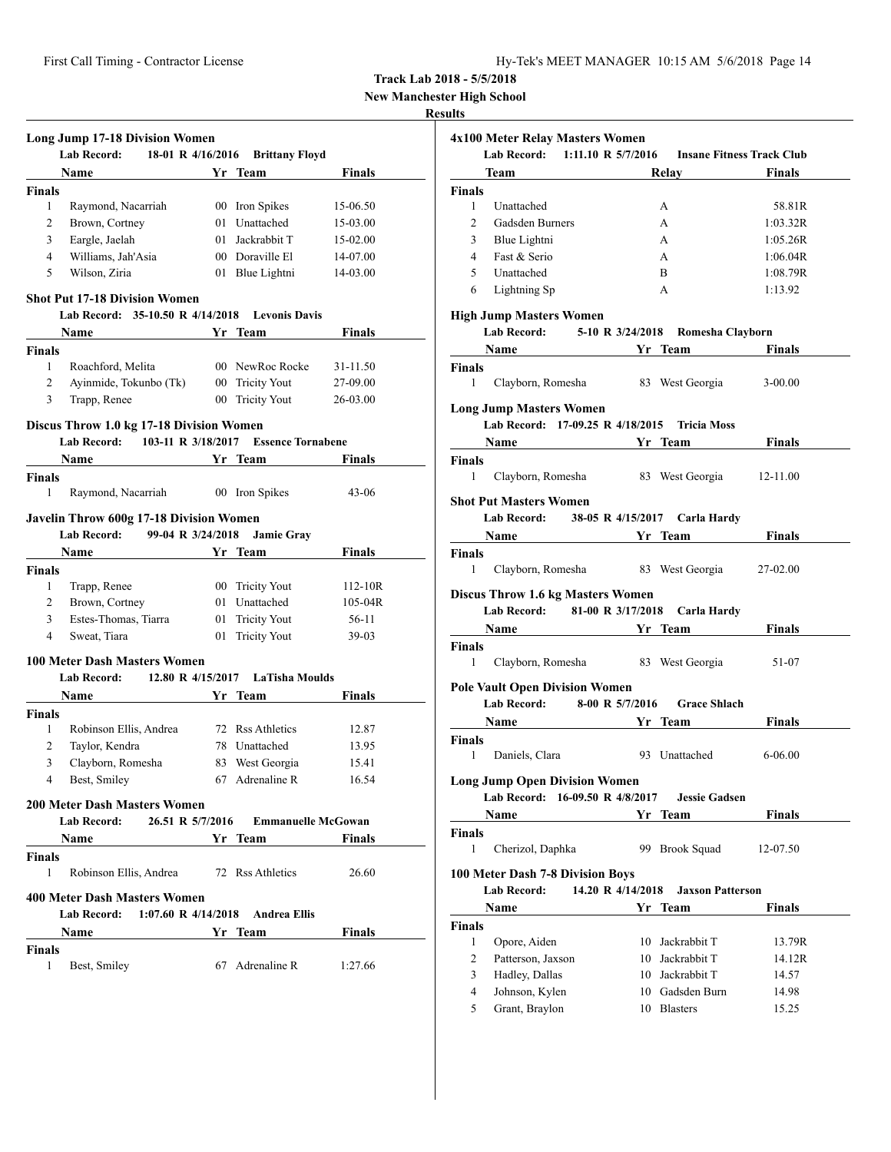**New Manchester High School**

# **Results**

|                | <b>Long Jump 17-18 Division Women</b><br><b>Lab Record:</b>                                                                                                                                                                                         |    |                                  |               |
|----------------|-----------------------------------------------------------------------------------------------------------------------------------------------------------------------------------------------------------------------------------------------------|----|----------------------------------|---------------|
|                | 18-01 R 4/16/2016                                                                                                                                                                                                                                   |    | <b>Brittany Floyd</b>            |               |
|                | Name                                                                                                                                                                                                                                                |    | Yr Team                          | Finals        |
| Finals         |                                                                                                                                                                                                                                                     |    |                                  |               |
| 1              | Raymond, Nacarriah                                                                                                                                                                                                                                  |    | 00 Iron Spikes                   | 15-06.50      |
| 2              | Brown, Cortney                                                                                                                                                                                                                                      |    | 01 Unattached                    | 15-03.00      |
| 3              | Eargle, Jaelah                                                                                                                                                                                                                                      |    | 01 Jackrabbit T                  | 15-02.00      |
| $\overline{4}$ | Williams, Jah'Asia                                                                                                                                                                                                                                  |    | 00 Doraville El                  | 14-07.00      |
| 5              | Wilson, Ziria                                                                                                                                                                                                                                       |    | 01 Blue Lightni                  | 14-03.00      |
|                | <b>Shot Put 17-18 Division Women</b>                                                                                                                                                                                                                |    |                                  |               |
|                | Lab Record: 35-10.50 R 4/14/2018                                                                                                                                                                                                                    |    | <b>Levonis Davis</b>             |               |
|                | Name                                                                                                                                                                                                                                                |    | Yr Team                          | <b>Finals</b> |
| Finals         |                                                                                                                                                                                                                                                     |    |                                  |               |
| 1              | Roachford, Melita                                                                                                                                                                                                                                   |    | 00 NewRoc Rocke                  | 31-11.50      |
| 2              | Ayinmide, Tokunbo (Tk)                                                                                                                                                                                                                              |    | 00 Tricity Yout                  | 27-09.00      |
| 3              | Trapp, Renee                                                                                                                                                                                                                                        |    | 00 Tricity Yout                  | 26-03.00      |
|                |                                                                                                                                                                                                                                                     |    |                                  |               |
|                | Discus Throw 1.0 kg 17-18 Division Women                                                                                                                                                                                                            |    | <b>Essence Tornabene</b>         |               |
|                | 103-11 R 3/18/2017<br><b>Lab Record:</b>                                                                                                                                                                                                            |    |                                  |               |
|                | Name                                                                                                                                                                                                                                                | Yr | Team                             | <b>Finals</b> |
| <b>Finals</b>  |                                                                                                                                                                                                                                                     |    |                                  |               |
| 1              | Raymond, Nacarriah                                                                                                                                                                                                                                  |    | 00 Iron Spikes                   | $43 - 06$     |
|                | <b>Javelin Throw 600g 17-18 Division Women</b>                                                                                                                                                                                                      |    |                                  |               |
|                | <b>Lab Record:</b><br>99-04 R 3/24/2018                                                                                                                                                                                                             |    | <b>Jamie Gray</b>                |               |
|                | Name                                                                                                                                                                                                                                                |    | Yr Team                          | Finals        |
| Finals         |                                                                                                                                                                                                                                                     |    |                                  |               |
| 1              | Trapp, Renee                                                                                                                                                                                                                                        |    | 00 Tricity Yout                  | $112 - 10R$   |
| 2              | Brown, Cortney                                                                                                                                                                                                                                      |    | 01 Unattached                    | $105-04R$     |
| 3              | Estes-Thomas, Tiarra                                                                                                                                                                                                                                | 01 | <b>Tricity Yout</b>              | 56-11         |
| 4              | Sweat, Tiara                                                                                                                                                                                                                                        | 01 | <b>Tricity Yout</b>              | $39-03$       |
|                |                                                                                                                                                                                                                                                     |    |                                  |               |
|                | <b>100 Meter Dash Masters Women</b>                                                                                                                                                                                                                 |    |                                  |               |
|                | <b>Lab Record:</b><br>12.80 R 4/15/2017                                                                                                                                                                                                             |    | LaTisha Moulds                   |               |
|                | Name                                                                                                                                                                                                                                                | Yr | Team                             | Finals        |
| <b>Finals</b>  |                                                                                                                                                                                                                                                     |    |                                  |               |
| 1              | Robinson Ellis, Andrea                                                                                                                                                                                                                              |    | 72 Rss Athletics                 | 12.87         |
| 2              | Taylor, Kendra                                                                                                                                                                                                                                      |    | 78 Unattached                    | 13.95         |
| 3              | Clayborn, Romesha                                                                                                                                                                                                                                   |    | 83 West Georgia                  | 15.41         |
| 4              | Best, Smiley                                                                                                                                                                                                                                        |    | 67 Adrenaline R                  | 16.54         |
|                | 200 Meter Dash Masters Women                                                                                                                                                                                                                        |    |                                  |               |
|                | 26.51 R 5/7/2016<br>Lab Record:                                                                                                                                                                                                                     |    | <b>Emmanuelle McGowan</b>        |               |
|                | <b>Name</b><br><u>and the second second in the Second Second Second Second Second Second Second Second Second Second Second Second Second Second Second Second Second Second Second Second Second Second Second Second Second Second Second Sec</u> |    |                                  | Finals        |
| Finals         |                                                                                                                                                                                                                                                     |    |                                  |               |
| 1              | Robinson Ellis, Andrea 72 Rss Athletics                                                                                                                                                                                                             |    |                                  | 26.60         |
|                |                                                                                                                                                                                                                                                     |    |                                  |               |
|                | <b>400 Meter Dash Masters Women</b>                                                                                                                                                                                                                 |    |                                  |               |
|                | <b>Lab Record:</b>                                                                                                                                                                                                                                  |    | 1:07.60 R 4/14/2018 Andrea Ellis |               |
|                | Name                                                                                                                                                                                                                                                |    | Yr Team                          | Finals        |
| Finals         |                                                                                                                                                                                                                                                     |    |                                  |               |
|                |                                                                                                                                                                                                                                                     |    |                                  |               |
| 1              | Best, Smiley                                                                                                                                                                                                                                        |    | 67 Adrenaline R                  | 1:27.66       |

| 4x100 Meter Relay Masters Women                             |                                      |                                            |                                  |
|-------------------------------------------------------------|--------------------------------------|--------------------------------------------|----------------------------------|
| <b>Lab Record:</b>                                          | 1:11.10 R $5/7/2016$                 |                                            | <b>Insane Fitness Track Club</b> |
| <b>Team</b>                                                 |                                      | Relay                                      | Finals                           |
| <b>Finals</b>                                               |                                      |                                            |                                  |
| Unattached<br>1                                             |                                      | А                                          | 58.81R                           |
| 2<br><b>Gadsden Burners</b>                                 |                                      | А                                          | 1:03.32R                         |
| 3<br>Blue Lightni                                           |                                      | А                                          | 1:05.26R                         |
| Fast & Serio<br>4                                           |                                      | A                                          | 1:06.04R                         |
| 5<br>Unattached                                             |                                      | B                                          | 1:08.79R                         |
| 6<br>Lightning Sp                                           |                                      | А                                          | 1:13.92                          |
| <b>High Jump Masters Women</b>                              |                                      |                                            |                                  |
| <b>Lab Record:</b>                                          |                                      | 5-10 R 3/24/2018 Romesha Clayborn          |                                  |
|                                                             | Name                                 | Yr Team                                    | <b>Finals</b>                    |
| <b>Finals</b>                                               |                                      |                                            |                                  |
| 1                                                           | Clayborn, Romesha 83 West Georgia    |                                            | $3 - 00.00$                      |
| <b>Long Jump Masters Women</b>                              |                                      |                                            |                                  |
|                                                             | Lab Record: 17-09.25 R 4/18/2015     | <b>Tricia Moss</b>                         |                                  |
| <b>Name</b>                                                 | <b>Example 18 Second Street Team</b> |                                            | <b>Finals</b>                    |
| <b>Finals</b>                                               |                                      |                                            |                                  |
| 1                                                           |                                      | Clayborn, Romesha 83 West Georgia 12-11.00 |                                  |
| <b>Shot Put Masters Women</b>                               |                                      |                                            |                                  |
|                                                             |                                      | Lab Record: 38-05 R 4/15/2017 Carla Hardy  |                                  |
|                                                             | Name Yr Team                         |                                            | Finals                           |
| Finals                                                      |                                      |                                            |                                  |
| 1                                                           | Clayborn, Romesha 83 West Georgia    |                                            | 27-02.00                         |
| <b>Discus Throw 1.6 kg Masters Women</b>                    |                                      |                                            |                                  |
|                                                             | Lab Record: 81-00 R 3/17/2018        | Carla Hardy                                |                                  |
|                                                             |                                      | Name Yr Team                               | <b>Finals</b>                    |
| <b>Finals</b>                                               |                                      |                                            |                                  |
| 1                                                           | Clayborn, Romesha 83 West Georgia    |                                            | 51-07                            |
|                                                             |                                      |                                            |                                  |
| <b>Pole Vault Open Division Women</b><br><b>Lab Record:</b> | 8-00 R 5/7/2016                      | <b>Grace Shlach</b>                        |                                  |
| <b>Name</b>                                                 |                                      |                                            | <b>Finals</b>                    |
|                                                             |                                      | Yr Team                                    |                                  |
| <b>Finals</b><br>1<br>Daniels, Clara                        |                                      | 93 Unattached                              | $6 - 06.00$                      |
|                                                             |                                      |                                            |                                  |
| <b>Long Jump Open Division Women</b>                        |                                      |                                            |                                  |
| Lab Record:                                                 | 16-09.50 R 4/8/2017                  | <b>Jessie Gadsen</b>                       |                                  |
| Name                                                        |                                      | Yr Team                                    | Finals                           |
| Finals                                                      |                                      |                                            |                                  |
| 1<br>Cherizol, Daphka                                       |                                      | 99 Brook Squad                             | 12-07.50                         |
| <b>100 Meter Dash 7-8 Division Boys</b>                     |                                      |                                            |                                  |
| <b>Lab Record:</b>                                          | 14.20 R 4/14/2018                    | <b>Jaxson Patterson</b>                    |                                  |
| Name                                                        |                                      | Yr Team                                    | <b>Finals</b>                    |
| <b>Finals</b>                                               |                                      |                                            |                                  |
| 1<br>Opore, Aiden                                           |                                      | 10 Jackrabbit T                            |                                  |
| 2<br>Patterson, Jaxson                                      |                                      | 10 Jackrabbit T                            | 13.79R<br>14.12R                 |
| 3<br>Hadley, Dallas                                         |                                      | 10 Jackrabbit T                            | 14.57                            |
| Johnson, Kylen<br>4                                         |                                      | 10 Gadsden Burn                            | 14.98                            |
| 5<br>Grant, Braylon                                         |                                      | 10 Blasters                                | 15.25                            |
|                                                             |                                      |                                            |                                  |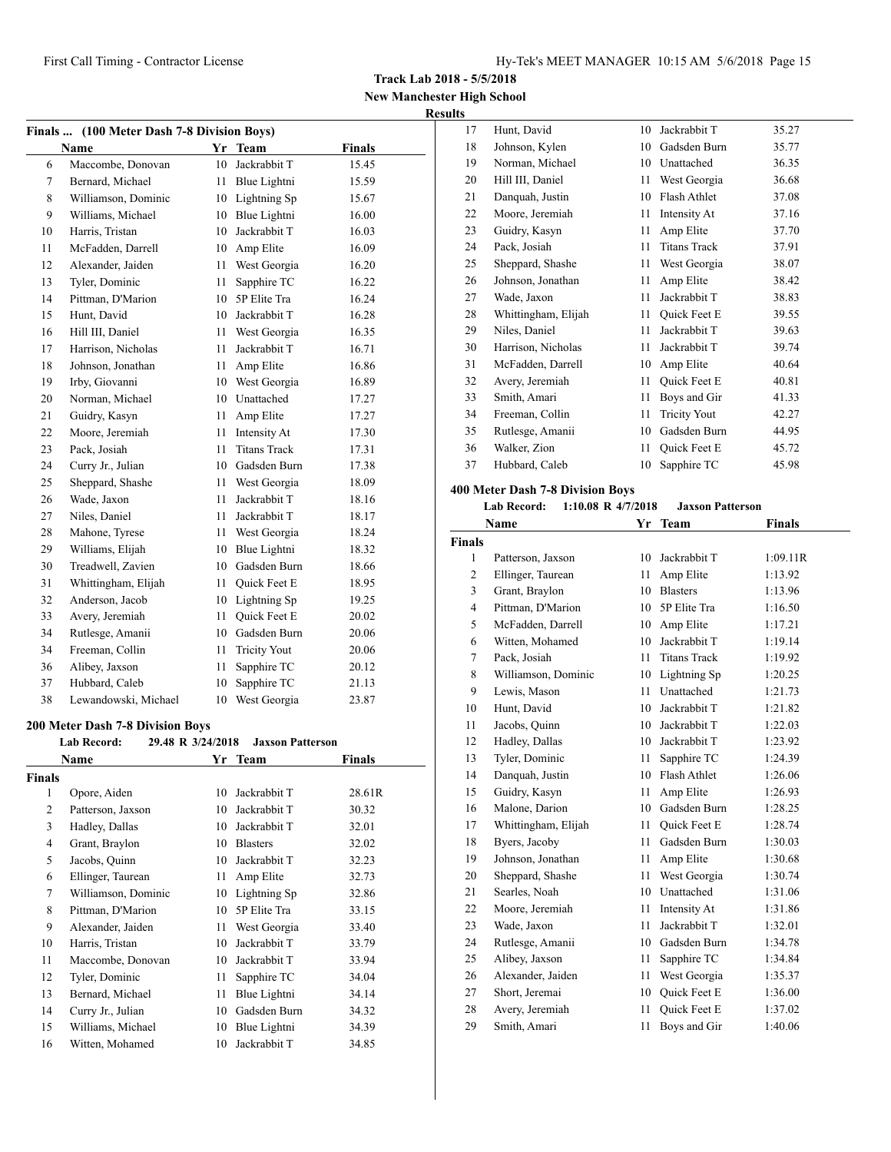**Track Lab 2018 - 5/5/2018**

**New Manchester High School Results**

| Finals  (100 Meter Dash 7-8 Division Boys) |                      |    |                     |        |  |  |
|--------------------------------------------|----------------------|----|---------------------|--------|--|--|
|                                            | <b>Name</b>          |    | Yr Team             | Finals |  |  |
| 6                                          | Maccombe, Donovan    | 10 | Jackrabbit T        | 15.45  |  |  |
| 7                                          | Bernard, Michael     | 11 | Blue Lightni        | 15.59  |  |  |
| 8                                          | Williamson, Dominic  | 10 | Lightning Sp        | 15.67  |  |  |
| 9                                          | Williams, Michael    | 10 | Blue Lightni        | 16.00  |  |  |
| 10                                         | Harris, Tristan      | 10 | Jackrabbit T        | 16.03  |  |  |
| 11                                         | McFadden, Darrell    | 10 | Amp Elite           | 16.09  |  |  |
| 12                                         | Alexander, Jaiden    | 11 | West Georgia        | 16.20  |  |  |
| 13                                         | Tyler, Dominic       | 11 | Sapphire TC         | 16.22  |  |  |
| 14                                         | Pittman, D'Marion    | 10 | 5P Elite Tra        | 16.24  |  |  |
| 15                                         | Hunt, David          | 10 | Jackrabbit T        | 16.28  |  |  |
| 16                                         | Hill III, Daniel     | 11 | West Georgia        | 16.35  |  |  |
| 17                                         | Harrison, Nicholas   | 11 | Jackrabbit T        | 16.71  |  |  |
| 18                                         | Johnson, Jonathan    | 11 | Amp Elite           | 16.86  |  |  |
| 19                                         | Irby, Giovanni       | 10 | West Georgia        | 16.89  |  |  |
| 20                                         | Norman, Michael      | 10 | Unattached          | 17.27  |  |  |
| 21                                         | Guidry, Kasyn        | 11 | Amp Elite           | 17.27  |  |  |
| 22                                         | Moore, Jeremiah      | 11 | Intensity At        | 17.30  |  |  |
| 23                                         | Pack, Josiah         | 11 | <b>Titans Track</b> | 17.31  |  |  |
| 24                                         | Curry Jr., Julian    |    | 10 Gadsden Burn     | 17.38  |  |  |
| 25                                         | Sheppard, Shashe     | 11 | West Georgia        | 18.09  |  |  |
| 26                                         | Wade, Jaxon          | 11 | Jackrabbit T        | 18.16  |  |  |
| 27                                         | Niles, Daniel        | 11 | Jackrabbit T        | 18.17  |  |  |
| 28                                         | Mahone, Tyrese       | 11 | West Georgia        | 18.24  |  |  |
| 29                                         | Williams, Elijah     | 10 | Blue Lightni        | 18.32  |  |  |
| 30                                         | Treadwell, Zavien    | 10 | Gadsden Burn        | 18.66  |  |  |
| 31                                         | Whittingham, Elijah  | 11 | <b>Ouick Feet E</b> | 18.95  |  |  |
| 32                                         | Anderson, Jacob      | 10 | Lightning Sp        | 19.25  |  |  |
| 33                                         | Avery, Jeremiah      | 11 | Quick Feet E        | 20.02  |  |  |
| 34                                         | Rutlesge, Amanii     | 10 | Gadsden Burn        | 20.06  |  |  |
| 34                                         | Freeman, Collin      | 11 | <b>Tricity Yout</b> | 20.06  |  |  |
| 36                                         | Alibey, Jaxson       | 11 | Sapphire TC         | 20.12  |  |  |
| 37                                         | Hubbard, Caleb       | 10 | Sapphire TC         | 21.13  |  |  |
| 38                                         | Lewandowski, Michael | 10 | West Georgia        | 23.87  |  |  |

#### **200 Meter Dash 7-8 Division Boys**

| <b>Lab Record:</b><br>29.48 R 3/24/2018<br><b>Jaxson Patterson</b> |                     |    |                 |        |  |
|--------------------------------------------------------------------|---------------------|----|-----------------|--------|--|
|                                                                    | Name                |    | Yr Team         | Finals |  |
| <b>Finals</b>                                                      |                     |    |                 |        |  |
| 1                                                                  | Opore, Aiden        | 10 | Jackrabbit T    | 28.61R |  |
| $\overline{c}$                                                     | Patterson, Jaxson   | 10 | Jackrabbit T    | 30.32  |  |
| 3                                                                  | Hadley, Dallas      | 10 | Jackrabbit T    | 32.01  |  |
| 4                                                                  | Grant, Braylon      | 10 | <b>Blasters</b> | 32.02  |  |
| 5                                                                  | Jacobs, Quinn       | 10 | Jackrabbit T    | 32.23  |  |
| 6                                                                  | Ellinger, Taurean   | 11 | Amp Elite       | 32.73  |  |
| 7                                                                  | Williamson, Dominic | 10 | Lightning Sp    | 32.86  |  |
| 8                                                                  | Pittman, D'Marion   | 10 | 5P Elite Tra    | 33.15  |  |
| 9                                                                  | Alexander, Jaiden   | 11 | West Georgia    | 33.40  |  |
| 10                                                                 | Harris, Tristan     | 10 | Jackrabbit T    | 33.79  |  |
| 11                                                                 | Maccombe, Donovan   | 10 | Jackrabbit T    | 33.94  |  |
| 12                                                                 | Tyler, Dominic      | 11 | Sapphire TC     | 34.04  |  |
| 13                                                                 | Bernard, Michael    | 11 | Blue Lightni    | 34.14  |  |
| 14                                                                 | Curry Jr., Julian   | 10 | Gadsden Burn    | 34.32  |  |
| 15                                                                 | Williams, Michael   | 10 | Blue Lightni    | 34.39  |  |
| 16                                                                 | Witten, Mohamed     | 10 | Jackrabbit T    | 34.85  |  |

| 17 | Hunt, David         | 10 | Jackrabbit T        | 35.27 |
|----|---------------------|----|---------------------|-------|
| 18 | Johnson, Kylen      | 10 | Gadsden Burn        | 35.77 |
| 19 | Norman, Michael     | 10 | Unattached          | 36.35 |
| 20 | Hill III, Daniel    | 11 | West Georgia        | 36.68 |
| 21 | Danquah, Justin     | 10 | Flash Athlet        | 37.08 |
| 22 | Moore, Jeremiah     | 11 | Intensity At        | 37.16 |
| 23 | Guidry, Kasyn       | 11 | Amp Elite           | 37.70 |
| 24 | Pack, Josiah        | 11 | <b>Titans Track</b> | 37.91 |
| 25 | Sheppard, Shashe    | 11 | West Georgia        | 38.07 |
| 26 | Johnson, Jonathan   | 11 | Amp Elite           | 38.42 |
| 27 | Wade, Jaxon         | 11 | Jackrabbit T        | 38.83 |
| 28 | Whittingham, Elijah | 11 | Quick Feet E        | 39.55 |
| 29 | Niles, Daniel       | 11 | Jackrabbit T        | 39.63 |
| 30 | Harrison, Nicholas  | 11 | Jackrabbit T        | 39.74 |
| 31 | McFadden, Darrell   | 10 | Amp Elite           | 40.64 |
| 32 | Avery, Jeremiah     | 11 | Quick Feet E        | 40.81 |
| 33 | Smith, Amari        | 11 | Boys and Gir        | 41.33 |
| 34 | Freeman, Collin     | 11 | <b>Tricity Yout</b> | 42.27 |
| 35 | Rutlesge, Amanii    | 10 | Gadsden Burn        | 44.95 |
| 36 | Walker, Zion        | 11 | Quick Feet E        | 45.72 |
| 37 | Hubbard, Caleb      | 10 | Sapphire TC         | 45.98 |

## **400 Meter Dash 7-8 Division Boys**

## **Lab Record: 1:10.08 R 4/7/2018 Jaxson Patterson**

|                | Name                | Yr | <b>Team</b>         | <b>Finals</b> |
|----------------|---------------------|----|---------------------|---------------|
| <b>Finals</b>  |                     |    |                     |               |
| 1              | Patterson, Jaxson   | 10 | Jackrabbit T        | 1:09.11R      |
| 2              | Ellinger, Taurean   | 11 | Amp Elite           | 1:13.92       |
| 3              | Grant, Braylon      | 10 | <b>Blasters</b>     | 1:13.96       |
| $\overline{4}$ | Pittman, D'Marion   | 10 | 5P Elite Tra        | 1:16.50       |
| 5              | McFadden, Darrell   | 10 | Amp Elite           | 1:17.21       |
| 6              | Witten, Mohamed     | 10 | Jackrabbit T        | 1:19.14       |
| 7              | Pack, Josiah        | 11 | <b>Titans Track</b> | 1:19.92       |
| 8              | Williamson, Dominic | 10 | Lightning Sp        | 1:20.25       |
| 9              | Lewis, Mason        | 11 | Unattached          | 1:21.73       |
| 10             | Hunt, David         | 10 | Jackrabbit T        | 1:21.82       |
| 11             | Jacobs, Quinn       | 10 | Jackrabbit T        | 1:22.03       |
| 12             | Hadley, Dallas      | 10 | Jackrabbit T        | 1:23.92       |
| 13             | Tyler, Dominic      | 11 | Sapphire TC         | 1:24.39       |
| 14             | Danquah, Justin     | 10 | Flash Athlet        | 1:26.06       |
| 15             | Guidry, Kasyn       | 11 | Amp Elite           | 1:26.93       |
| 16             | Malone, Darion      | 10 | Gadsden Burn        | 1:28.25       |
| 17             | Whittingham, Elijah | 11 | <b>Ouick Feet E</b> | 1:28.74       |
| 18             | Byers, Jacoby       | 11 | Gadsden Burn        | 1:30.03       |
| 19             | Johnson, Jonathan   | 11 | Amp Elite           | 1:30.68       |
| 20             | Sheppard, Shashe    | 11 | West Georgia        | 1:30.74       |
| 21             | Searles, Noah       | 10 | Unattached          | 1:31.06       |
| 22             | Moore, Jeremiah     | 11 | Intensity At        | 1:31.86       |
| 23             | Wade, Jaxon         | 11 | Jackrabbit T        | 1:32.01       |
| 24             | Rutlesge, Amanii    | 10 | Gadsden Burn        | 1:34.78       |
| 25             | Alibey, Jaxson      | 11 | Sapphire TC         | 1:34.84       |
| 26             | Alexander, Jaiden   | 11 | West Georgia        | 1:35.37       |
| 27             | Short, Jeremai      | 10 | Quick Feet E        | 1:36.00       |
| 28             | Avery, Jeremiah     | 11 | <b>Ouick Feet E</b> | 1:37.02       |
| 29             | Smith, Amari        | 11 | Boys and Gir        | 1:40.06       |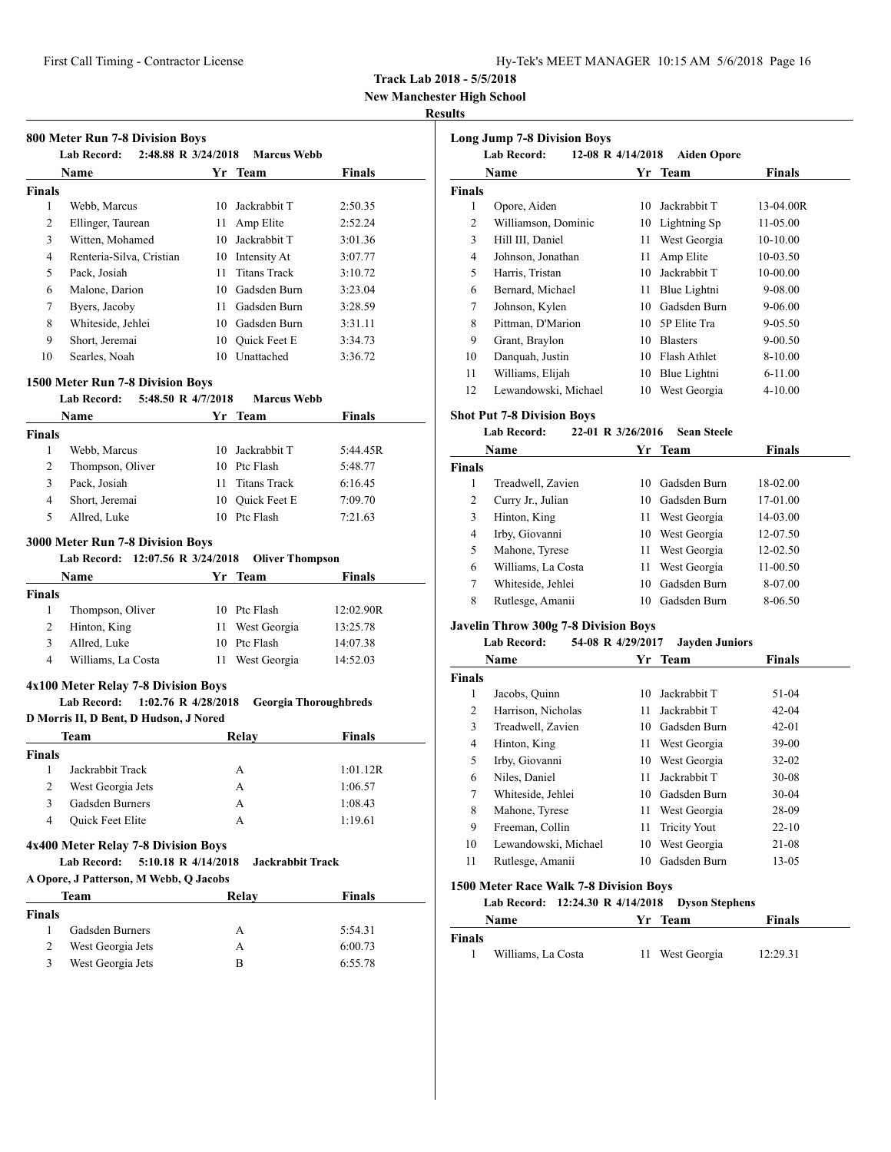| Hy-Tek's MEET MANAGER 10:15 AM 5/6/2018 Page 16 |  |  |  |  |
|-------------------------------------------------|--|--|--|--|
|-------------------------------------------------|--|--|--|--|

**New Manchester High School**

#### **Results**

|                              | 800 Meter Run 7-8 Division Boys<br>2:48.88 R 3/24/2018<br>Lab Record:     |    | <b>Marcus Webb</b>                |                    |
|------------------------------|---------------------------------------------------------------------------|----|-----------------------------------|--------------------|
|                              | Name                                                                      |    | Yr Team                           | Finals             |
| <b>Finals</b>                |                                                                           |    |                                   |                    |
| 1                            | Webb, Marcus                                                              |    | 10 Jackrabbit T                   | 2:50.35            |
| 2                            | Ellinger, Taurean                                                         |    | 11 Amp Elite                      | 2:52.24            |
| 3                            | Witten, Mohamed                                                           |    | 10 Jackrabbit T                   | 3:01.36            |
| $\overline{4}$               | Renteria-Silva, Cristian                                                  |    | 10 Intensity At                   | 3:07.77            |
| 5                            | Pack, Josiah                                                              | 11 | <b>Titans Track</b>               | 3:10.72            |
| 6                            | Malone, Darion                                                            |    | 10 Gadsden Burn                   | 3:23.04            |
| 7                            | Byers, Jacoby                                                             |    | 11 Gadsden Burn                   | 3:28.59            |
| 8                            | Whiteside, Jehlei                                                         |    | 10 Gadsden Burn                   | 3:31.11            |
| 9                            | Short, Jeremai                                                            |    | 10 Ouick Feet E                   | 3:34.73            |
| 10                           | Searles, Noah                                                             |    | 10 Unattached                     | 3:36.72            |
|                              |                                                                           |    |                                   |                    |
|                              | 1500 Meter Run 7-8 Division Boys                                          |    |                                   |                    |
|                              | 5:48.50 R 4/7/2018<br><b>Lab Record:</b>                                  |    | <b>Marcus Webb</b>                |                    |
|                              | Name                                                                      |    | Yr Team                           | <b>Finals</b>      |
| <b>Finals</b>                |                                                                           |    |                                   |                    |
| 1                            | Webb, Marcus                                                              |    | 10 Jackrabbit T                   | 5:44.45R           |
| $\overline{2}$               | Thompson, Oliver                                                          |    | 10 Ptc Flash                      | 5:48.77            |
| 3                            | Pack, Josiah                                                              |    | 11 Titans Track                   | 6:16.45            |
| 4                            | Short, Jeremai                                                            |    | 10 Ouick Feet E                   | 7:09.70            |
| 5                            | Allred, Luke                                                              |    | 10 Ptc Flash                      | 7:21.63            |
|                              | Lab Record: 12:07.56 R 3/24/2018<br>Name                                  |    | <b>Oliver Thompson</b><br>Yr Team | Finals             |
| <b>Finals</b>                |                                                                           |    |                                   |                    |
| 1                            | Thompson, Oliver                                                          |    | 10 Ptc Flash                      | 12:02.90R          |
| 2                            | Hinton, King                                                              |    | 11 West Georgia                   | 13:25.78           |
| 3                            | Allred, Luke                                                              |    | 10 Ptc Flash                      | 14:07.38           |
| $\overline{4}$               |                                                                           |    |                                   |                    |
|                              | Williams, La Costa                                                        |    | 11 West Georgia                   | 14:52.03           |
|                              |                                                                           |    |                                   |                    |
|                              | 4x100 Meter Relay 7-8 Division Boys<br>1:02.76 R 4/28/2018<br>Lab Record: |    | <b>Georgia Thoroughbreds</b>      |                    |
|                              | D Morris II, D Bent, D Hudson, J Nored                                    |    |                                   |                    |
|                              | Team                                                                      |    | Relay                             | <b>Finals</b>      |
|                              |                                                                           |    |                                   |                    |
| 1                            | Jackrabbit Track                                                          |    | А                                 | 1:01.12R           |
| $\boldsymbol{2}$             | West Georgia Jets                                                         |    | A                                 | 1:06.57            |
| 3                            | Gadsden Burners                                                           |    | А                                 | 1:08.43            |
| $\overline{4}$               | Quick Feet Elite                                                          |    | A                                 | 1:19.61            |
|                              |                                                                           |    |                                   |                    |
|                              | 4x400 Meter Relay 7-8 Division Boys                                       |    |                                   |                    |
|                              | 5:10.18 R 4/14/2018<br><b>Lab Record:</b>                                 |    | <b>Jackrabbit Track</b>           |                    |
|                              | A Opore, J Patterson, M Webb, Q Jacobs                                    |    |                                   |                    |
|                              | Team                                                                      |    | Relay                             | <b>Finals</b>      |
|                              |                                                                           |    |                                   |                    |
| Finals<br><b>Finals</b><br>1 | Gadsden Burners                                                           |    | А                                 | 5:54.31            |
| 2<br>3                       | West Georgia Jets<br>West Georgia Jets                                    |    | А<br>B                            | 6:00.73<br>6:55.78 |

|               | <b>Lab Record:</b><br>12-08 R 4/14/2018 |    | <b>Aiden Opore</b> |             |
|---------------|-----------------------------------------|----|--------------------|-------------|
|               | Name                                    |    | Yr Team            | Finals      |
| <b>Finals</b> |                                         |    |                    |             |
| 1             | Opore, Aiden                            | 10 | Jackrabbit T       | 13-04.00R   |
| 2             | Williamson, Dominic                     | 10 | Lightning Sp       | 11-05.00    |
| 3             | Hill III, Daniel                        | 11 | West Georgia       | 10-10.00    |
| 4             | Johnson, Jonathan                       | 11 | Amp Elite          | 10-03.50    |
| 5             | Harris, Tristan                         | 10 | Jackrabbit T       | 10-00.00    |
| 6             | Bernard, Michael                        | 11 | Blue Lightni       | 9-08.00     |
| 7             | Johnson, Kylen                          | 10 | Gadsden Burn       | $9 - 06.00$ |
| 8             | Pittman, D'Marion                       | 10 | 5P Elite Tra       | $9 - 05.50$ |
| 9             | Grant, Braylon                          | 10 | <b>Blasters</b>    | $9 - 00.50$ |
| 10            | Danquah, Justin                         | 10 | Flash Athlet       | 8-10.00     |
| 11            | Williams, Elijah                        | 10 | Blue Lightni       | $6 - 11.00$ |
| 12            | Lewandowski, Michael                    | 10 | West Georgia       | $4 - 10.00$ |
|               | <b>Shot Put 7-8 Division Boys</b>       |    |                    |             |
|               | <b>Lab Record:</b><br>22-01 R 3/26/2016 |    | <b>Sean Steele</b> |             |
|               | Name                                    | Yr | Team               | Finals      |

|   | Treadwell, Zavien  | 10. | Gadsden Burn | 18-02.00 |
|---|--------------------|-----|--------------|----------|
| 2 | Curry Jr., Julian  | 10. | Gadsden Burn | 17-01.00 |
|   | Hinton, King       | 11  | West Georgia | 14-03.00 |
| 4 | Irby, Giovanni     | 10  | West Georgia | 12-07.50 |
|   | Mahone, Tyrese     | 11. | West Georgia | 12-02.50 |
| 6 | Williams, La Costa | 11  | West Georgia | 11-00.50 |
|   | Whiteside, Jehlei  | 10  | Gadsden Burn | 8-07.00  |
| 8 | Rutlesge, Amanii   | 10  | Gadsden Burn | 8-06.50  |

## **Javelin Throw 300g 7-8 Division Boys**

#### **Lab Record: 54-08 R 4/29/2017 Jayden Juniors**

|               | Name                 | Yr | Team                | <b>Finals</b> |  |
|---------------|----------------------|----|---------------------|---------------|--|
| <b>Finals</b> |                      |    |                     |               |  |
| 1             | Jacobs, Quinn        | 10 | Jackrabbit T        | 51-04         |  |
| 2             | Harrison, Nicholas   | 11 | Jackrabbit T        | $42 - 04$     |  |
| 3             | Treadwell, Zavien    | 10 | Gadsden Burn        | $42 - 01$     |  |
| 4             | Hinton, King         | 11 | West Georgia        | $39-00$       |  |
| 5             | Irby, Giovanni       | 10 | West Georgia        | $32 - 02$     |  |
| 6             | Niles, Daniel        | 11 | Jackrabbit T        | $30 - 08$     |  |
| 7             | Whiteside, Jehlei    | 10 | Gadsden Burn        | $30-04$       |  |
| 8             | Mahone, Tyrese       | 11 | West Georgia        | 28-09         |  |
| 9             | Freeman, Collin      | 11 | <b>Tricity Yout</b> | $22 - 10$     |  |
| 10            | Lewandowski, Michael | 10 | West Georgia        | 21-08         |  |
| 11            | Rutlesge, Amanii     | 10 | Gadsden Burn        | 13-05         |  |

#### **1500 Meter Race Walk 7-8 Division Boys**

| Lab Record: $12:24.30 \text{ R } 4/14/2018$ Dyson Stephens |  |  |  |  |
|------------------------------------------------------------|--|--|--|--|
|------------------------------------------------------------|--|--|--|--|

|        | Name               | Yr Team         | <b>Finals</b> |
|--------|--------------------|-----------------|---------------|
| Finals |                    |                 |               |
|        | Williams, La Costa | 11 West Georgia | 12:29.31      |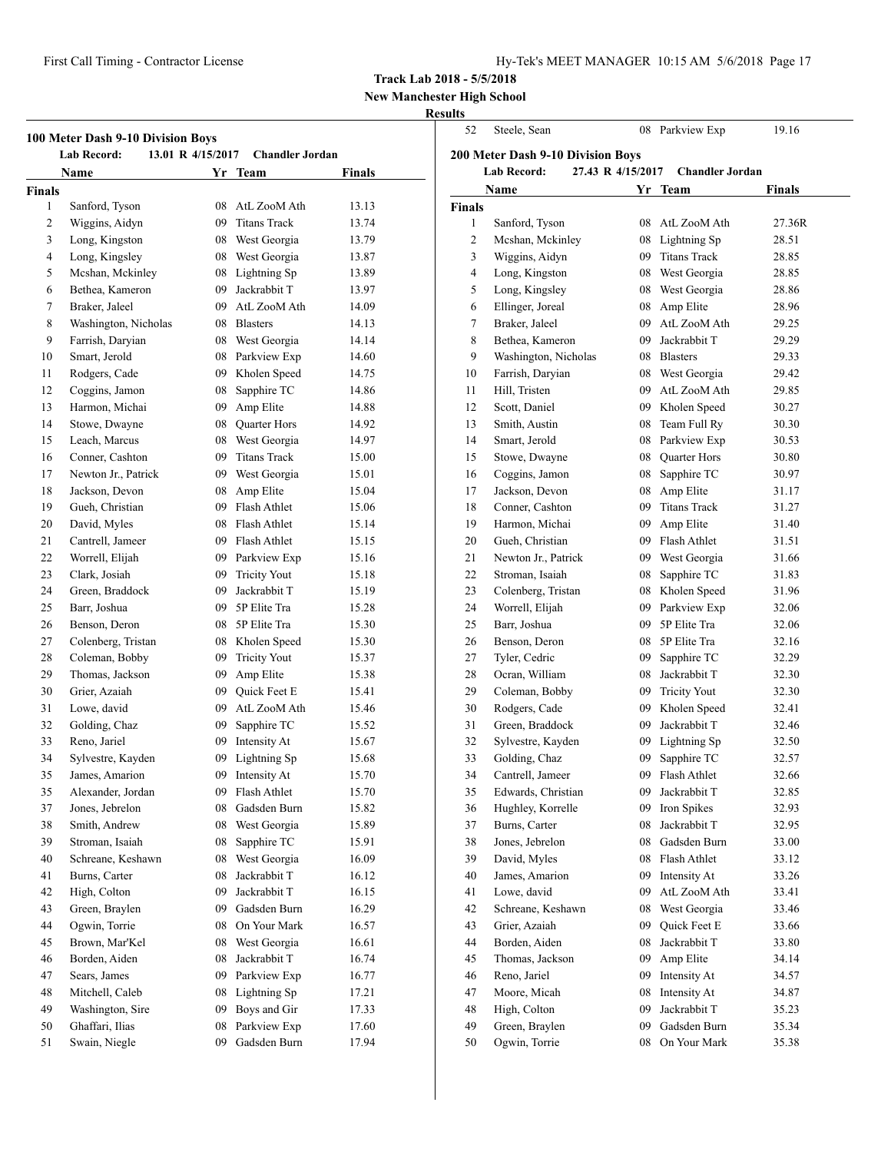| Hy-Tek's MEET MANAGER 10:15 AM 5/6/2018 Page 17 |  |  |  |
|-------------------------------------------------|--|--|--|
|-------------------------------------------------|--|--|--|

## **New Manchester High School**

## **Results** 52 Steele, Sean 08 Parkview Exp 19.16

| 100 Meter Dash 9-10 Division Boys<br><b>Lab Record:</b><br>13.01 R 4/15/2017<br><b>Chandler Jordan</b> |                      |    |                 |        |
|--------------------------------------------------------------------------------------------------------|----------------------|----|-----------------|--------|
|                                                                                                        | Name                 |    | Yr Team         | Finals |
| <b>Finals</b>                                                                                          |                      |    |                 |        |
| 1                                                                                                      | Sanford, Tyson       |    | 08 AtL ZooM Ath | 13.13  |
| 2                                                                                                      | Wiggins, Aidyn       |    | 09 Titans Track | 13.74  |
| 3                                                                                                      | Long, Kingston       |    | 08 West Georgia | 13.79  |
| 4                                                                                                      | Long, Kingsley       |    | 08 West Georgia | 13.87  |
| 5                                                                                                      | Mcshan, Mckinley     |    | 08 Lightning Sp | 13.89  |
| 6                                                                                                      | Bethea, Kameron      |    | 09 Jackrabbit T | 13.97  |
| 7                                                                                                      | Braker, Jaleel       |    | 09 AtL ZooM Ath | 14.09  |
| 8                                                                                                      | Washington, Nicholas |    | 08 Blasters     | 14.13  |
| 9                                                                                                      | Farrish, Daryian     |    | 08 West Georgia | 14.14  |
| 10                                                                                                     | Smart, Jerold        |    | 08 Parkview Exp | 14.60  |
| 11                                                                                                     | Rodgers, Cade        |    | 09 Kholen Speed | 14.75  |
| 12                                                                                                     | Coggins, Jamon       |    | 08 Sapphire TC  | 14.86  |
| 13                                                                                                     | Harmon, Michai       |    | 09 Amp Elite    | 14.88  |
| 14                                                                                                     | Stowe, Dwayne        |    | 08 Quarter Hors | 14.92  |
| 15                                                                                                     | Leach, Marcus        |    | 08 West Georgia | 14.97  |
| 16                                                                                                     | Conner, Cashton      |    | 09 Titans Track | 15.00  |
| 17                                                                                                     | Newton Jr., Patrick  |    | 09 West Georgia | 15.01  |
| 18                                                                                                     | Jackson, Devon       |    | 08 Amp Elite    | 15.04  |
| 19                                                                                                     | Gueh, Christian      |    | 09 Flash Athlet | 15.06  |
| 20                                                                                                     | David, Myles         |    | 08 Flash Athlet | 15.14  |
| 21                                                                                                     | Cantrell, Jameer     |    | 09 Flash Athlet | 15.15  |
| 22                                                                                                     | Worrell, Elijah      |    | 09 Parkview Exp | 15.16  |
| 23                                                                                                     | Clark, Josiah        |    | 09 Tricity Yout | 15.18  |
| 24                                                                                                     | Green, Braddock      |    | 09 Jackrabbit T | 15.19  |
| 25                                                                                                     | Barr, Joshua         |    | 09 5P Elite Tra | 15.28  |
| 26                                                                                                     | Benson, Deron        |    | 08 5P Elite Tra | 15.30  |
| 27                                                                                                     | Colenberg, Tristan   |    | 08 Kholen Speed | 15.30  |
| 28                                                                                                     | Coleman, Bobby       |    | 09 Tricity Yout | 15.37  |
| 29                                                                                                     | Thomas, Jackson      |    | 09 Amp Elite    | 15.38  |
| 30                                                                                                     | Grier, Azaiah        |    | 09 Quick Feet E | 15.41  |
| 31                                                                                                     | Lowe, david          |    | 09 AtL ZooM Ath | 15.46  |
| 32                                                                                                     | Golding, Chaz        | 09 | Sapphire TC     | 15.52  |
| 33                                                                                                     | Reno, Jariel         | 09 | Intensity At    | 15.67  |
| 34                                                                                                     | Sylvestre, Kayden    | 09 | Lightning Sp    | 15.68  |
| 35                                                                                                     | James, Amarıon       | 09 | Intensity At    | 15.70  |
| 35                                                                                                     | Alexander, Jordan    | 09 | Flash Athlet    | 15.70  |
| 37                                                                                                     | Jones, Jebrelon      | 08 | Gadsden Burn    | 15.82  |
| 38                                                                                                     | Smith, Andrew        | 08 | West Georgia    | 15.89  |
| 39                                                                                                     | Stroman, Isaiah      | 08 | Sapphire TC     | 15.91  |
| 40                                                                                                     | Schreane, Keshawn    | 08 | West Georgia    | 16.09  |
| 41                                                                                                     | Burns, Carter        | 08 | Jackrabbit T    | 16.12  |
| 42                                                                                                     | High, Colton         | 09 | Jackrabbit T    | 16.15  |
| 43                                                                                                     | Green, Braylen       | 09 | Gadsden Burn    | 16.29  |
| 44                                                                                                     | Ogwin, Torrie        | 08 | On Your Mark    | 16.57  |
| 45                                                                                                     | Brown, Mar'Kel       | 08 | West Georgia    | 16.61  |
| 46                                                                                                     | Borden, Aiden        | 08 | Jackrabbit T    | 16.74  |
| 47                                                                                                     | Sears, James         | 09 | Parkview Exp    | 16.77  |
| 48                                                                                                     | Mitchell, Caleb      | 08 | Lightning Sp    | 17.21  |
| 49                                                                                                     | Washington, Sire     | 09 | Boys and Gir    | 17.33  |
| 50                                                                                                     | Ghaffari, Ilias      | 08 | Parkview Exp    | 17.60  |
| 51                                                                                                     | Swain, Niegle        | 09 | Gadsden Burn    | 17.94  |
|                                                                                                        |                      |    |                 |        |

| <b>200 Meter Dash 9-10 Division Boys</b><br><b>Lab Record:</b><br>27.43 R 4/15/2017<br><b>Chandler Jordan</b> |                                 |    |                              |        |
|---------------------------------------------------------------------------------------------------------------|---------------------------------|----|------------------------------|--------|
| <b>Finals</b><br>Name<br>Yr Team                                                                              |                                 |    |                              |        |
| <b>Finals</b>                                                                                                 |                                 |    |                              |        |
| 1                                                                                                             | Sanford, Tyson                  |    | 08 AtL ZooM Ath              | 27.36R |
| 2                                                                                                             | Mcshan, Mckinley                |    | 08 Lightning Sp              | 28.51  |
| 3                                                                                                             | Wiggins, Aidyn                  |    | 09 Titans Track              | 28.85  |
| 4                                                                                                             | Long, Kingston                  |    | 08 West Georgia              | 28.85  |
| 5                                                                                                             | Long, Kingsley                  |    | 08 West Georgia              | 28.86  |
| 6                                                                                                             | Ellinger, Joreal                |    | 08 Amp Elite                 | 28.96  |
| 7                                                                                                             | Braker, Jaleel                  |    | 09 AtL ZooM Ath              | 29.25  |
| 8                                                                                                             | Bethea, Kameron                 | 09 | Jackrabbit T                 | 29.29  |
| 9                                                                                                             | Washington, Nicholas            | 08 | <b>Blasters</b>              | 29.33  |
| 10                                                                                                            | Farrish, Daryian                |    | 08 West Georgia              | 29.42  |
| 11                                                                                                            | Hill, Tristen                   | 09 | AtL ZooM Ath                 | 29.85  |
| 12                                                                                                            | Scott, Daniel                   |    | 09 Kholen Speed              | 30.27  |
| 13                                                                                                            | Smith, Austin                   |    | 08 Team Full Ry              | 30.30  |
| 14                                                                                                            | Smart, Jerold                   |    | 08 Parkview Exp              | 30.53  |
| 15                                                                                                            | Stowe, Dwayne                   |    | 08 Quarter Hors              | 30.80  |
| 16                                                                                                            | Coggins, Jamon                  | 08 | Sapphire TC                  | 30.97  |
| 17                                                                                                            | Jackson, Devon                  |    | 08 Amp Elite                 | 31.17  |
| 18                                                                                                            | Conner, Cashton                 |    | 09 Titans Track              | 31.27  |
| 19                                                                                                            | Harmon, Michai                  |    | 09 Amp Elite                 | 31.40  |
| 20                                                                                                            | Gueh, Christian                 |    | 09 Flash Athlet              | 31.51  |
| 21                                                                                                            | Newton Jr., Patrick             |    | 09 West Georgia              | 31.66  |
| 22                                                                                                            | Stroman, Isaiah                 | 08 | Sapphire TC                  | 31.83  |
| 23                                                                                                            |                                 |    | Kholen Speed                 |        |
|                                                                                                               | Colenberg, Tristan              | 08 |                              | 31.96  |
| 24                                                                                                            | Worrell, Elijah<br>Barr, Joshua | 09 | Parkview Exp<br>5P Elite Tra | 32.06  |
| 25                                                                                                            |                                 | 09 |                              | 32.06  |
| 26                                                                                                            | Benson, Deron                   | 08 | 5P Elite Tra                 | 32.16  |
| 27                                                                                                            | Tyler, Cedric                   | 09 | Sapphire TC                  | 32.29  |
| 28                                                                                                            | Ocran, William                  | 08 | Jackrabbit T                 | 32.30  |
| 29                                                                                                            | Coleman, Bobby                  | 09 | <b>Tricity Yout</b>          | 32.30  |
| 30                                                                                                            | Rodgers, Cade                   | 09 | Kholen Speed                 | 32.41  |
| 31                                                                                                            | Green, Braddock                 | 09 | Jackrabbit T                 | 32.46  |
| 32                                                                                                            | Sylvestre, Kayden               |    | 09 Lightning Sp              | 32.50  |
| 33                                                                                                            | Golding, Chaz                   | 09 | Sapphire TC                  | 32.57  |
| 34                                                                                                            | Cantrell, Jameer                | 09 | Flash Athlet                 | 32.66  |
| 35                                                                                                            | Edwards, Christian              | 09 | Jackrabbit T                 | 32.85  |
| 36                                                                                                            | Hughley, Korrelle               | 09 | Iron Spikes                  | 32.93  |
| 37                                                                                                            | Burns, Carter                   | 08 | Jackrabbit T                 | 32.95  |
| 38                                                                                                            | Jones, Jebrelon                 | 08 | Gadsden Burn                 | 33.00  |
| 39                                                                                                            | David, Myles                    | 08 | Flash Athlet                 | 33.12  |
| 40                                                                                                            | James, Amarion                  | 09 | Intensity At                 | 33.26  |
| 41                                                                                                            | Lowe, david                     | 09 | AtL ZooM Ath                 | 33.41  |
| 42                                                                                                            | Schreane, Keshawn               | 08 | West Georgia                 | 33.46  |
| 43                                                                                                            | Grier, Azaiah                   | 09 | Quick Feet E                 | 33.66  |
| 44                                                                                                            | Borden, Aiden                   | 08 | Jackrabbit T                 | 33.80  |
| 45                                                                                                            | Thomas, Jackson                 | 09 | Amp Elite                    | 34.14  |
| 46                                                                                                            | Reno, Jariel                    | 09 | Intensity At                 | 34.57  |
| 47                                                                                                            | Moore, Micah                    | 08 | Intensity At                 | 34.87  |
| 48                                                                                                            | High, Colton                    | 09 | Jackrabbit T                 | 35.23  |
| 49                                                                                                            | Green, Braylen                  | 09 | Gadsden Burn                 | 35.34  |
| 50                                                                                                            | Ogwin, Torrie                   | 08 | On Your Mark                 | 35.38  |
|                                                                                                               |                                 |    |                              |        |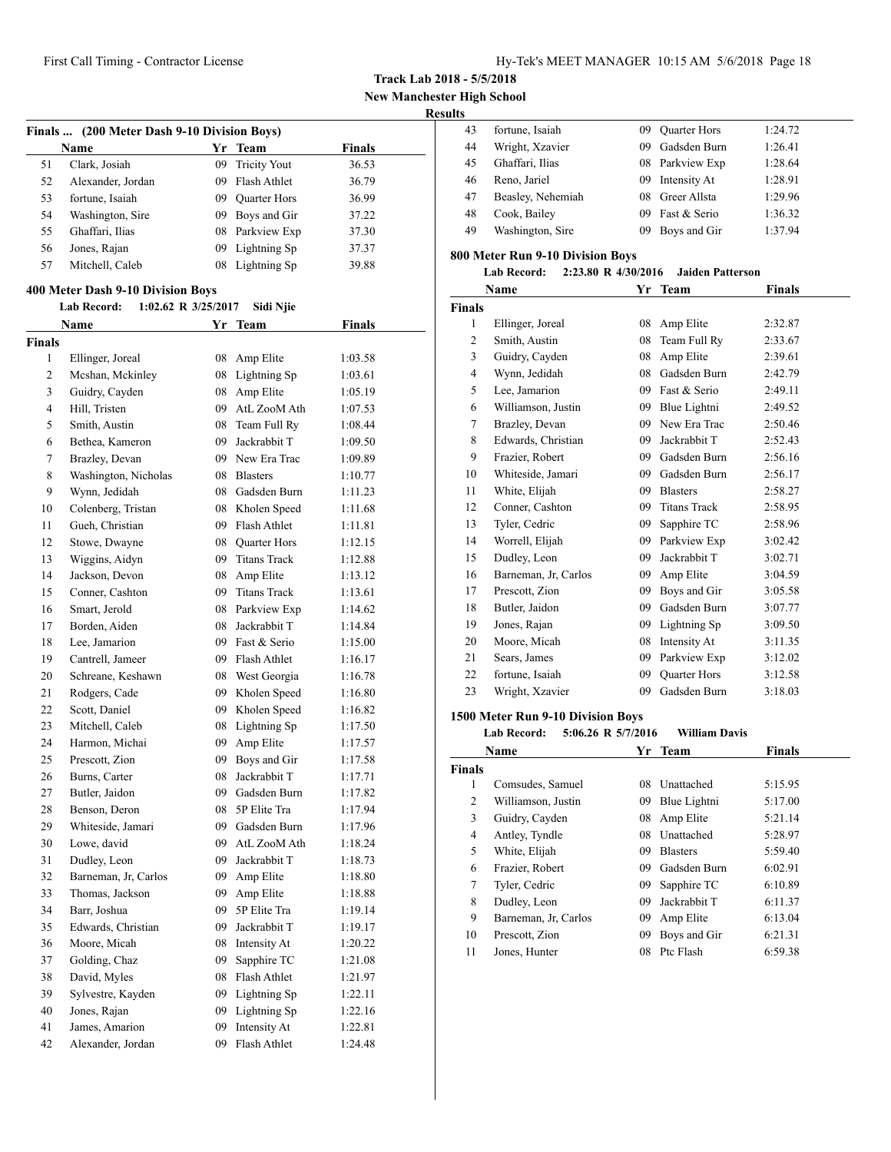**New Manchester High School**

#### **Results**

| Finals  (200 Meter Dash 9-10 Division Boys) |                                           |    |                     |               |  |  |
|---------------------------------------------|-------------------------------------------|----|---------------------|---------------|--|--|
|                                             | <b>Name</b>                               |    | Yr Team             | <b>Finals</b> |  |  |
| 51                                          | Clark, Josiah                             | 09 | <b>Tricity Yout</b> | 36.53         |  |  |
| 52                                          | Alexander, Jordan                         |    | 09 Flash Athlet     | 36.79         |  |  |
| 53                                          | fortune, Isaiah                           |    | 09 Quarter Hors     | 36.99         |  |  |
| 54                                          | Washington, Sire                          |    | 09 Boys and Gir     | 37.22         |  |  |
| 55                                          | Ghaffari, Ilias                           |    | 08 Parkview Exp     | 37.30         |  |  |
| 56                                          | Jones, Rajan                              | 09 | Lightning Sp        | 37.37         |  |  |
| 57                                          | Mitchell, Caleb                           | 08 | Lightning Sp        | 39.88         |  |  |
|                                             | 400 Meter Dash 9-10 Division Boys         |    |                     |               |  |  |
|                                             | <b>Lab Record:</b><br>1:02.62 R 3/25/2017 |    | Sidi Njie           |               |  |  |
|                                             | Name                                      |    | Yr Team             | <b>Finals</b> |  |  |
| <b>Finals</b>                               |                                           |    |                     |               |  |  |
| 1                                           | Ellinger, Joreal                          | 08 | Amp Elite           | 1:03.58       |  |  |
| 2                                           | Mcshan, Mckinley                          | 08 | Lightning Sp        | 1:03.61       |  |  |
| 3                                           | Guidry, Cayden                            | 08 | Amp Elite           | 1:05.19       |  |  |
| $\overline{4}$                              | Hill, Tristen                             |    | 09 AtL ZooM Ath     | 1:07.53       |  |  |
| 5                                           | Smith, Austin                             | 08 | Team Full Ry        | 1:08.44       |  |  |
| 6                                           | Bethea, Kameron                           |    | 09 Jackrabbit T     | 1:09.50       |  |  |
| 7                                           | Brazley, Devan                            |    | 09 New Era Trac     | 1:09.89       |  |  |
| 8                                           | Washington, Nicholas                      |    | 08 Blasters         | 1:10.77       |  |  |
| 9                                           | Wynn, Jedidah                             |    | 08 Gadsden Burn     | 1:11.23       |  |  |
| 10                                          | Colenberg, Tristan                        |    | 08 Kholen Speed     | 1:11.68       |  |  |
| 11                                          | Gueh, Christian                           |    | 09 Flash Athlet     | 1:11.81       |  |  |
| 12                                          | Stowe, Dwayne                             |    | 08 Ouarter Hors     | 1:12.15       |  |  |
| 13                                          | Wiggins, Aidyn                            |    | 09 Titans Track     | 1:12.88       |  |  |
| 14                                          | Jackson, Devon                            |    | 08 Amp Elite        | 1:13.12       |  |  |
| 15                                          | Conner, Cashton                           |    | 09 Titans Track     | 1:13.61       |  |  |
| 16                                          | Smart, Jerold                             | 08 | Parkview Exp        | 1:14.62       |  |  |
| 17                                          | Borden, Aiden                             | 08 | Jackrabbit T        | 1:14.84       |  |  |
| 18                                          | Lee, Jamarion                             | 09 | Fast & Serio        | 1:15.00       |  |  |
| 19                                          | Cantrell, Jameer                          | 09 | Flash Athlet        | 1:16.17       |  |  |
| 20                                          | Schreane, Keshawn                         | 08 | West Georgia        | 1:16.78       |  |  |
| 21                                          | Rodgers, Cade                             | 09 | Kholen Speed        | 1:16.80       |  |  |
| 22                                          | Scott, Daniel                             | 09 | Kholen Speed        | 1:16.82       |  |  |
| 23                                          | Mitchell, Caleb                           | 08 | Lightning Sp        | 1:17.50       |  |  |
| 24                                          | Harmon, Michai                            | 09 | Amp Elite           | 1:17.57       |  |  |
| 25                                          | Prescott, Zion                            | 09 | Boys and Gir        | 1:17.58       |  |  |

26 Burns, Carter 08 Jackrabbit T 1:17.71 Butler, Jaidon 09 Gadsden Burn 1:17.82 Benson, Deron 08 5P Elite Tra 1:17.94 Whiteside, Jamari 09 Gadsden Burn 1:17.96 Lowe, david 09 AtL ZooM Ath 1:18.24 31 Dudley, Leon 09 Jackrabbit T 1:18.73 32 Barneman, Jr, Carlos 09 Amp Elite 1:18.80 33 Thomas, Jackson 09 Amp Elite 1:18.88 Barr, Joshua 09 5P Elite Tra 1:19.14 Edwards, Christian 09 Jackrabbit T 1:19.17 Moore, Micah 08 Intensity At 1:20.22 Golding, Chaz 09 Sapphire TC 1:21.08 David, Myles 08 Flash Athlet 1:21.97 Sylvestre, Kayden 09 Lightning Sp 1:22.11 Jones, Rajan 09 Lightning Sp 1:22.16 James, Amarion 09 Intensity At 1:22.81 Alexander, Jordan 09 Flash Athlet 1:24.48

| 43 | fortune, Isaiah   | 09  | Quarter Hors    | 1:24.72 |
|----|-------------------|-----|-----------------|---------|
| 44 | Wright, Xzavier   | 09  | Gadsden Burn    | 1:26.41 |
| 45 | Ghaffari, Ilias   |     | 08 Parkview Exp | 1:28.64 |
| 46 | Reno, Jariel      | 09  | Intensity At    | 1:28.91 |
| 47 | Beasley, Nehemiah | 08. | Greer Allsta    | 1:29.96 |
| 48 | Cook, Bailey      | 09  | Fast & Serio    | 1:36.32 |
| 49 | Washington, Sire  | 09  | Boys and Gir    | 1:37.94 |
|    |                   |     |                 |         |

#### **800 Meter Run 9-10 Division Boys**

#### **Lab Record: 2:23.80 R 4/30/2016 Jaiden Patterson**

|                | Name                              | Yr | <b>Team</b>         | <b>Finals</b> |
|----------------|-----------------------------------|----|---------------------|---------------|
| Finals         |                                   |    |                     |               |
| 1              | Ellinger, Joreal                  | 08 | Amp Elite           | 2:32.87       |
| 2              | Smith, Austin                     | 08 | Team Full Ry        | 2:33.67       |
| 3              | Guidry, Cayden                    | 08 | Amp Elite           | 2:39.61       |
| $\overline{4}$ | Wynn, Jedidah                     | 08 | Gadsden Burn        | 2:42.79       |
| 5              | Lee, Jamarion                     | 09 | Fast & Serio        | 2:49.11       |
| 6              | Williamson, Justin                | 09 | Blue Lightni        | 2:49.52       |
| 7              | Brazley, Devan                    | 09 | New Era Trac        | 2:50.46       |
| 8              | Edwards, Christian                | 09 | Jackrabbit T        | 2:52.43       |
| 9              | Frazier, Robert                   | 09 | Gadsden Burn        | 2:56.16       |
| 10             | Whiteside, Jamari                 | 09 | Gadsden Burn        | 2:56.17       |
| 11             | White, Elijah                     | 09 | <b>Blasters</b>     | 2:58.27       |
| 12             | Conner, Cashton                   | 09 | <b>Titans Track</b> | 2:58.95       |
| 13             | Tyler, Cedric                     | 09 | Sapphire TC         | 2:58.96       |
| 14             | Worrell, Elijah                   | 09 | Parkview Exp        | 3:02.42       |
| 15             | Dudley, Leon                      | 09 | Jackrabbit T        | 3:02.71       |
| 16             | Barneman, Jr, Carlos              | 09 | Amp Elite           | 3:04.59       |
| 17             | Prescott, Zion                    | 09 | Boys and Gir        | 3:05.58       |
| 18             | Butler, Jaidon                    | 09 | Gadsden Burn        | 3:07.77       |
| 19             | Jones, Rajan                      | 09 | Lightning Sp        | 3:09.50       |
| 20             | Moore, Micah                      | 08 | Intensity At        | 3:11.35       |
| 21             | Sears, James                      | 09 | Parkview Exp        | 3:12.02       |
| 22             | fortune, Isaiah                   | 09 | <b>Ouarter Hors</b> | 3:12.58       |
| 23             | Wright, Xzavier                   | 09 | Gadsden Burn        | 3:18.03       |
|                | 1500 Meter Run 9-10 Division Bovs |    |                     |               |

|               | 5:06.26 R 5/7/2016<br><b>Lab Record:</b> |     | <b>William Davis</b> |               |
|---------------|------------------------------------------|-----|----------------------|---------------|
|               | Name                                     |     | Yr Team              | <b>Finals</b> |
| <b>Finals</b> |                                          |     |                      |               |
| 1             | Comsudes, Samuel                         | 08  | Unattached           | 5:15.95       |
| 2             | Williamson, Justin                       | 09  | Blue Lightni         | 5:17.00       |
| 3             | Guidry, Cayden                           | 08  | Amp Elite            | 5:21.14       |
| 4             | Antley, Tyndle                           | 08  | Unattached           | 5:28.97       |
| 5             | White, Elijah                            | 09  | <b>Blasters</b>      | 5:59.40       |
| 6             | Frazier, Robert                          | 09  | Gadsden Burn         | 6:02.91       |
| 7             | Tyler, Cedric                            | 09  | Sapphire TC          | 6:10.89       |
| 8             | Dudley, Leon                             | 09. | Jackrabbit T         | 6:11.37       |
| 9             | Barneman, Jr. Carlos                     | 09  | Amp Elite            | 6:13.04       |
| 10            | Prescott, Zion                           | 09  | Boys and Gir         | 6:21.31       |
| 11            | Jones, Hunter                            | 08  | Ptc Flash            | 6:59.38       |
|               |                                          |     |                      |               |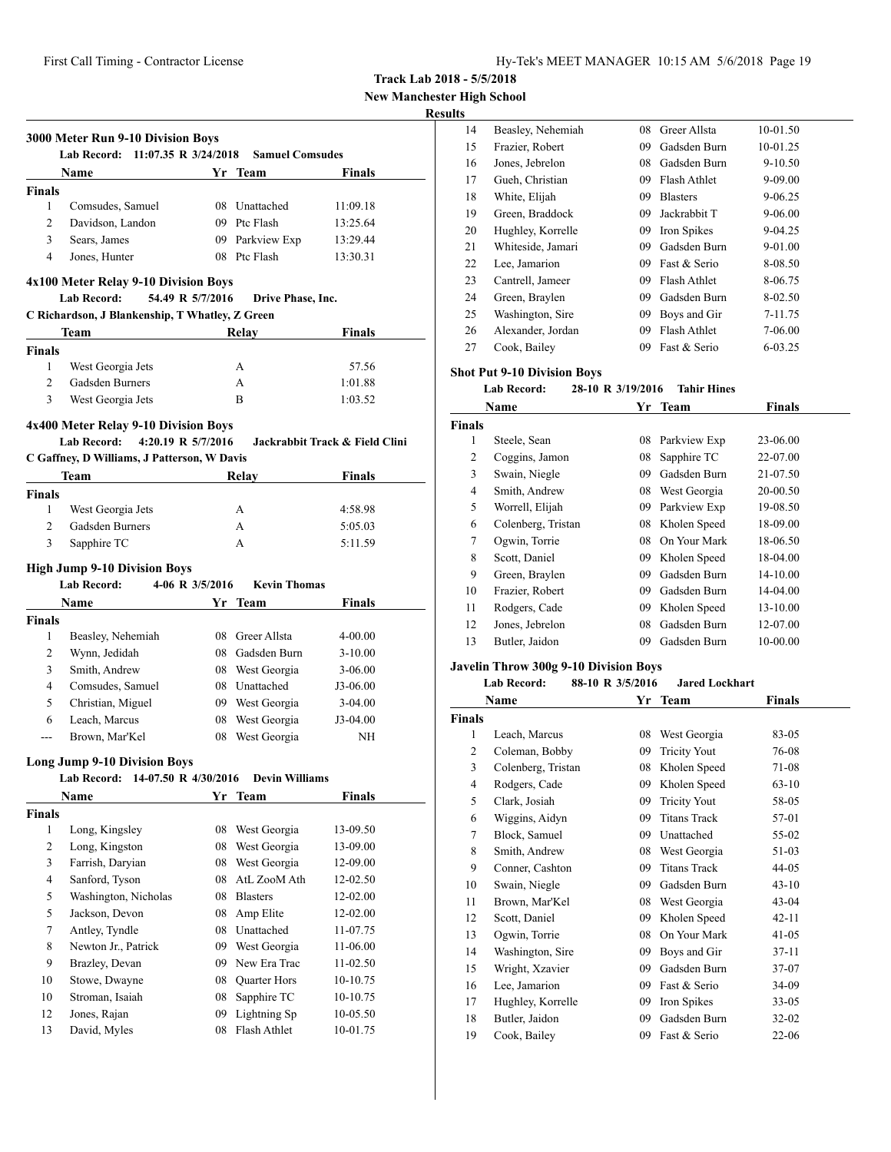**Track Lab 2018 - 5/5/2018**

**New Manchester High School**

## **Results**

|                | 3000 Meter Run 9-10 Division Boys<br><b>Lab Record:</b><br>11:07.35 R 3/24/2018   |                  | <b>Samuel Comsudes</b>      |                                |  |
|----------------|-----------------------------------------------------------------------------------|------------------|-----------------------------|--------------------------------|--|
|                | Name                                                                              |                  | Yr Team                     | Finals                         |  |
| <b>Finals</b>  |                                                                                   |                  |                             |                                |  |
| 1              | Comsudes, Samuel                                                                  |                  | 08 Unattached               | 11:09.18                       |  |
| 2              | Davidson, Landon                                                                  |                  | 09 Ptc Flash                | 13:25.64                       |  |
| 3              | Sears, James                                                                      |                  | 09 Parkview Exp             | 13:29.44                       |  |
| $\overline{4}$ | Jones, Hunter                                                                     |                  | 08 Ptc Flash                | 13:30.31                       |  |
|                | 4x100 Meter Relay 9-10 Division Boys<br><b>Lab Record:</b>                        | 54.49 R 5/7/2016 | Drive Phase, Inc.           |                                |  |
|                | C Richardson, J Blankenship, T Whatley, Z Green                                   |                  |                             |                                |  |
|                | Team                                                                              |                  | Relay                       | Finals                         |  |
| <b>Finals</b>  |                                                                                   |                  |                             |                                |  |
| 1              | West Georgia Jets                                                                 |                  | A                           | 57.56                          |  |
| 2              | Gadsden Burners                                                                   |                  | A                           | 1:01.88                        |  |
| 3              | West Georgia Jets                                                                 |                  | B                           | 1:03.52                        |  |
|                | 4x400 Meter Relay 9-10 Division Boys<br>4:20.19 R 5/7/2016<br><b>Lab Record:</b>  |                  |                             | Jackrabbit Track & Field Clini |  |
|                | C Gaffney, D Williams, J Patterson, W Davis                                       |                  |                             |                                |  |
|                | <b>Team</b>                                                                       |                  | Relay                       | Finals                         |  |
| <b>Finals</b>  |                                                                                   |                  |                             |                                |  |
| 1              | West Georgia Jets                                                                 |                  | A                           | 4:58.98                        |  |
| 2              | <b>Gadsden Burners</b>                                                            |                  | A                           | 5:05.03                        |  |
| 3              | Sapphire TC                                                                       |                  | A                           | 5:11.59                        |  |
|                |                                                                                   |                  |                             |                                |  |
|                | <b>High Jump 9-10 Division Boys</b>                                               |                  |                             |                                |  |
|                | <b>Lab Record:</b>                                                                | 4-06 R 3/5/2016  | <b>Kevin Thomas</b>         |                                |  |
|                | <b>Name</b>                                                                       | Yr               | Team                        | <b>Finals</b>                  |  |
| <b>Finals</b>  |                                                                                   |                  |                             |                                |  |
| 1              | Beasley, Nehemiah                                                                 | 08               | Greer Allsta                | 4-00.00                        |  |
| 2              | Wynn, Jedidah                                                                     |                  | 08 Gadsden Burn             | $3 - 10.00$                    |  |
| 3              | Smith, Andrew                                                                     |                  | 08 West Georgia             | $3 - 06.00$                    |  |
| $\overline{4}$ | Comsudes, Samuel                                                                  |                  | 08 Unattached               | J3-06.00                       |  |
| 5              | Christian, Miguel                                                                 |                  | 09 West Georgia             | $3-04.00$                      |  |
| 6              | Leach, Marcus                                                                     | 08               | West Georgia                | J3-04.00                       |  |
| $---$          | Brown, Mar'Kel                                                                    | 08               | West Georgia                | NH                             |  |
|                | <b>Long Jump 9-10 Division Boys</b><br>14-07.50 R 4/30/2016<br><b>Lab Record:</b> |                  | <b>Devin Williams</b>       |                                |  |
|                | Name                                                                              |                  | Yr Team                     | <b>Finals</b>                  |  |
| <b>Finals</b>  |                                                                                   |                  |                             |                                |  |
| 1              | Long, Kingsley                                                                    | 08               | West Georgia                | 13-09.50                       |  |
| 2              | Long, Kingston                                                                    | 08               | West Georgia                | 13-09.00                       |  |
| 3              | Farrish, Daryian                                                                  | 08               | West Georgia                | 12-09.00                       |  |
| 4              | Sanford, Tyson                                                                    | 08               | AtL ZooM Ath                | 12-02.50                       |  |
| 5              | Washington, Nicholas                                                              | 08               | <b>Blasters</b>             | 12-02.00                       |  |
| 5              | Jackson, Devon                                                                    | 08               | Amp Elite                   | 12-02.00                       |  |
| $\tau$         |                                                                                   |                  |                             |                                |  |
|                |                                                                                   | 08               | Unattached                  |                                |  |
|                | Antley, Tyndle                                                                    |                  |                             | 11-07.75                       |  |
| 8              | Newton Jr., Patrick                                                               | 09               | West Georgia                | 11-06.00                       |  |
| 9              | Brazley, Devan                                                                    | 09               | New Era Trac                | 11-02.50                       |  |
| 10             | Stowe, Dwayne                                                                     | 08               | Quarter Hors                | 10-10.75                       |  |
| 10<br>12       | Stroman, Isaiah<br>Jones, Rajan                                                   | 08<br>09         | Sapphire TC<br>Lightning Sp | 10-10.75<br>10-05.50           |  |

| US. |                   |    |                 |             |
|-----|-------------------|----|-----------------|-------------|
| 14  | Beasley, Nehemiah | 08 | Greer Allsta    | 10-01.50    |
| 15  | Frazier, Robert   | 09 | Gadsden Burn    | 10-01.25    |
| 16  | Jones, Jebrelon   | 08 | Gadsden Burn    | $9 - 10.50$ |
| 17  | Gueh, Christian   | 09 | Flash Athlet    | 9-09.00     |
| 18  | White, Elijah     | 09 | <b>Blasters</b> | $9 - 06.25$ |
| 19  | Green, Braddock   | 09 | Jackrabbit T    | 9-06.00     |
| 20  | Hughley, Korrelle | 09 | Iron Spikes     | $9 - 04.25$ |
| 21  | Whiteside, Jamari | 09 | Gadsden Burn    | 9-01.00     |
| 22  | Lee, Jamarion     | 09 | Fast & Serio    | 8-08.50     |
| 23  | Cantrell, Jameer  | 09 | Flash Athlet    | 8-06.75     |
| 24  | Green, Braylen    | 09 | Gadsden Burn    | 8-02.50     |
| 25  | Washington, Sire  | 09 | Boys and Gir    | 7-11.75     |
| 26  | Alexander, Jordan | 09 | Flash Athlet    | 7-06.00     |
| 27  | Cook, Bailey      | 09 | Fast & Serio    | 6-03.25     |
|     |                   |    |                 |             |

## **Shot Put 9-10 Division Boys**

#### **Lab Record: 28-10 R 3/19/2016 Tahir Hines**

| Name          |                    | Yr | <b>Team</b>  | <b>Finals</b> |  |
|---------------|--------------------|----|--------------|---------------|--|
| <b>Finals</b> |                    |    |              |               |  |
| 1             | Steele, Sean       | 08 | Parkview Exp | 23-06.00      |  |
| 2             | Coggins, Jamon     | 08 | Sapphire TC  | 22-07.00      |  |
| 3             | Swain, Niegle      | 09 | Gadsden Burn | 21-07.50      |  |
| 4             | Smith, Andrew      | 08 | West Georgia | 20-00.50      |  |
| 5             | Worrell, Elijah    | 09 | Parkview Exp | 19-08.50      |  |
| 6             | Colenberg, Tristan | 08 | Kholen Speed | 18-09.00      |  |
| 7             | Ogwin, Torrie      | 08 | On Your Mark | 18-06.50      |  |
| 8             | Scott, Daniel      | 09 | Kholen Speed | 18-04.00      |  |
| 9             | Green, Braylen     | 09 | Gadsden Burn | 14-10.00      |  |
| 10            | Frazier, Robert    | 09 | Gadsden Burn | 14-04.00      |  |
| 11            | Rodgers, Cade      | 09 | Kholen Speed | 13-10.00      |  |
| 12            | Jones, Jebrelon    | 08 | Gadsden Burn | 12-07.00      |  |
| 13            | Butler, Jaidon     | 09 | Gadsden Burn | 10-00.00      |  |

#### **Javelin Throw 300g 9-10 Division Boys**

#### **Lab Record: 88-10 R 3/5/2016 Jared Lockhart**

|               | Name               |    | Yr Team             | Finals    |
|---------------|--------------------|----|---------------------|-----------|
| <b>Finals</b> |                    |    |                     |           |
| 1             | Leach, Marcus      | 08 | West Georgia        | 83-05     |
| 2             | Coleman, Bobby     | 09 | <b>Tricity Yout</b> | 76-08     |
| 3             | Colenberg, Tristan | 08 | Kholen Speed        | 71-08     |
| 4             | Rodgers, Cade      | 09 | Kholen Speed        | $63 - 10$ |
| 5             | Clark, Josiah      | 09 | <b>Tricity Yout</b> | 58-05     |
| 6             | Wiggins, Aidyn     | 09 | <b>Titans Track</b> | 57-01     |
| 7             | Block, Samuel      | 09 | Unattached          | 55-02     |
| 8             | Smith, Andrew      | 08 | West Georgia        | 51-03     |
| 9             | Conner, Cashton    | 09 | <b>Titans Track</b> | $44 - 05$ |
| 10            | Swain, Niegle      | 09 | Gadsden Burn        | $43 - 10$ |
| 11            | Brown, Mar'Kel     | 08 | West Georgia        | 43-04     |
| 12            | Scott, Daniel      | 09 | Kholen Speed        | $42 - 11$ |
| 13            | Ogwin, Torrie      | 08 | On Your Mark        | $41 - 05$ |
| 14            | Washington, Sire   | 09 | Boys and Gir        | 37-11     |
| 15            | Wright, Xzavier    | 09 | Gadsden Burn        | 37-07     |
| 16            | Lee, Jamarion      | 09 | Fast & Serio        | 34-09     |
| 17            | Hughley, Korrelle  | 09 | Iron Spikes         | $33 - 05$ |
| 18            | Butler, Jaidon     | 09 | Gadsden Burn        | $32-02$   |
| 19            | Cook, Bailey       | 09 | Fast & Serio        | $22-06$   |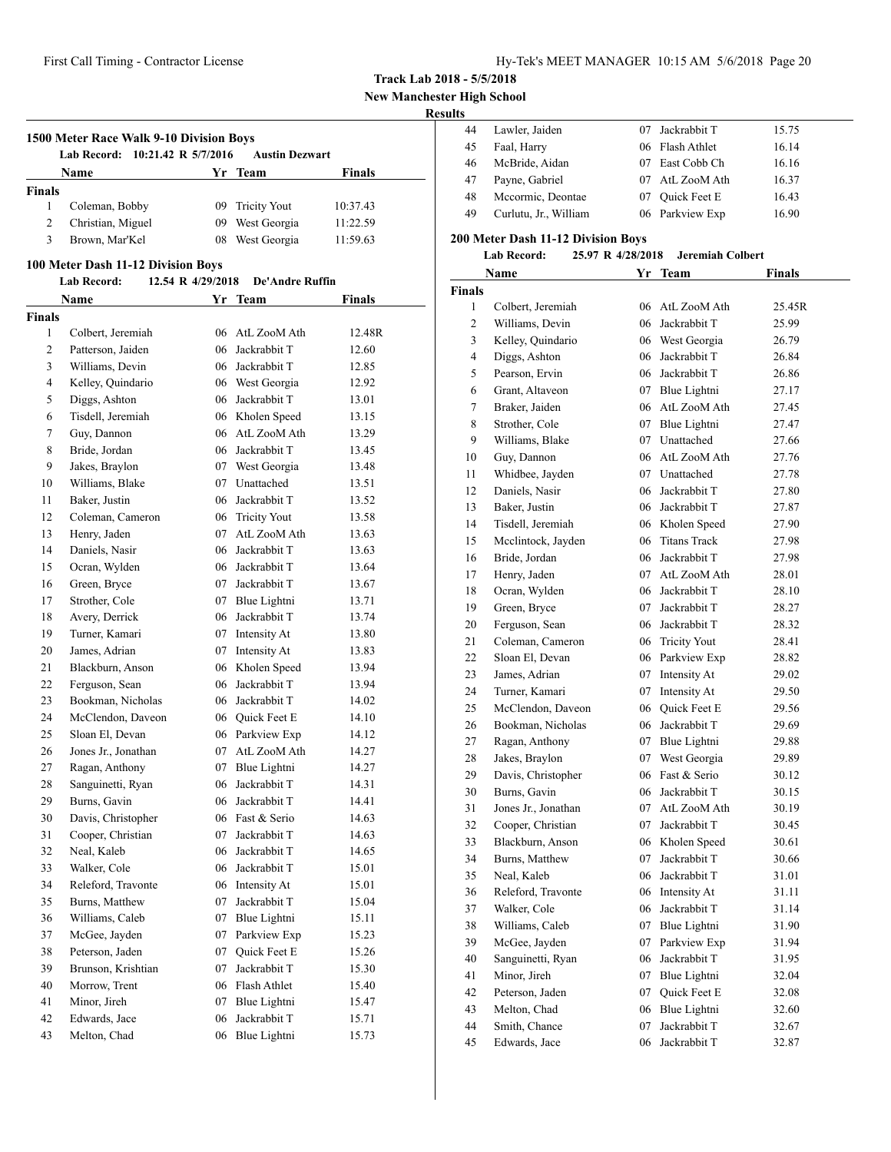**1500 Meter Race Walk 9-10 Division Boys**

**Lab Record: 10:21.42 R 5/7/2016 Austin Dezwart**

**Name Yr Team Finals**

 Coleman, Bobby 09 Tricity Yout 10:37.43 Christian, Miguel 09 West Georgia 11:22.59 Brown, Mar'Kel 08 West Georgia 11:59.63

| Hy-Tek's MEET MANAGER 10:15 AM 5/6/2018 Page 20 |  |  |  |  |  |  |
|-------------------------------------------------|--|--|--|--|--|--|
|-------------------------------------------------|--|--|--|--|--|--|

**Track Lab 2018 - 5/5/2018**

**New Manchester High School**

#### **Results**

| .  |                       |    |                 |       |
|----|-----------------------|----|-----------------|-------|
| 44 | Lawler, Jaiden        |    | Jackrabbit T    | 15.75 |
| 45 | Faal, Harry           |    | 06 Flash Athlet | 16.14 |
| 46 | McBride, Aidan        | 07 | East Cobb Ch    | 16.16 |
| 47 | Payne, Gabriel        |    | 07 AtL ZooM Ath | 16.37 |
| 48 | Mccormic, Deontae     |    | 07 Ouick Feet E | 16.43 |
| 49 | Curlutu, Jr., William |    | 06 Parkview Exp | 16.90 |

#### **200 Meter Dash 11-12 Division Boys**

#### **Lab Record: 25.97 R 4/28/2018 Jeremiah Colbert**

| Name   |                     |    | Yr Team         | <b>Finals</b> |
|--------|---------------------|----|-----------------|---------------|
| Finals |                     |    |                 |               |
| 1      | Colbert, Jeremiah   |    | 06 AtL ZooM Ath | 25.45R        |
| 2      | Williams, Devin     |    | 06 Jackrabbit T | 25.99         |
| 3      | Kelley, Quindario   |    | 06 West Georgia | 26.79         |
| 4      | Diggs, Ashton       |    | 06 Jackrabbit T | 26.84         |
| 5      | Pearson, Ervin      |    | 06 Jackrabbit T | 26.86         |
| 6      | Grant, Altaveon     |    | 07 Blue Lightni | 27.17         |
| 7      | Braker, Jaiden      |    | 06 AtL ZooM Ath | 27.45         |
| 8      | Strother, Cole      |    | 07 Blue Lightni | 27.47         |
| 9      | Williams, Blake     |    | 07 Unattached   | 27.66         |
| 10     | Guy, Dannon         |    | 06 AtL ZooM Ath | 27.76         |
| 11     | Whidbee, Jayden     |    | 07 Unattached   | 27.78         |
| 12     | Daniels, Nasir      |    | 06 Jackrabbit T | 27.80         |
| 13     | Baker, Justin       |    | 06 Jackrabbit T | 27.87         |
| 14     | Tisdell, Jeremiah   |    | 06 Kholen Speed | 27.90         |
| 15     | Mcclintock, Jayden  |    | 06 Titans Track | 27.98         |
| 16     | Bride, Jordan       |    | 06 Jackrabbit T | 27.98         |
| 17     | Henry, Jaden        |    | 07 AtL ZooM Ath | 28.01         |
| 18     | Ocran, Wylden       |    | 06 Jackrabbit T | 28.10         |
| 19     | Green, Bryce        |    | 07 Jackrabbit T | 28.27         |
| 20     | Ferguson, Sean      |    | 06 Jackrabbit T | 28.32         |
| 21     | Coleman, Cameron    |    | 06 Tricity Yout | 28.41         |
| 22     | Sloan El, Devan     |    | 06 Parkview Exp | 28.82         |
| 23     | James, Adrian       |    | 07 Intensity At | 29.02         |
| 24     | Turner, Kamari      |    | 07 Intensity At | 29.50         |
| 25     | McClendon, Daveon   |    | 06 Ouick Feet E | 29.56         |
| 26     | Bookman, Nicholas   |    | 06 Jackrabbit T | 29.69         |
| 27     | Ragan, Anthony      |    | 07 Blue Lightni | 29.88         |
| 28     | Jakes, Braylon      | 07 | West Georgia    | 29.89         |
| 29     | Davis, Christopher  |    | 06 Fast & Serio | 30.12         |
| 30     | Burns, Gavin        |    | 06 Jackrabbit T | 30.15         |
| 31     | Jones Jr., Jonathan |    | 07 AtL ZooM Ath | 30.19         |
| 32     | Cooper, Christian   |    | 07 Jackrabbit T | 30.45         |
| 33     | Blackburn, Anson    |    | 06 Kholen Speed | 30.61         |
| 34     | Burns, Matthew      |    | 07 Jackrabbit T | 30.66         |
| 35     | Neal, Kaleb         |    | 06 Jackrabbit T | 31.01         |
| 36     | Releford, Travonte  |    | 06 Intensity At | 31.11         |
| 37     | Walker, Cole        | 06 | Jackrabbit T    | 31.14         |
| 38     | Williams, Caleb     | 07 | Blue Lightni    | 31.90         |
| 39     | McGee, Jayden       | 07 | Parkview Exp    | 31.94         |
| 40     | Sanguinetti, Ryan   | 06 | Jackrabbit T    | 31.95         |
| 41     | Minor, Jireh        | 07 | Blue Lightni    | 32.04         |
| 42     | Peterson, Jaden     | 07 | Quick Feet E    | 32.08         |
| 43     | Melton, Chad        | 06 | Blue Lightni    | 32.60         |
| 44     | Smith, Chance       | 07 | Jackrabbit T    | 32.67         |
| 45     | Edwards, Jace       | 06 | Jackrabbit T    | 32.87         |

#### **100 Meter Dash 11-12 Division Boys**

**Finals**

|               | <b>Lab Record:</b>  | 12.54 R 4/29/2018 |    | De'Andre Ruffin     |               |
|---------------|---------------------|-------------------|----|---------------------|---------------|
|               | Name                |                   |    | Yr Team             | <b>Finals</b> |
| <b>Finals</b> |                     |                   |    |                     |               |
| 1             | Colbert, Jeremiah   |                   | 06 | AtL ZooM Ath        | 12.48R        |
| 2             | Patterson, Jaiden   |                   | 06 | Jackrabbit T        | 12.60         |
| 3             | Williams, Devin     |                   |    | 06 Jackrabbit T     | 12.85         |
| 4             | Kelley, Quindario   |                   |    | 06 West Georgia     | 12.92         |
| 5             | Diggs, Ashton       |                   | 06 | Jackrabbit T        | 13.01         |
| 6             | Tisdell, Jeremiah   |                   |    | 06 Kholen Speed     | 13.15         |
| 7             | Guy, Dannon         |                   | 06 | AtL ZooM Ath        | 13.29         |
| 8             | Bride, Jordan       |                   |    | 06 Jackrabbit T     | 13.45         |
| 9             | Jakes, Braylon      |                   |    | 07 West Georgia     | 13.48         |
| 10            | Williams, Blake     |                   | 07 | Unattached          | 13.51         |
| 11            | Baker, Justin       |                   | 06 | Jackrabbit T        | 13.52         |
| 12            | Coleman, Cameron    |                   | 06 | <b>Tricity Yout</b> | 13.58         |
| 13            | Henry, Jaden        |                   | 07 | AtL ZooM Ath        | 13.63         |
| 14            | Daniels, Nasir      |                   | 06 | Jackrabbit T        | 13.63         |
| 15            | Ocran, Wylden       |                   | 06 | Jackrabbit T        | 13.64         |
| 16            | Green, Bryce        |                   | 07 | Jackrabbit T        | 13.67         |
| 17            | Strother, Cole      |                   |    | 07 Blue Lightni     | 13.71         |
| 18            | Avery, Derrick      |                   | 06 | Jackrabbit T        | 13.74         |
| 19            | Turner, Kamari      |                   |    | 07 Intensity At     | 13.80         |
| 20            | James, Adrian       |                   |    | 07 Intensity At     | 13.83         |
| 21            | Blackburn, Anson    |                   |    | 06 Kholen Speed     | 13.94         |
| 22            | Ferguson, Sean      |                   | 06 | Jackrabbit T        | 13.94         |
| 23            | Bookman, Nicholas   |                   |    | 06 Jackrabbit T     | 14.02         |
| 24            | McClendon, Daveon   |                   |    | 06 Quick Feet E     | 14.10         |
| 25            | Sloan El, Devan     |                   |    | 06 Parkview Exp     | 14.12         |
| 26            | Jones Jr., Jonathan |                   |    | 07 AtL ZooM Ath     | 14.27         |
| 27            | Ragan, Anthony      |                   |    | 07 Blue Lightni     | 14.27         |
| 28            | Sanguinetti, Ryan   |                   | 06 | Jackrabbit T        | 14.31         |
| 29            | Burns, Gavin        |                   | 06 | Jackrabbit T        | 14.41         |
| 30            | Davis, Christopher  |                   |    | 06 Fast & Serio     | 14.63         |
| 31            | Cooper, Christian   |                   |    | 07 Jackrabbit T     | 14.63         |
| 32            | Neal, Kaleb         |                   | 06 | Jackrabbit T        | 14.65         |
| 33            | Walker, Cole        |                   |    | 06 Jackrabbit T     | 15.01         |
| 34            | Releford, Travonte  |                   |    | 06 Intensity At     | 15.01         |
| 35            | Burns, Matthew      |                   | 07 | Jackrabbit T        | 15.04         |
| 36            | Williams, Caleb     |                   | 07 | Blue Lightni        | 15.11         |
| 37            | McGee, Jayden       |                   | 07 | Parkview Exp        | 15.23         |
| 38            | Peterson, Jaden     |                   | 07 | Quick Feet E        | 15.26         |
| 39            | Brunson, Krishtian  |                   | 07 | Jackrabbit T        | 15.30         |
| 40            | Morrow, Trent       |                   | 06 | Flash Athlet        | 15.40         |
| 41            | Minor, Jireh        |                   | 07 | Blue Lightni        | 15.47         |
| 42            | Edwards, Jace       |                   | 06 | Jackrabbit T        | 15.71         |
| 43            | Melton, Chad        |                   | 06 | Blue Lightni        | 15.73         |
|               |                     |                   |    |                     |               |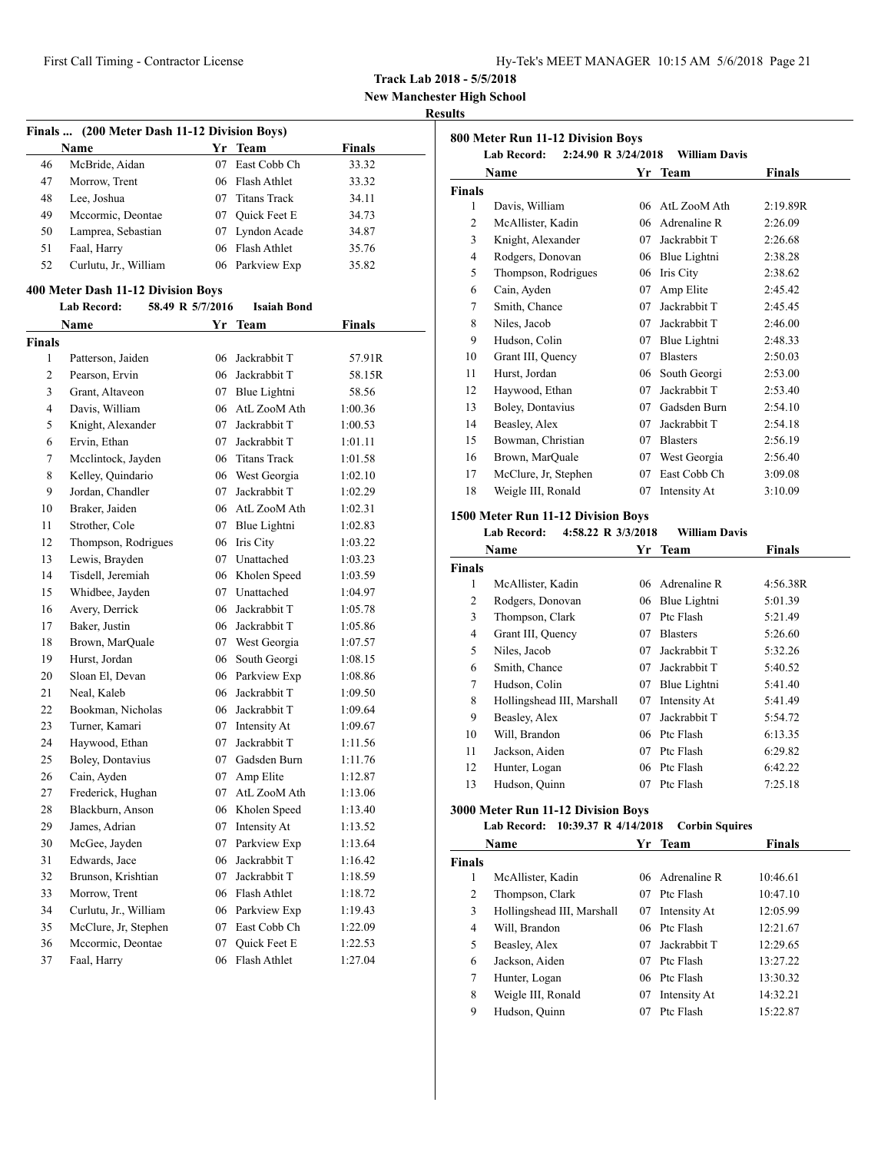**New Manchester High School**

#### **Results**

| Finals  (200 Meter Dash 11-12 Division Boys) |                                    |                  |                     |               |  |
|----------------------------------------------|------------------------------------|------------------|---------------------|---------------|--|
|                                              | Name                               |                  | Yr Team             | <b>Finals</b> |  |
| 46                                           | McBride, Aidan                     | 07               | East Cobb Ch        | 33.32         |  |
| 47                                           | Morrow, Trent                      |                  | 06 Flash Athlet     | 33.32         |  |
| 48                                           | Lee, Joshua                        |                  | 07 Titans Track     | 34.11         |  |
| 49                                           | Mccormic, Deontae                  |                  | 07 Quick Feet E     | 34.73         |  |
| 50                                           | Lamprea, Sebastian                 |                  | 07 Lyndon Acade     | 34.87         |  |
| 51                                           | Faal, Harry                        |                  | 06 Flash Athlet     | 35.76         |  |
| 52                                           | Curlutu, Jr., William              |                  | 06 Parkview Exp     | 35.82         |  |
|                                              | 400 Meter Dash 11-12 Division Boys |                  |                     |               |  |
|                                              | <b>Lab Record:</b>                 | 58.49 R 5/7/2016 | <b>Isaiah Bond</b>  |               |  |
|                                              | Name                               | Yr               | <b>Team</b>         | <b>Finals</b> |  |
| <b>Finals</b>                                |                                    |                  |                     |               |  |
| 1                                            | Patterson, Jaiden                  | 06               | Jackrabbit T        | 57.91R        |  |
| 2                                            | Pearson, Ervin                     |                  | 06 Jackrabbit T     | 58.15R        |  |
| 3                                            | Grant, Altaveon                    | 07               | Blue Lightni        | 58.56         |  |
| 4                                            | Davis, William                     | 06               | AtL ZooM Ath        | 1:00.36       |  |
| 5                                            | Knight, Alexander                  | 07               | Jackrabbit T        | 1:00.53       |  |
| 6                                            | Ervin, Ethan                       | 07               | Jackrabbit T        | 1:01.11       |  |
| 7                                            | Mcclintock, Jayden                 | 06               | <b>Titans Track</b> | 1:01.58       |  |
| 8                                            | Kelley, Quindario                  | 06               | West Georgia        | 1:02.10       |  |
| 9                                            | Jordan, Chandler                   | 07               | Jackrabbit T        | 1:02.29       |  |
| 10                                           | Braker, Jaiden                     |                  | 06 AtL ZooM Ath     | 1:02.31       |  |
| 11                                           | Strother, Cole                     |                  | 07 Blue Lightni     | 1:02.83       |  |
| 12                                           | Thompson, Rodrigues                |                  | 06 Iris City        | 1:03.22       |  |
| 13                                           | Lewis, Brayden                     |                  | 07 Unattached       | 1:03.23       |  |
| 14                                           | Tisdell, Jeremiah                  |                  | 06 Kholen Speed     | 1:03.59       |  |
| 15                                           | Whidbee, Jayden                    |                  | 07 Unattached       | 1:04.97       |  |
| 16                                           | Avery, Derrick                     | 06               | Jackrabbit T        | 1:05.78       |  |
| 17                                           | Baker, Justin                      | 06               | Jackrabbit T        | 1:05.86       |  |
| 18                                           | Brown, MarQuale                    |                  | 07 West Georgia     | 1:07.57       |  |
| 19                                           | Hurst, Jordan                      | 06               | South Georgi        | 1:08.15       |  |
| 20                                           | Sloan El, Devan                    |                  | 06 Parkview Exp     | 1:08.86       |  |
| 21                                           | Neal, Kaleb                        | 06               | Jackrabbit T        | 1:09.50       |  |
| 22                                           | Bookman, Nicholas                  |                  | 06 Jackrabbit T     | 1:09.64       |  |
| 23                                           | Turner, Kamari                     |                  | 07 Intensity At     | 1:09.67       |  |
| 24                                           | Haywood, Ethan                     | 07               | Jackrabbit T        | 1:11.56       |  |
| 25                                           | Boley, Dontavius                   |                  | 07 Gadsden Burn     | 1:11.76       |  |
| 26                                           | Cain, Ayden                        |                  | 07 Amp Elite        | 1:12.87       |  |
| 27                                           | Frederick, Hughan                  | 07               | AtL ZooM Ath        | 1:13.06       |  |
| 28                                           | Blackburn, Anson                   | 06               | Kholen Speed        | 1:13.40       |  |
| 29                                           | James, Adrian                      | 07               | Intensity At        | 1:13.52       |  |
| 30                                           | McGee, Jayden                      | 07               | Parkview Exp        | 1:13.64       |  |
| 31                                           | Edwards, Jace                      | 06               | Jackrabbit T        | 1:16.42       |  |
| 32                                           | Brunson, Krishtian                 | 07               | Jackrabbit T        | 1:18.59       |  |
| 33                                           | Morrow, Trent                      | 06               | Flash Athlet        | 1:18.72       |  |
| 34                                           | Curlutu, Jr., William              | 06               | Parkview Exp        | 1:19.43       |  |
| 35                                           | McClure, Jr, Stephen               | 07               | East Cobb Ch        | 1:22.09       |  |
| 36                                           | Mccormic, Deontae                  | 07               | Quick Feet E        | 1:22.53       |  |
| 37                                           | Faal, Harry                        | 06               | Flash Athlet        | 1:27.04       |  |
|                                              |                                    |                  |                     |               |  |

|                | 800 Meter Run 11-12 Division Boys                 |    |                              |          |
|----------------|---------------------------------------------------|----|------------------------------|----------|
|                | <b>Lab Record:</b><br>2:24.90 R 3/24/2018<br>Name | Yr | William Davis<br><b>Team</b> | Finals   |
| <b>Finals</b>  |                                                   |    |                              |          |
| 1              | Davis, William                                    | 06 | AtL ZooM Ath                 | 2:19.89R |
| $\overline{c}$ | McAllister, Kadin                                 | 06 | Adrenaline R                 | 2:26.09  |
| 3              | Knight, Alexander                                 | 07 | Jackrabbit T                 | 2:26.68  |
| 4              | Rodgers, Donovan                                  | 06 | Blue Lightni                 | 2:38.28  |
| 5              | Thompson, Rodrigues                               | 06 | Iris City                    | 2:38.62  |
| 6              | Cain, Ayden                                       | 07 | Amp Elite                    | 2:45.42  |
| 7              | Smith, Chance                                     | 07 | Jackrabbit T                 | 2:45.45  |
| 8              | Niles, Jacob                                      | 07 | Jackrabbit T                 | 2:46.00  |
| 9              | Hudson, Colin                                     | 07 | Blue Lightni                 | 2:48.33  |
| 10             | Grant III, Quency                                 | 07 | <b>Blasters</b>              | 2:50.03  |
| 11             | Hurst, Jordan                                     | 06 | South Georgi                 | 2:53.00  |
| 12             | Haywood, Ethan                                    | 07 | Jackrabbit T                 | 2:53.40  |
| 13             | Boley, Dontavius                                  | 07 | Gadsden Burn                 | 2:54.10  |
| 14             | Beasley, Alex                                     | 07 | Jackrabbit T                 | 2:54.18  |
| 15             | Bowman, Christian                                 | 07 | <b>Blasters</b>              | 2:56.19  |
| 16             | Brown, MarQuale                                   | 07 | West Georgia                 | 2:56.40  |
| 17             | McClure, Jr, Stephen                              | 07 | East Cobb Ch                 | 3:09.08  |
| 18             | Weigle III, Ronald                                | 07 | Intensity At                 | 3:10.09  |

## **1500 Meter Run 11-12 Division Boys**

## **Lab Record: 4:58.22 R 3/3/2018 William Davis**

| Name          |                            | Yr | Team            | <b>Finals</b> |  |
|---------------|----------------------------|----|-----------------|---------------|--|
| <b>Finals</b> |                            |    |                 |               |  |
| 1             | McAllister, Kadin          | 06 | Adrenaline R    | 4:56.38R      |  |
| 2             | Rodgers, Donovan           | 06 | Blue Lightni    | 5:01.39       |  |
| 3             | Thompson, Clark            | 07 | Ptc Flash       | 5:21.49       |  |
| 4             | Grant III, Quency          | 07 | <b>Blasters</b> | 5:26.60       |  |
| 5             | Niles, Jacob               | 07 | Jackrabbit T    | 5:32.26       |  |
| 6             | Smith, Chance              | 07 | Jackrabbit T    | 5:40.52       |  |
| 7             | Hudson, Colin              | 07 | Blue Lightni    | 5:41.40       |  |
| 8             | Hollingshead III, Marshall | 07 | Intensity At    | 5:41.49       |  |
| 9             | Beasley, Alex              | 07 | Jackrabbit T    | 5:54.72       |  |
| 10            | Will, Brandon              | 06 | Ptc Flash       | 6:13.35       |  |
| 11            | Jackson, Aiden             | 07 | Ptc Flash       | 6:29.82       |  |
| 12            | Hunter, Logan              |    | 06 Ptc Flash    | 6:42.22       |  |
| 13            | Hudson, Quinn              | 07 | Ptc Flash       | 7:25.18       |  |
|               |                            |    |                 |               |  |

## **3000 Meter Run 11-12 Division Boys**

#### **Lab Record: 10:39.37 R 4/14/2018 Corbin Squires**

| Name          |                            | Yr | <b>Team</b>     | Finals   |
|---------------|----------------------------|----|-----------------|----------|
| <b>Finals</b> |                            |    |                 |          |
| 1             | McAllister, Kadin          |    | 06 Adrenaline R | 10:46.61 |
| 2             | Thompson, Clark            | 07 | Ptc Flash       | 10:47.10 |
| 3             | Hollingshead III, Marshall | 07 | Intensity At    | 12:05.99 |
| 4             | Will, Brandon              |    | 06 Ptc Flash    | 12:21.67 |
| 5             | Beasley, Alex              | 07 | Jackrabbit T    | 12:29.65 |
| 6             | Jackson, Aiden             | 07 | Ptc Flash       | 13:27.22 |
| 7             | Hunter, Logan              |    | 06 Ptc Flash    | 13:30.32 |
| 8             | Weigle III, Ronald         | 07 | Intensity At    | 14:32.21 |
| 9             | Hudson, Quinn              | 07 | Ptc Flash       | 15:22.87 |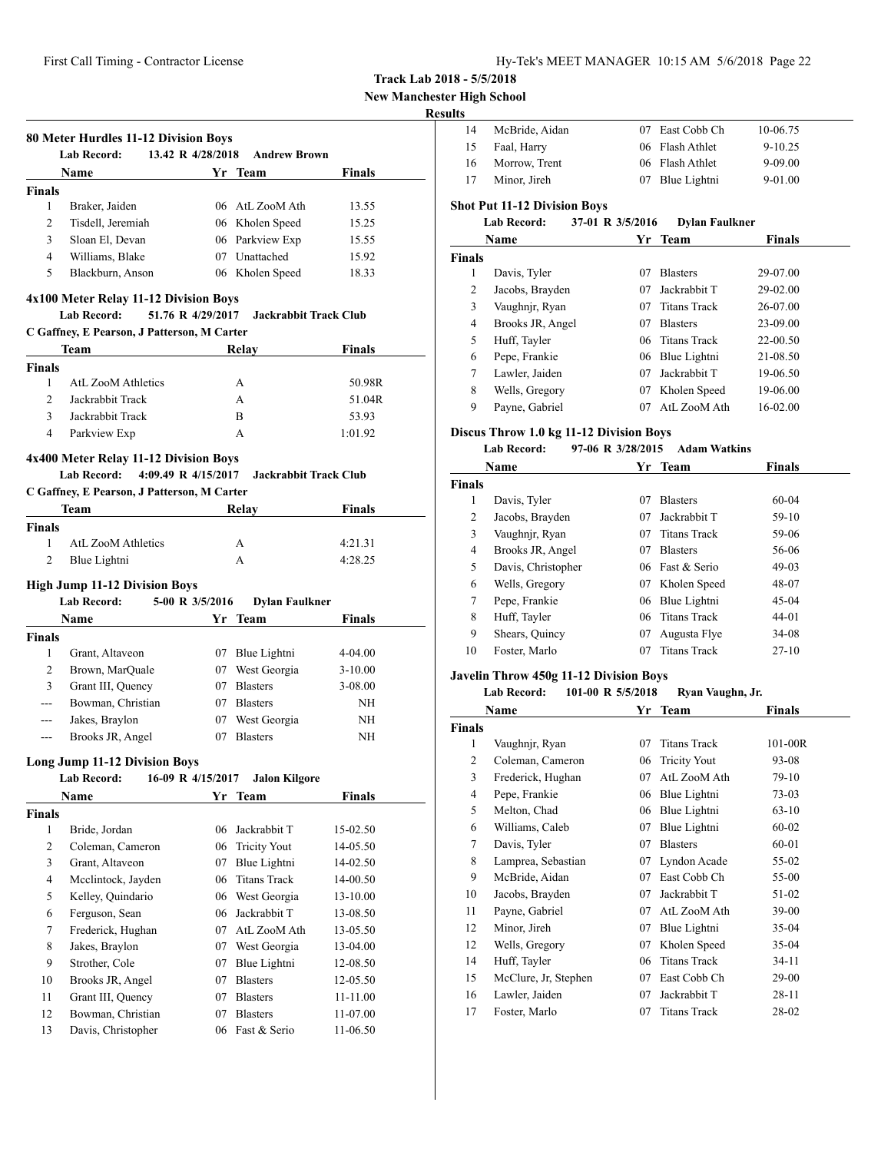**New Manchester High School**

## **Result**

|                     | <b>Lab Record:</b>                          | 80 Meter Hurdles 11-12 Division Boys<br>13.42 R 4/28/2018 | <b>Andrew Brown</b>          |               |
|---------------------|---------------------------------------------|-----------------------------------------------------------|------------------------------|---------------|
|                     | <b>Name</b>                                 |                                                           | Yr Team                      | <b>Finals</b> |
| <b>Finals</b>       |                                             |                                                           |                              |               |
| 1                   | Braker, Jaiden                              |                                                           | 06 AtL ZooM Ath              | 13.55         |
| 2                   | Tisdell, Jeremiah                           |                                                           | 06 Kholen Speed              | 15.25         |
| 3                   | Sloan El, Devan                             |                                                           | 06 Parkview Exp              | 15.55         |
| $\overline{4}$      | Williams, Blake                             |                                                           | 07 Unattached                | 15.92         |
| 5                   | Blackburn, Anson                            |                                                           | 06 Kholen Speed              | 18.33         |
|                     | 4x100 Meter Relay 11-12 Division Boys       |                                                           |                              |               |
|                     | <b>Lab Record:</b>                          | 51.76 R 4/29/2017                                         | <b>Jackrabbit Track Club</b> |               |
|                     | C Gaffney, E Pearson, J Patterson, M Carter |                                                           |                              |               |
|                     | Team                                        |                                                           | Relay                        | Finals        |
| <b>Finals</b>       |                                             |                                                           |                              |               |
| 1                   | <b>AtL ZooM Athletics</b>                   |                                                           | A                            | 50.98R        |
| $\overline{c}$      | Jackrabbit Track                            |                                                           | A                            | 51.04R        |
| 3                   | Jackrabbit Track                            |                                                           | B                            | 53.93         |
| $\overline{4}$      | Parkview Exp                                |                                                           | A                            | 1:01.92       |
|                     | 4x400 Meter Relay 11-12 Division Boys       |                                                           |                              |               |
|                     | 4:09.49 R 4/15/2017<br><b>Lab Record:</b>   |                                                           | Jackrabbit Track Club        |               |
|                     | C Gaffney, E Pearson, J Patterson, M Carter |                                                           |                              |               |
|                     | Team                                        |                                                           | Relav                        | <b>Finals</b> |
| <b>Finals</b>       |                                             |                                                           |                              |               |
| 1                   | <b>AtL ZooM Athletics</b>                   |                                                           | A                            | 4:21.31       |
| $\overline{c}$      | Blue Lightni                                |                                                           | A                            | 4:28.25       |
|                     | <b>High Jump 11-12 Division Boys</b>        |                                                           |                              |               |
|                     | <b>Lab Record:</b>                          | 5-00 R 3/5/2016                                           | <b>Dylan Faulkner</b>        |               |
|                     | Name                                        | Yr                                                        | <b>Team</b>                  | Finals        |
| <b>Finals</b>       |                                             |                                                           |                              |               |
| 1                   | Grant, Altaveon                             |                                                           | 07 Blue Lightni              | 4-04.00       |
| 2                   | Brown, MarQuale                             |                                                           | 07 West Georgia              | $3-10.00$     |
| 3                   | Grant III, Quency                           |                                                           | 07 Blasters                  | 3-08.00       |
| $\overline{a}$      | Bowman, Christian                           |                                                           | 07 Blasters                  | NH            |
| ---                 | Jakes, Braylon                              |                                                           | 07 West Georgia              | NH            |
| ---                 | Brooks JR, Angel                            |                                                           | 07 Blasters                  | <b>NH</b>     |
|                     | <b>Long Jump 11-12 Division Boys</b>        |                                                           |                              |               |
|                     | Lab Record:                                 | 16-09 R 4/15/2017                                         | <b>Jalon Kilgore</b>         |               |
|                     |                                             |                                                           |                              |               |
|                     | Name                                        |                                                           | Yr Team                      | Finals        |
|                     |                                             |                                                           |                              |               |
| 1                   | Bride, Jordan                               | 06                                                        | Jackrabbit T                 | 15-02.50      |
| 2                   | Coleman, Cameron                            | 06                                                        | <b>Tricity Yout</b>          | 14-05.50      |
| 3                   | Grant, Altaveon                             | 07                                                        | Blue Lightni                 | 14-02.50      |
| 4                   | Mcclintock, Jayden                          | 06                                                        | <b>Titans Track</b>          | 14-00.50      |
| 5                   | Kelley, Quindario                           | 06                                                        | West Georgia                 | 13-10.00      |
| 6                   | Ferguson, Sean                              | 06                                                        | Jackrabbit T                 | 13-08.50      |
| 7                   | Frederick, Hughan                           | 07                                                        | AtL ZooM Ath                 | 13-05.50      |
| 8                   | Jakes, Braylon                              | 07                                                        | West Georgia                 | 13-04.00      |
| 9                   | Strother, Cole                              | 07                                                        | Blue Lightni                 | 12-08.50      |
| 10                  | Brooks JR, Angel                            | 07                                                        | <b>Blasters</b>              | 12-05.50      |
| <b>Finals</b><br>11 | Grant III, Quency                           | 07                                                        | <b>Blasters</b>              | 11-11.00      |
| 12                  | Bowman, Christian                           | 07                                                        | <b>Blasters</b>              | 11-07.00      |
| 13                  | Davis, Christopher                          | 06                                                        | Fast & Serio                 | 11-06.50      |

| ults          |                                         |                  |                       |               |
|---------------|-----------------------------------------|------------------|-----------------------|---------------|
| 14            | McBride, Aidan                          | 07               | East Cobb Ch          | 10-06.75      |
| 15            | Faal, Harry                             | 06               | Flash Athlet          | $9 - 10.25$   |
| 16            | Morrow, Trent                           | 06               | Flash Athlet          | 9-09.00       |
| 17            | Minor, Jireh                            | 07               | Blue Lightni          | 9-01.00       |
|               | <b>Shot Put 11-12 Division Boys</b>     |                  |                       |               |
|               | <b>Lab Record:</b>                      | 37-01 R 3/5/2016 | <b>Dylan Faulkner</b> |               |
|               | Name                                    |                  | Yr Team               | <b>Finals</b> |
| <b>Finals</b> |                                         |                  |                       |               |
| 1             | Davis, Tyler                            | 07               | <b>Blasters</b>       | 29-07.00      |
| 2             | Jacobs, Brayden                         | 07               | Jackrabbit T          | 29-02.00      |
| 3             | Vaughnjr, Ryan                          | 07               | <b>Titans Track</b>   | 26-07.00      |
| 4             | Brooks JR, Angel                        | 07               | <b>Blasters</b>       | 23-09.00      |
| 5             | Huff, Tayler                            | 06               | <b>Titans Track</b>   | 22-00.50      |
| 6             | Pepe, Frankie                           | 06               | Blue Lightni          | 21-08.50      |
| 7             | Lawler, Jaiden                          | 07               | Jackrabbit T          | 19-06.50      |
| 8             | Wells, Gregory                          | 07               | Kholen Speed          | 19-06.00      |
| 9             | Payne, Gabriel                          | 07               | AtL ZooM Ath          | 16-02.00      |
|               | Discus Throw 1.0 kg 11-12 Division Boys |                  |                       |               |
|               |                                         |                  |                       |               |

## Discus

## **Lab Record: 97-06 R 3/28/2015 Adam Watkins**

| Name          |                    | Yr | Team                | Finals    |  |
|---------------|--------------------|----|---------------------|-----------|--|
| <b>Finals</b> |                    |    |                     |           |  |
| 1             | Davis, Tyler       | 07 | <b>Blasters</b>     | $60-04$   |  |
| 2             | Jacobs, Brayden    | 07 | Jackrabbit T        | 59-10     |  |
| 3             | Vaughnjr, Ryan     | 07 | <b>Titans Track</b> | 59-06     |  |
| 4             | Brooks JR, Angel   | 07 | <b>Blasters</b>     | 56-06     |  |
| 5             | Davis, Christopher |    | 06 Fast & Serio     | $49-03$   |  |
| 6             | Wells, Gregory     | 07 | Kholen Speed        | 48-07     |  |
| 7             | Pepe, Frankie      |    | 06 Blue Lightni     | $45-04$   |  |
| 8             | Huff, Tayler       | 06 | <b>Titans Track</b> | 44-01     |  |
| 9             | Shears, Quincy     | 07 | Augusta Flye        | 34-08     |  |
| 10            | Foster, Marlo      | 07 | <b>Titans Track</b> | $27 - 10$ |  |

#### **Javelin Throw 450g 11-12 Division Boys**

#### **Lab Record: 101-00 R 5/5/2018 Ryan Vaughn, Jr.**

|        | Name                 | Yr | Team                | <b>Finals</b> |  |
|--------|----------------------|----|---------------------|---------------|--|
| Finals |                      |    |                     |               |  |
| 1      | Vaughnjr, Ryan       | 07 | <b>Titans Track</b> | $101 - 00R$   |  |
| 2      | Coleman, Cameron     | 06 | <b>Tricity Yout</b> | 93-08         |  |
| 3      | Frederick, Hughan    | 07 | AtL ZooM Ath        | 79-10         |  |
| 4      | Pepe, Frankie        | 06 | Blue Lightni        | 73-03         |  |
| 5      | Melton, Chad         | 06 | Blue Lightni        | $63-10$       |  |
| 6      | Williams, Caleb      | 07 | Blue Lightni        | 60-02         |  |
| 7      | Davis, Tyler         | 07 | <b>Blasters</b>     | 60-01         |  |
| 8      | Lamprea, Sebastian   | 07 | Lyndon Acade        | 55-02         |  |
| 9      | McBride, Aidan       | 07 | East Cobb Ch        | 55-00         |  |
| 10     | Jacobs, Brayden      | 07 | Jackrabbit T        | 51-02         |  |
| 11     | Payne, Gabriel       | 07 | AtL ZooM Ath        | 39-00         |  |
| 12     | Minor, Jireh         | 07 | Blue Lightni        | 35-04         |  |
| 12     | Wells, Gregory       | 07 | Kholen Speed        | 35-04         |  |
| 14     | Huff, Tayler         | 06 | <b>Titans Track</b> | 34-11         |  |
| 15     | McClure, Jr, Stephen | 07 | East Cobb Ch        | 29-00         |  |
| 16     | Lawler, Jaiden       | 07 | Jackrabbit T        | 28-11         |  |
| 17     | Foster, Marlo        | 07 | <b>Titans Track</b> | 28-02         |  |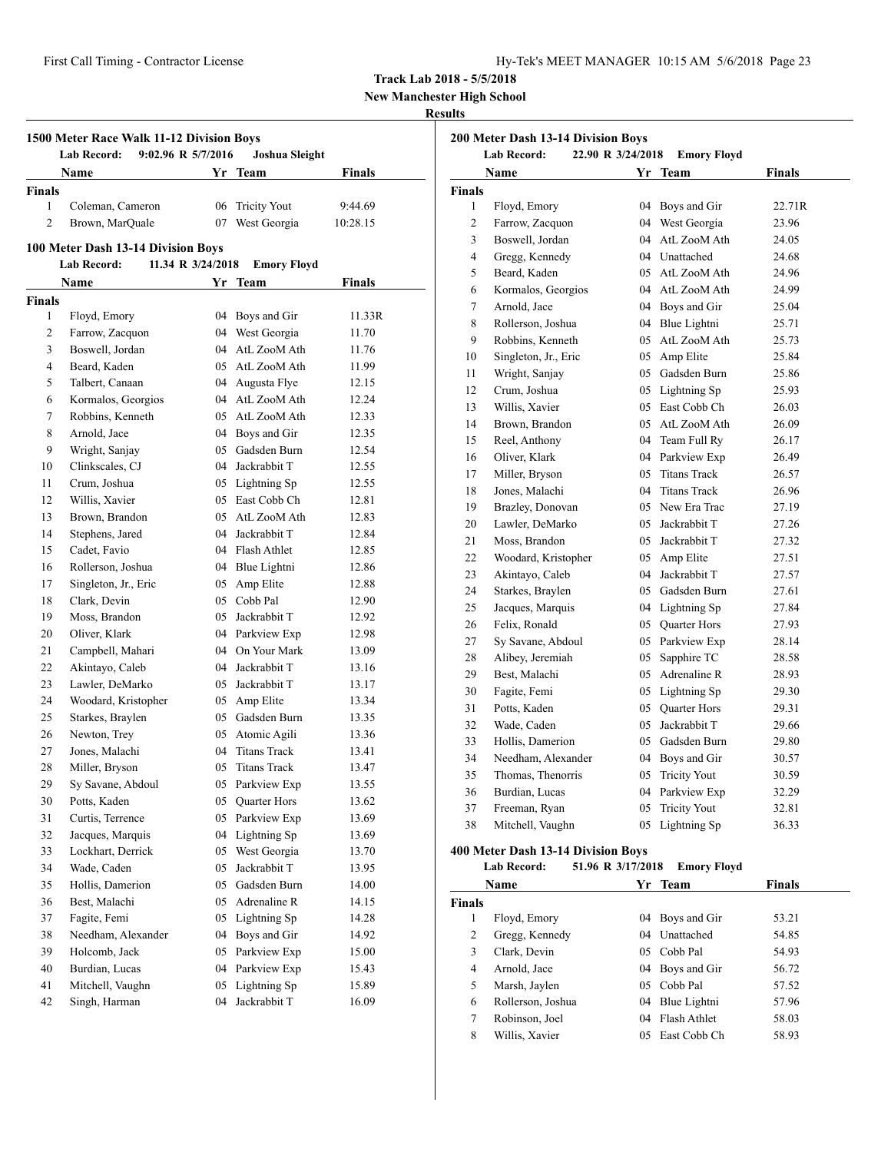| Hy-Tek's MEET MANAGER 10:15 AM 5/6/2018 Page 23 |
|-------------------------------------------------|
|-------------------------------------------------|

**New Manchester High School**

## **Results**

| 9:02.96 R 5/7/2016<br>Lab Record:<br>Joshua Sleight |                                      |                   |                                    |               |  |
|-----------------------------------------------------|--------------------------------------|-------------------|------------------------------------|---------------|--|
|                                                     | Name                                 |                   | Yr Team                            | <b>Finals</b> |  |
| Finals                                              |                                      |                   |                                    |               |  |
| 1                                                   | Coleman, Cameron                     | 06                | <b>Tricity Yout</b>                | 9:44.69       |  |
| $\overline{2}$                                      | Brown, MarQuale                      | 07                | West Georgia                       | 10:28.15      |  |
|                                                     | 100 Meter Dash 13-14 Division Boys   |                   |                                    |               |  |
|                                                     | <b>Lab Record:</b>                   | 11.34 R 3/24/2018 | <b>Emory Floyd</b>                 |               |  |
|                                                     | Name                                 |                   | Yr Team                            | Finals        |  |
| Finals                                              |                                      |                   |                                    |               |  |
| 1                                                   | Floyd, Emory                         |                   | 04 Boys and Gir                    | 11.33R        |  |
| 2                                                   | Farrow, Zacquon                      |                   | 04 West Georgia                    | 11.70         |  |
| 3                                                   | Boswell, Jordan                      |                   | 04 AtL ZooM Ath                    | 11.76         |  |
| $\overline{4}$                                      | Beard, Kaden                         |                   | 05 AtL ZooM Ath                    | 11.99         |  |
| 5                                                   | Talbert, Canaan                      |                   | 04 Augusta Flye                    | 12.15         |  |
| 6                                                   | Kormalos, Georgios                   |                   | 04 AtL ZooM Ath                    | 12.24         |  |
| 7                                                   | Robbins, Kenneth                     |                   | 05 AtL ZooM Ath                    | 12.33         |  |
| 8                                                   | Arnold, Jace                         |                   | 04 Boys and Gir                    | 12.35         |  |
| 9                                                   | Wright, Sanjay                       |                   | 05 Gadsden Burn                    | 12.54         |  |
| 10                                                  | Clinkscales, CJ                      |                   | 04 Jackrabbit T                    | 12.55         |  |
| 11                                                  | Crum, Joshua                         |                   | 05 Lightning Sp                    | 12.55         |  |
| 12                                                  | Willis, Xavier                       |                   | 05 East Cobb Ch                    | 12.81         |  |
| 13                                                  | Brown, Brandon                       |                   | 05 AtL ZooM Ath                    | 12.83         |  |
| 14                                                  | Stephens, Jared                      |                   | 04 Jackrabbit T                    | 12.84         |  |
| 15                                                  | Cadet, Favio                         |                   | 04 Flash Athlet                    | 12.85         |  |
| 16                                                  | Rollerson, Joshua                    |                   |                                    | 12.86         |  |
| 17                                                  |                                      |                   | 04 Blue Lightni<br>05 Amp Elite    |               |  |
| 18                                                  | Singleton, Jr., Eric<br>Clark, Devin |                   | 05 Cobb Pal                        | 12.88         |  |
|                                                     |                                      |                   |                                    | 12.90         |  |
| 19                                                  | Moss, Brandon                        |                   | 05 Jackrabbit T                    | 12.92         |  |
| 20                                                  | Oliver, Klark                        |                   | 04 Parkview Exp<br>04 On Your Mark | 12.98         |  |
| 21                                                  | Campbell, Mahari                     |                   |                                    | 13.09         |  |
| 22                                                  | Akintayo, Caleb                      |                   | 04 Jackrabbit T                    | 13.16         |  |
| 23                                                  | Lawler, DeMarko                      |                   | 05 Jackrabbit T                    | 13.17         |  |
| 24                                                  | Woodard, Kristopher                  |                   | 05 Amp Elite                       | 13.34         |  |
| 25                                                  | Starkes, Braylen                     |                   | 05 Gadsden Burn                    | 13.35         |  |
| 26                                                  | Newton, Trey                         |                   | 05 Atomic Agili                    | 13.36         |  |
| 27                                                  | Jones, Malachi                       |                   | 04 Titans Track                    | 13.41         |  |
| 28                                                  | Miller, Bryson                       | 05                | <b>Titans Track</b>                | 13.47         |  |
| 29                                                  | Sy Savane, Abdoul                    | 05                | Parkview Exp                       | 13.55         |  |
| 30                                                  | Potts, Kaden                         | 05                | Quarter Hors                       | 13.62         |  |
| 31                                                  | Curtis, Terrence                     | 05                | Parkview Exp                       | 13.69         |  |
| 32                                                  | Jacques, Marquis                     | 04                | Lightning Sp                       | 13.69         |  |
| 33                                                  | Lockhart, Derrick                    | 05                | West Georgia                       | 13.70         |  |
| 34                                                  | Wade, Caden                          | 05                | Jackrabbit T                       | 13.95         |  |
| 35                                                  | Hollis, Damerion                     | 05                | Gadsden Burn                       | 14.00         |  |
| 36                                                  | Best, Malachi                        | 05                | Adrenaline R                       | 14.15         |  |
| 37                                                  | Fagite, Femi                         | 05                | Lightning Sp                       | 14.28         |  |
| 38                                                  | Needham, Alexander                   | 04                | Boys and Gir                       | 14.92         |  |
| 39                                                  | Holcomb, Jack                        | 05                | Parkview Exp                       | 15.00         |  |
| 40                                                  | Burdian, Lucas                       | 04                | Parkview Exp                       | 15.43         |  |
| 41                                                  | Mitchell, Vaughn                     | 05                | Lightning Sp                       | 15.89         |  |
| 42                                                  | Singh, Harman                        | 04                | Jackrabbit T                       | 16.09         |  |

| 22.90 R 3/24/2018<br><b>Lab Record:</b><br><b>Emory Floyd</b> |                      |    |                     |        |  |  |
|---------------------------------------------------------------|----------------------|----|---------------------|--------|--|--|
| Finals<br>Name<br>Yr Team                                     |                      |    |                     |        |  |  |
| <b>Finals</b>                                                 |                      |    |                     |        |  |  |
| $\mathbf{1}$                                                  | Floyd, Emory         | 04 | Boys and Gir        | 22.71R |  |  |
| $\overline{2}$                                                | Farrow, Zacquon      | 04 | West Georgia        | 23.96  |  |  |
| 3                                                             | Boswell, Jordan      | 04 | AtL ZooM Ath        | 24.05  |  |  |
| $\overline{4}$                                                | Gregg, Kennedy       |    | 04 Unattached       | 24.68  |  |  |
| 5                                                             | Beard, Kaden         |    | 05 AtL ZooM Ath     | 24.96  |  |  |
| 6                                                             | Kormalos, Georgios   |    | 04 AtL ZooM Ath     | 24.99  |  |  |
| 7                                                             | Arnold, Jace         | 04 | Boys and Gir        | 25.04  |  |  |
| 8                                                             | Rollerson, Joshua    | 04 | Blue Lightni        | 25.71  |  |  |
| 9                                                             | Robbins, Kenneth     | 05 | AtL ZooM Ath        | 25.73  |  |  |
| 10                                                            | Singleton, Jr., Eric | 05 | Amp Elite           | 25.84  |  |  |
| 11                                                            | Wright, Sanjay       | 05 | Gadsden Burn        | 25.86  |  |  |
| 12                                                            | Crum, Joshua         | 05 | Lightning Sp        | 25.93  |  |  |
| 13                                                            | Willis, Xavier       |    | 05 East Cobb Ch     | 26.03  |  |  |
| 14                                                            | Brown, Brandon       | 05 | AtL ZooM Ath        | 26.09  |  |  |
| 15                                                            | Reel, Anthony        | 04 | Team Full Ry        | 26.17  |  |  |
| 16                                                            | Oliver, Klark        | 04 | Parkview Exp        | 26.49  |  |  |
| 17                                                            | Miller, Bryson       | 05 | <b>Titans Track</b> | 26.57  |  |  |
| 18                                                            | Jones, Malachi       | 04 | <b>Titans Track</b> | 26.96  |  |  |
| 19                                                            | Brazley, Donovan     | 05 | New Era Trac        | 27.19  |  |  |
| 20                                                            | Lawler, DeMarko      | 05 | Jackrabbit T        | 27.26  |  |  |
| 21                                                            | Moss, Brandon        | 05 | Jackrabbit T        | 27.32  |  |  |
| 22                                                            | Woodard, Kristopher  | 05 | Amp Elite           | 27.51  |  |  |
| 23                                                            | Akintayo, Caleb      | 04 | Jackrabbit T        | 27.57  |  |  |
| 24                                                            | Starkes, Braylen     | 05 | Gadsden Burn        | 27.61  |  |  |
| 25                                                            | Jacques, Marquis     | 04 | Lightning Sp        | 27.84  |  |  |
| 26                                                            | Felix, Ronald        | 05 | Quarter Hors        | 27.93  |  |  |
| 27                                                            | Sy Savane, Abdoul    | 05 | Parkview Exp        | 28.14  |  |  |
| 28                                                            | Alibey, Jeremiah     | 05 | Sapphire TC         | 28.58  |  |  |
| 29                                                            | Best, Malachi        | 05 | Adrenaline R        | 28.93  |  |  |
| 30                                                            | Fagite, Femi         |    | 05 Lightning Sp     | 29.30  |  |  |
| 31                                                            | Potts, Kaden         | 05 | Quarter Hors        | 29.31  |  |  |
| 32                                                            | Wade, Caden          | 05 | Jackrabbit T        | 29.66  |  |  |
| 33                                                            | Hollis, Damerion     | 05 | Gadsden Burn        | 29.80  |  |  |
| 34                                                            | Needham, Alexander   | 04 | Boys and Gir        | 30.57  |  |  |
| 35                                                            | Thomas, Thenorris    | 05 | <b>Tricity Yout</b> | 30.59  |  |  |
| 36                                                            | Burdian, Lucas       | 04 | Parkview Exp        | 32.29  |  |  |
| 37                                                            | Freeman, Ryan        | 05 | <b>Tricity Yout</b> | 32.81  |  |  |
| 38                                                            | Mitchell, Vaughn     | 05 | Lightning Sp        | 36.33  |  |  |

## **400 Meter Dash 13-14 Division Boys**

**Lab Record: 51.96 R 3/17/2018 Emory Floyd**

|               | Name              |    | Yr Team         | <b>Finals</b> |
|---------------|-------------------|----|-----------------|---------------|
| <b>Finals</b> |                   |    |                 |               |
|               | Floyd, Emory      |    | 04 Boys and Gir | 53.21         |
| 2             | Gregg, Kennedy    | 04 | Unattached      | 54.85         |
| 3             | Clark, Devin      |    | 05 Cobb Pal     | 54.93         |
| 4             | Arnold, Jace      |    | 04 Boys and Gir | 56.72         |
| 5             | Marsh, Jaylen     |    | 05 Cobb Pal     | 57.52         |
| 6             | Rollerson, Joshua | 04 | Blue Lightni    | 57.96         |
| 7             | Robinson, Joel    | 04 | Flash Athlet    | 58.03         |
| 8             | Willis, Xavier    | 05 | East Cobb Ch    | 58.93         |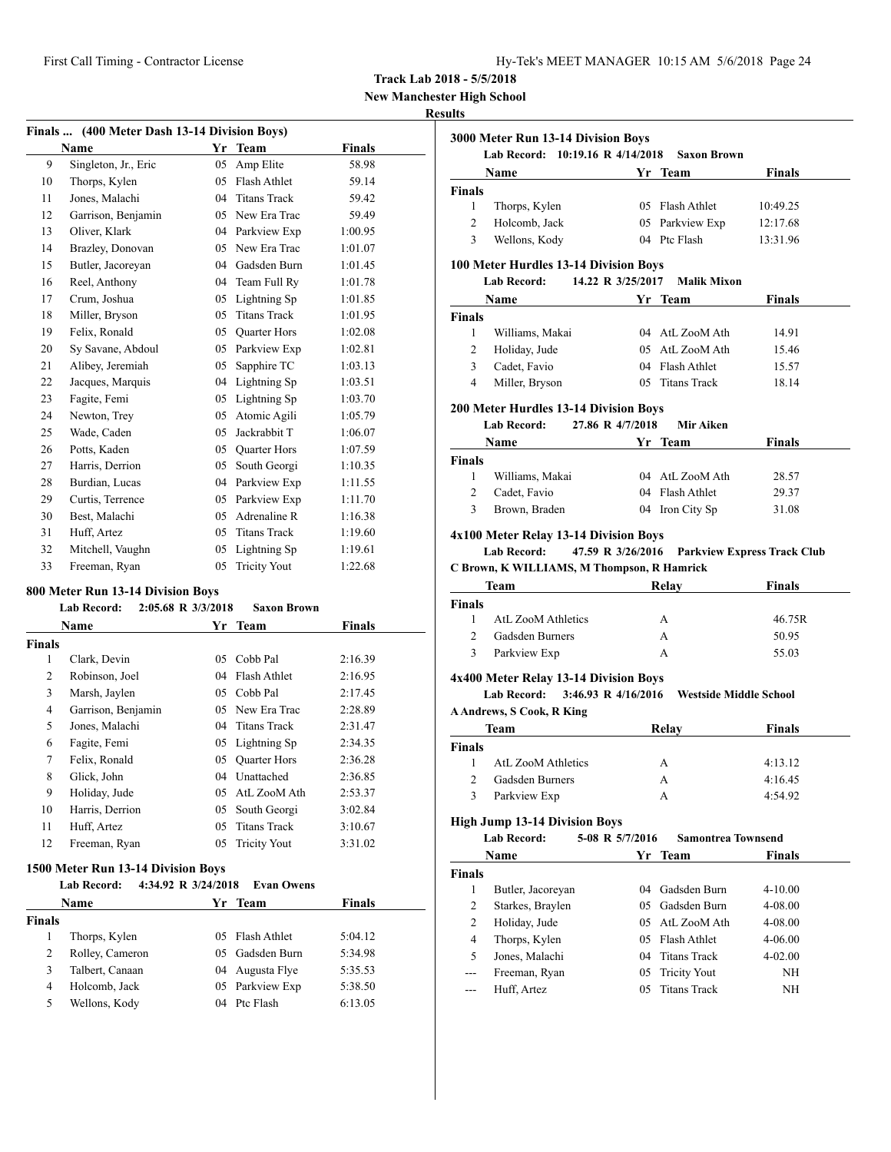**New Manchester High School**

# **Results**

|    | Finals  (400 Meter Dash 13-14 Division Boys) |    |                     |               |  |  |
|----|----------------------------------------------|----|---------------------|---------------|--|--|
|    | Name                                         |    | Yr Team             | <b>Finals</b> |  |  |
| 9  | Singleton, Jr., Eric                         | 05 | Amp Elite           | 58.98         |  |  |
| 10 | Thorps, Kylen                                | 05 | Flash Athlet        | 59.14         |  |  |
| 11 | Jones, Malachi                               | 04 | <b>Titans Track</b> | 59.42         |  |  |
| 12 | Garrison, Benjamin                           | 05 | New Era Trac        | 59.49         |  |  |
| 13 | Oliver, Klark                                | 04 | Parkview Exp        | 1:00.95       |  |  |
| 14 | Brazley, Donovan                             | 05 | New Era Trac        | 1:01.07       |  |  |
| 15 | Butler, Jacoreyan                            | 04 | Gadsden Burn        | 1:01.45       |  |  |
| 16 | Reel, Anthony                                | 04 | Team Full Ry        | 1:01.78       |  |  |
| 17 | Crum, Joshua                                 | 05 | Lightning Sp        | 1:01.85       |  |  |
| 18 | Miller, Bryson                               | 05 | <b>Titans Track</b> | 1:01.95       |  |  |
| 19 | Felix, Ronald                                | 05 | <b>Quarter Hors</b> | 1:02.08       |  |  |
| 20 | Sy Savane, Abdoul                            | 05 | Parkview Exp        | 1:02.81       |  |  |
| 21 | Alibey, Jeremiah                             | 05 | Sapphire TC         | 1:03.13       |  |  |
| 22 | Jacques, Marquis                             | 04 | Lightning Sp        | 1:03.51       |  |  |
| 23 | Fagite, Femi                                 | 05 | Lightning Sp        | 1:03.70       |  |  |
| 24 | Newton, Trey                                 | 05 | Atomic Agili        | 1:05.79       |  |  |
| 25 | Wade, Caden                                  | 05 | Jackrabbit T        | 1:06.07       |  |  |
| 26 | Potts, Kaden                                 | 05 | <b>Ouarter Hors</b> | 1:07.59       |  |  |
| 27 | Harris, Derrion                              | 05 | South Georgi        | 1:10.35       |  |  |
| 28 | Burdian, Lucas                               | 04 | Parkview Exp        | 1:11.55       |  |  |
| 29 | Curtis, Terrence                             | 05 | Parkview Exp        | 1:11.70       |  |  |
| 30 | Best, Malachi                                | 05 | Adrenaline R        | 1:16.38       |  |  |
| 31 | Huff, Artez                                  | 05 | <b>Titans Track</b> | 1:19.60       |  |  |
| 32 | Mitchell, Vaughn                             | 05 | Lightning Sp        | 1:19.61       |  |  |
| 33 | Freeman, Ryan                                | 05 | <b>Tricity Yout</b> | 1:22.68       |  |  |

## **800 Meter Run 13-14 Division Boys**

|        | <b>Lab Record:</b> | 2:05.68 R 3/3/2018 | <b>Saxon Brown</b>  |               |  |
|--------|--------------------|--------------------|---------------------|---------------|--|
|        | Name               |                    | Yr Team             | <b>Finals</b> |  |
| Finals |                    |                    |                     |               |  |
| 1      | Clark, Devin       | 05                 | Cobb Pal            | 2:16.39       |  |
| 2      | Robinson, Joel     | 04                 | Flash Athlet        | 2:16.95       |  |
| 3      | Marsh, Jaylen      | 05.                | Cobb Pal            | 2:17.45       |  |
| 4      | Garrison, Benjamin |                    | 05 New Era Trac     | 2:28.89       |  |
| 5      | Jones, Malachi     | 04                 | <b>Titans Track</b> | 2:31.47       |  |
| 6      | Fagite, Femi       |                    | 05 Lightning Sp     | 2:34.35       |  |
| 7      | Felix, Ronald      | 05                 | <b>Quarter Hors</b> | 2:36.28       |  |
| 8      | Glick, John        | 04                 | Unattached          | 2:36.85       |  |
| 9      | Holiday, Jude      | 05                 | AtL ZooM Ath        | 2:53.37       |  |
| 10     | Harris, Derrion    | 05                 | South Georgi        | 3:02.84       |  |
| 11     | Huff, Artez        | 05                 | <b>Titans Track</b> | 3:10.67       |  |
| 12     | Freeman, Ryan      | 05                 | <b>Tricity Yout</b> | 3:31.02       |  |
|        |                    |                    |                     |               |  |

#### **1500 Meter Run 13-14 Division Boys**

| Lab Record: | 4:34.92 R 3/24/2018 Evan Owens |        |
|-------------|--------------------------------|--------|
| <b>Name</b> | Yr Team                        | Finals |
| Finals      |                                |        |

|   | Thorps, Kylen   | 05 Flash Athlet | 5:04.12 |
|---|-----------------|-----------------|---------|
|   | Rolley, Cameron | 05 Gadsden Burn | 5:34.98 |
| 3 | Talbert, Canaan | 04 Augusta Flye | 5:35.53 |
|   | Holcomb, Jack   | 05 Parkview Exp | 5:38.50 |
|   | Wellons, Kody   | 04 Ptc Flash    | 6:13.05 |

|                               | <b>Name</b>                                  |                   | Yr Team                      | <b>Finals</b>                      |
|-------------------------------|----------------------------------------------|-------------------|------------------------------|------------------------------------|
| <b>Finals</b>                 |                                              |                   |                              |                                    |
| 1                             | Thorps, Kylen                                |                   | 05 Flash Athlet              | 10:49.25                           |
| $\overline{2}$                | Holcomb, Jack                                |                   | 05 Parkview Exp              | 12:17.68                           |
| 3                             | Wellons, Kody                                |                   | 04 Ptc Flash                 | 13:31.96                           |
|                               | 100 Meter Hurdles 13-14 Division Boys        |                   |                              |                                    |
|                               | Lab Record:                                  | 14.22 R 3/25/2017 | <b>Malik Mixon</b>           |                                    |
|                               | <b>Name</b>                                  |                   | Yr Team                      | <b>Finals</b>                      |
| <b>Finals</b>                 |                                              |                   |                              |                                    |
| $1 \quad$                     | Williams, Makai                              |                   | 04 AtL ZooM Ath              | 14.91                              |
| $\overline{2}$                | Holiday, Jude                                |                   | 05 AtL ZooM Ath              | 15.46                              |
| 3 <sup>7</sup>                | Cadet, Favio                                 |                   | 04 Flash Athlet              | 15.57                              |
| 4                             | Miller, Bryson                               |                   | 05 Titans Track              | 18.14                              |
|                               | <b>200 Meter Hurdles 13-14 Division Boys</b> |                   |                              |                                    |
|                               | <b>Lab Record:</b><br>Name                   | 27.86 R 4/7/2018  | Mir Aiken<br>Yr Team         | <b>Finals</b>                      |
| <b>Finals</b>                 |                                              |                   |                              |                                    |
| $\mathbf{1}$                  | Williams, Makai                              |                   | 04 AtL ZooM Ath              | 28.57                              |
| $\overline{2}$                | Cadet, Favio                                 |                   | 04 Flash Athlet              | 29.37                              |
| 3                             | Brown, Braden                                |                   | 04 Iron City Sp              | 31.08                              |
|                               | 4x100 Meter Relay 13-14 Division Boys        |                   |                              |                                    |
|                               | <b>Lab Record:</b>                           | 47.59 R 3/26/2016 |                              | <b>Parkview Express Track Club</b> |
|                               | C Brown, K WILLIAMS, M Thompson, R Hamrick   |                   |                              |                                    |
|                               | <b>Team</b>                                  |                   | Relay                        | <b>Finals</b>                      |
| <b>Finals</b>                 |                                              |                   |                              |                                    |
| $\mathbf{1}$                  | AtL ZooM Athletics                           |                   | $\mathsf{A}$                 | 46.75R                             |
| $\overline{2}$<br>$3^{\circ}$ | <b>Gadsden Burners</b><br>Parkview Exp       |                   | $\mathsf{A}$<br>$\mathsf{A}$ | 50.95<br>55.03                     |

|               | <b>A Andrews, S Cook, R King</b> |       |               |  |
|---------------|----------------------------------|-------|---------------|--|
|               | Team                             | Relav | <b>Finals</b> |  |
| <b>Finals</b> |                                  |       |               |  |
|               | AtL ZooM Athletics               | А     | 4:13.12       |  |
|               | Gadsden Burners                  | А     | 4:16.45       |  |
|               | Parkview Exp                     |       | 4:54.92       |  |

#### **High Jump 13-14 Division Boys**

|               | <b>Lab Record:</b> | 5-08 R 5/7/2016 | <b>Samontrea Townsend</b> |               |  |
|---------------|--------------------|-----------------|---------------------------|---------------|--|
|               | <b>Name</b>        | Yr              | Team                      | <b>Finals</b> |  |
| <b>Finals</b> |                    |                 |                           |               |  |
| 1             | Butler, Jacoreyan  | 04              | Gadsden Burn              | $4 - 10.00$   |  |
| 2             | Starkes, Braylen   |                 | 05 Gadsden Burn           | 4-08.00       |  |
| 2             | Holiday, Jude      |                 | 05 AtL ZooM Ath           | 4-08.00       |  |
| 4             | Thorps, Kylen      | 05              | Flash Athlet              | $4 - 06.00$   |  |
| 5             | Jones, Malachi     | 04              | <b>Titans Track</b>       | $4 - 02.00$   |  |
| $---$         | Freeman, Ryan      |                 | 05 Tricity Yout           | ΝH            |  |
|               | Huff, Artez        | $0.5^{\circ}$   | <b>Titans Track</b>       | ΝH            |  |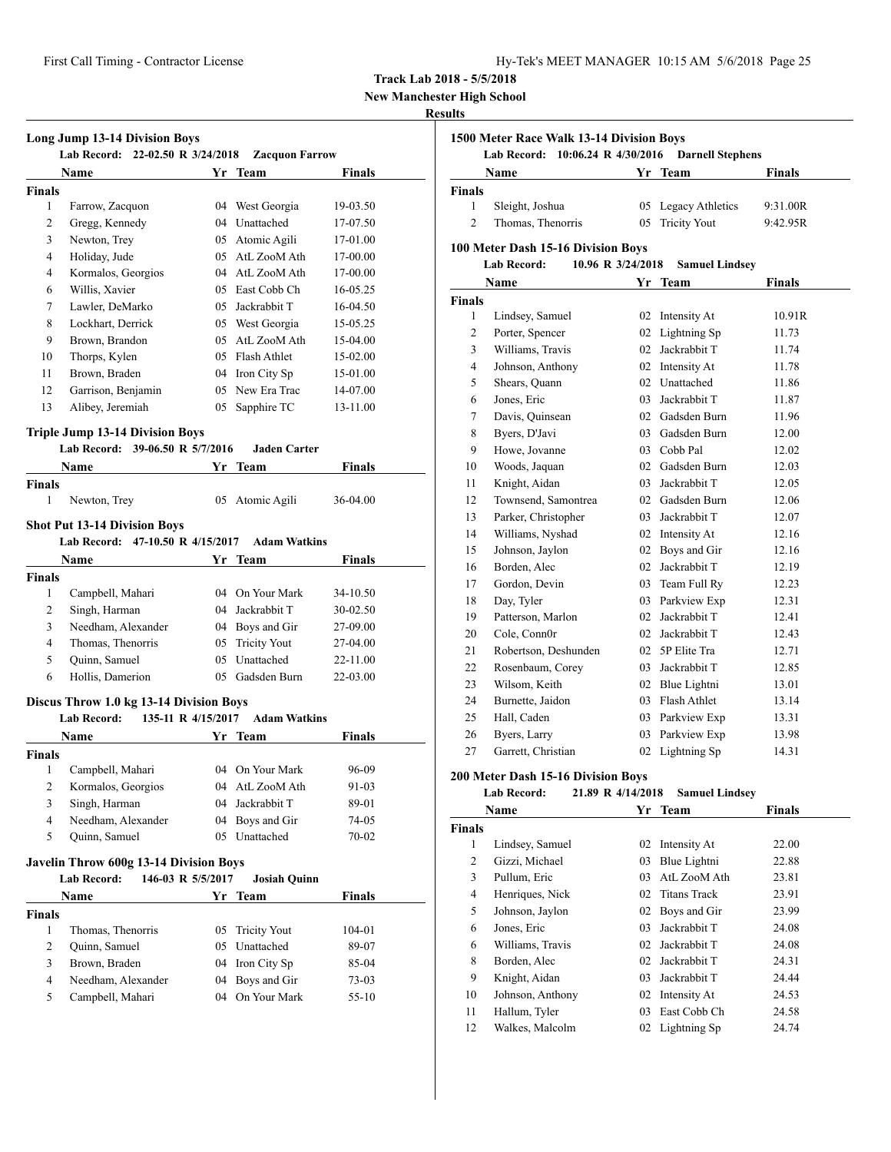**New Manchester High School**

#### **Results**

|                               | Name                                                                              |          | Yr Team                      | Finals         |
|-------------------------------|-----------------------------------------------------------------------------------|----------|------------------------------|----------------|
| <b>Finals</b>                 |                                                                                   |          |                              |                |
| 1                             | Farrow, Zacquon                                                                   |          | 04 West Georgia              | 19-03.50       |
| 2                             | Gregg, Kennedy                                                                    |          | 04 Unattached                | 17-07.50       |
| 3                             | Newton, Trey                                                                      |          | 05 Atomic Agili              | 17-01.00       |
| $\overline{4}$                | Holiday, Jude                                                                     | 05       | AtL ZooM Ath                 | 17-00.00       |
| 4                             | Kormalos, Georgios                                                                | 04       | AtL ZooM Ath                 | 17-00.00       |
| 6                             | Willis, Xavier                                                                    |          | 05 East Cobb Ch              | 16-05.25       |
| 7                             | Lawler, DeMarko                                                                   | 05       | Jackrabbit T                 | 16-04.50       |
| 8                             | Lockhart, Derrick                                                                 |          | 05 West Georgia              | 15-05.25       |
| 9                             | Brown, Brandon                                                                    |          | 05 AtL ZooM Ath              | 15-04.00       |
| 10                            | Thorps, Kylen                                                                     |          | 05 Flash Athlet              | 15-02.00       |
| 11                            | Brown, Braden                                                                     |          | 04 Iron City Sp              | 15-01.00       |
| 12                            | Garrison, Benjamin                                                                |          | 05 New Era Trac              |                |
|                               |                                                                                   |          |                              | 14-07.00       |
| 13                            | Alibey, Jeremiah                                                                  |          | 05 Sapphire TC               | 13-11.00       |
|                               | <b>Triple Jump 13-14 Division Boys</b>                                            |          |                              |                |
|                               | Lab Record: 39-06.50 R 5/7/2016                                                   |          | <b>Jaden Carter</b>          |                |
|                               | Name                                                                              |          | Yr Team                      | Finals         |
| <b>Finals</b>                 |                                                                                   |          |                              |                |
| 1                             | Newton, Trey                                                                      |          | 05 Atomic Agili              | 36-04.00       |
|                               | <b>Shot Put 13-14 Division Boys</b>                                               |          |                              |                |
|                               | Lab Record: 47-10.50 R 4/15/2017                                                  |          | <b>Adam Watkins</b>          |                |
|                               | <b>Name</b>                                                                       |          | Yr Team                      | <b>Finals</b>  |
| <b>Finals</b>                 |                                                                                   |          |                              |                |
| 1                             | Campbell, Mahari                                                                  |          | 04 On Your Mark              | 34-10.50       |
| 2                             | Singh, Harman                                                                     |          | 04 Jackrabbit T              | 30-02.50       |
| 3                             | Needham, Alexander                                                                |          | 04 Boys and Gir              | 27-09.00       |
|                               | Thomas, Thenorris                                                                 |          | <b>Tricity Yout</b>          | 27-04.00       |
|                               |                                                                                   |          |                              |                |
| $\overline{4}$                |                                                                                   | 05       |                              |                |
| 5                             | Quinn, Samuel                                                                     | 05       | Unattached                   | 22-11.00       |
| 6                             | Hollis, Damerion                                                                  |          | 05 Gadsden Burn              | 22-03.00       |
|                               | Discus Throw 1.0 kg 13-14 Division Boys                                           |          |                              |                |
|                               | <b>Lab Record:</b><br>135-11 R 4/15/2017                                          |          | <b>Adam Watkins</b>          |                |
|                               | <b>Name</b>                                                                       |          | Yr Team                      | Finals         |
|                               |                                                                                   |          |                              |                |
| 1                             | Campbell, Mahari                                                                  |          | 04 On Your Mark              | 96-09          |
| <b>Finals</b><br>2            | Kormalos, Georgios                                                                | 04       | AtL ZooM Ath                 | 91-03          |
| 3                             | Singh, Harman                                                                     | 04       | Jackrabbit T                 | 89-01          |
| 4                             | Needham, Alexander                                                                | 04       | Boys and Gir                 | 74-05          |
| 5                             | Quinn, Samuel                                                                     | 05       | Unattached                   | 70-02          |
|                               |                                                                                   |          |                              |                |
|                               | Javelin Throw 600g 13-14 Division Boys<br><b>Lab Record:</b><br>146-03 R 5/5/2017 |          | <b>Josiah Quinn</b>          |                |
|                               | Name                                                                              |          | Yr Team                      | Finals         |
|                               |                                                                                   |          |                              |                |
| 1                             | Thomas, Thenorris                                                                 | 05       | <b>Tricity Yout</b>          | 104-01         |
|                               |                                                                                   | 05       | Unattached                   |                |
| <b>Finals</b><br>$\mathbf{2}$ | Quinn, Samuel                                                                     |          |                              | 89-07          |
| 3<br>4                        | Brown, Braden<br>Needham, Alexander                                               | 04<br>04 | Iron City Sp<br>Boys and Gir | 85-04<br>73-03 |

| 1500 Meter Race Walk 13-14 Division Boys |                                                                               |          |                                    |                |  |  |
|------------------------------------------|-------------------------------------------------------------------------------|----------|------------------------------------|----------------|--|--|
|                                          | <b>Lab Record:</b><br>10:06.24 R 4/30/2016<br>Name                            |          | <b>Darnell Stephens</b><br>Yr Team | Finals         |  |  |
| <b>Finals</b>                            |                                                                               |          |                                    |                |  |  |
| 1                                        | Sleight, Joshua                                                               | 05       | Legacy Athletics                   | 9:31.00R       |  |  |
| $\overline{c}$                           | Thomas, Thenorris                                                             | 05       | <b>Tricity Yout</b>                | 9:42.95R       |  |  |
|                                          |                                                                               |          |                                    |                |  |  |
|                                          | 100 Meter Dash 15-16 Division Boys<br><b>Lab Record:</b><br>10.96 R 3/24/2018 |          |                                    |                |  |  |
|                                          |                                                                               |          | <b>Samuel Lindsey</b>              |                |  |  |
|                                          | Name                                                                          | Yr       | <b>Team</b>                        | <b>Finals</b>  |  |  |
| <b>Finals</b>                            |                                                                               |          |                                    |                |  |  |
| 1                                        | Lindsey, Samuel                                                               | 02       | Intensity At                       | 10.91R         |  |  |
| 2<br>3                                   | Porter, Spencer                                                               | 02<br>02 | Lightning Sp<br>Jackrabbit T       | 11.73          |  |  |
|                                          | Williams, Travis                                                              |          |                                    | 11.74          |  |  |
| 4                                        | Johnson, Anthony                                                              | 02       | Intensity At<br>Unattached         | 11.78          |  |  |
| 5<br>6                                   | Shears, Quann<br>Jones, Eric                                                  | 02<br>03 | Jackrabbit T                       | 11.86<br>11.87 |  |  |
|                                          |                                                                               |          | 02 Gadsden Burn                    |                |  |  |
| 7                                        | Davis, Quinsean                                                               |          |                                    | 11.96          |  |  |
| 8                                        | Byers, D'Javi                                                                 | 03       | Gadsden Burn                       | 12.00          |  |  |
| 9                                        | Howe, Jovanne                                                                 | 03       | Cobb Pal                           | 12.02          |  |  |
| 10                                       | Woods, Jaquan                                                                 | 03       | 02 Gadsden Burn                    | 12.03          |  |  |
| 11<br>12                                 | Knight, Aidan                                                                 | 02       | Jackrabbit T<br>Gadsden Burn       | 12.05<br>12.06 |  |  |
| 13                                       | Townsend, Samontrea                                                           | 03       | Jackrabbit T                       | 12.07          |  |  |
|                                          | Parker, Christopher                                                           |          |                                    |                |  |  |
| 14<br>15                                 | Williams, Nyshad                                                              | 02<br>02 | Intensity At                       | 12.16<br>12.16 |  |  |
| 16                                       | Johnson, Jaylon<br>Borden, Alec                                               | 02       | Boys and Gir<br>Jackrabbit T       |                |  |  |
| 17                                       | Gordon, Devin                                                                 | 03       | Team Full Ry                       | 12.19<br>12.23 |  |  |
| 18                                       | Day, Tyler                                                                    | 03       | Parkview Exp                       | 12.31          |  |  |
| 19                                       | Patterson, Marlon                                                             | 02       | Jackrabbit T                       | 12.41          |  |  |
| 20                                       | Cole, Conn0r                                                                  | 02       | Jackrabbit T                       | 12.43          |  |  |
| 21                                       | Robertson, Deshunden                                                          | 02       | 5P Elite Tra                       | 12.71          |  |  |
| 22                                       | Rosenbaum, Corey                                                              | 03       | Jackrabbit T                       | 12.85          |  |  |
| 23                                       | Wilsom, Keith                                                                 | 02       | Blue Lightni                       | 13.01          |  |  |
| 24                                       | Burnette, Jaidon                                                              | 03       | Flash Athlet                       | 13.14          |  |  |
| 25                                       | Hall, Caden                                                                   | 03       | Parkview Exp                       | 13.31          |  |  |
| 26                                       | Byers, Larry                                                                  | 03       | Parkview Exp                       | 13.98          |  |  |
| 27                                       | Garrett, Christian                                                            | 02       | Lightning Sp                       | 14.31          |  |  |
|                                          |                                                                               |          |                                    |                |  |  |

## **200 Meter Dash 15-16 Division Boys**

## **Lab Record: 21.89 R 4/14/2018 Samuel Lindsey**

|               | Name             | Yr              | <b>Team</b>     | <b>Finals</b> |  |
|---------------|------------------|-----------------|-----------------|---------------|--|
| <b>Finals</b> |                  |                 |                 |               |  |
| 1             | Lindsey, Samuel  | 02              | Intensity At    | 22.00         |  |
| 2             | Gizzi, Michael   | 03              | Blue Lightni    | 22.88         |  |
| 3             | Pullum, Eric     | 03              | AtL ZooM Ath    | 23.81         |  |
| 4             | Henriques, Nick  |                 | 02 Titans Track | 23.91         |  |
| 5             | Johnson, Jaylon  | 02              | Boys and Gir    | 23.99         |  |
| 6             | Jones, Eric      | 03              | Jackrabbit T    | 24.08         |  |
| 6             | Williams, Travis | 02              | Jackrabbit T    | 24.08         |  |
| 8             | Borden, Alec     | 02 <sup>2</sup> | Jackrabbit T    | 24.31         |  |
| 9             | Knight, Aidan    | 03              | Jackrabbit T    | 24.44         |  |
| 10            | Johnson, Anthony | 02              | Intensity At    | 24.53         |  |
| 11            | Hallum, Tyler    | 03              | East Cobb Ch    | 24.58         |  |
| 12            | Walkes, Malcolm  | 02              | Lightning Sp    | 24.74         |  |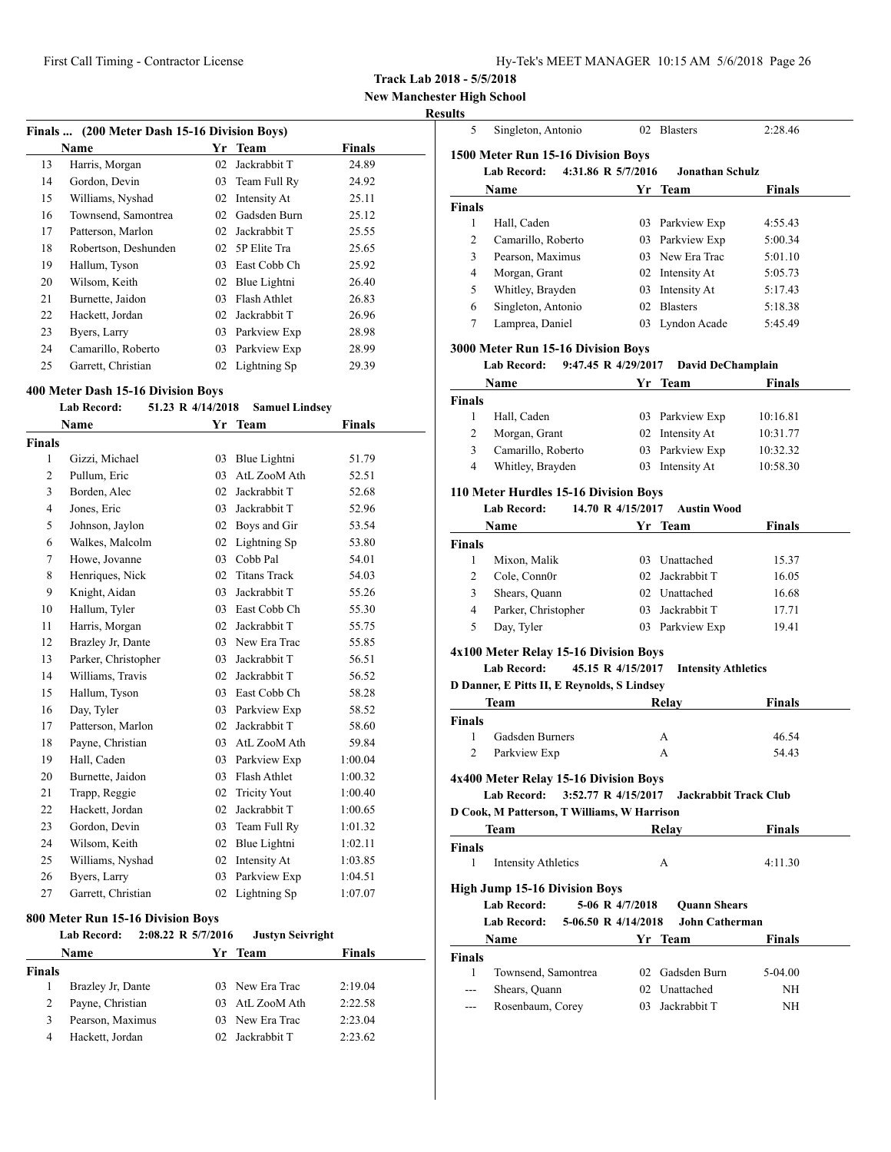|  |  |  | Hy-Tek's MEET MANAGER 10:15 AM 5/6/2018 Page 26 |  |  |  |
|--|--|--|-------------------------------------------------|--|--|--|
|--|--|--|-------------------------------------------------|--|--|--|

Singleton, Antonio 02 Blasters 2:28.46

**Track Lab 2018 - 5/5/2018**

**New Manchester High School**

#### **Results**

| (200 Meter Dash 15-16 Division Boys)<br>Finals |                      |    |              |        |  |
|------------------------------------------------|----------------------|----|--------------|--------|--|
|                                                | Name                 | Yr | Team         | Finals |  |
| 13                                             | Harris, Morgan       | 02 | Jackrabbit T | 24.89  |  |
| 14                                             | Gordon, Devin        | 03 | Team Full Ry | 24.92  |  |
| 15                                             | Williams, Nyshad     | 02 | Intensity At | 25.11  |  |
| 16                                             | Townsend, Samontrea  | 02 | Gadsden Burn | 25.12  |  |
| 17                                             | Patterson, Marlon    | 02 | Jackrabbit T | 25.55  |  |
| 18                                             | Robertson, Deshunden | 02 | 5P Elite Tra | 25.65  |  |
| 19                                             | Hallum, Tyson        | 03 | East Cobb Ch | 25.92  |  |
| 20                                             | Wilsom, Keith        | 02 | Blue Lightni | 26.40  |  |
| 21                                             | Burnette, Jaidon     | 03 | Flash Athlet | 26.83  |  |
| 22                                             | Hackett, Jordan      | 02 | Jackrabbit T | 26.96  |  |
| 23                                             | Byers, Larry         | 03 | Parkview Exp | 28.98  |  |
| 24                                             | Camarillo, Roberto   | 03 | Parkview Exp | 28.99  |  |
| 25                                             | Garrett, Christian   | 02 | Lightning Sp | 29.39  |  |

#### **400 Meter Dash 15-16 Division Boys**

|                | Lab Record:         | 51.23 R 4/14/2018 | <b>Samuel Lindsey</b> |         |
|----------------|---------------------|-------------------|-----------------------|---------|
|                | Name                |                   | Yr Team               | Finals  |
| <b>Finals</b>  |                     |                   |                       |         |
| $\mathbf{1}$   | Gizzi, Michael      | 03                | Blue Lightni          | 51.79   |
| 2              | Pullum, Eric        | 03                | AtL ZooM Ath          | 52.51   |
| 3              | Borden, Alec        | 02                | Jackrabbit T          | 52.68   |
| $\overline{4}$ | Jones, Eric         | 03                | Jackrabbit T          | 52.96   |
| 5              | Johnson, Jaylon     | 02                | Boys and Gir          | 53.54   |
| 6              | Walkes, Malcolm     | 02                | Lightning Sp          | 53.80   |
| 7              | Howe, Jovanne       | 03                | Cobb Pal              | 54.01   |
| 8              | Henriques, Nick     | 02                | <b>Titans Track</b>   | 54.03   |
| 9              | Knight, Aidan       | 03                | Jackrabbit T          | 55.26   |
| 10             | Hallum, Tyler       | 03                | East Cobb Ch          | 55.30   |
| 11             | Harris, Morgan      | 02                | Jackrabbit T          | 55.75   |
| 12             | Brazley Jr, Dante   | 03                | New Era Trac          | 55.85   |
| 13             | Parker, Christopher | 03                | Jackrabbit T          | 56.51   |
| 14             | Williams, Travis    | 02                | Jackrabbit T          | 56.52   |
| 15             | Hallum, Tyson       | 03                | East Cobb Ch          | 58.28   |
| 16             | Day, Tyler          | 03                | Parkview Exp          | 58.52   |
| 17             | Patterson, Marlon   | 02                | Jackrabbit T          | 58.60   |
| 18             | Payne, Christian    | 03                | AtL ZooM Ath          | 59.84   |
| 19             | Hall, Caden         | 03                | Parkview Exp          | 1:00.04 |
| 20             | Burnette, Jaidon    | 03                | Flash Athlet          | 1:00.32 |
| 21             | Trapp, Reggie       | 02                | <b>Tricity Yout</b>   | 1:00.40 |
| 22             | Hackett, Jordan     | 02                | Jackrabbit T          | 1:00.65 |
| 23             | Gordon, Devin       | 03                | Team Full Ry          | 1:01.32 |
| 24             | Wilsom, Keith       | 02                | Blue Lightni          | 1:02.11 |
| 25             | Williams, Nyshad    | 02                | Intensity At          | 1:03.85 |
| 26             | Byers, Larry        | 03                | Parkview Exp          | 1:04.51 |
| 27             | Garrett, Christian  | 02                | Lightning Sp          | 1:07.07 |

# **800 Meter Run 15-16 Division Boys**

|               | <b>Lab Record:</b> | $2:08.22$ R $5/7/2016$ | <b>Justyn Seivright</b> |               |
|---------------|--------------------|------------------------|-------------------------|---------------|
|               | Name               |                        | Yr Team                 | <b>Finals</b> |
| <b>Finals</b> |                    |                        |                         |               |
|               | Brazley Jr, Dante  |                        | 03 New Era Trac         | 2:19.04       |
| 2             | Payne, Christian   |                        | 03 AtL ZooM Ath         | 2:22.58       |
| 3             | Pearson, Maximus   |                        | 03 New Era Trac         | 2:23.04       |
| 4             | Hackett, Jordan    |                        | 02 Jackrabbit T         | 2:23.62       |

|                    | 1500 Meter Run 15-16 Division Boys                    |                 |                            |                |
|--------------------|-------------------------------------------------------|-----------------|----------------------------|----------------|
|                    | 4:31.86 R 5/7/2016<br><b>Lab Record:</b>              |                 | <b>Jonathan Schulz</b>     |                |
|                    | Name                                                  |                 | Yr Team                    | Finals         |
| Finals             |                                                       |                 |                            |                |
| 1                  | Hall, Caden                                           |                 | 03 Parkview Exp            | 4:55.43        |
| 2                  | Camarillo, Roberto                                    |                 | 03 Parkview Exp            | 5:00.34        |
| 3                  | Pearson, Maximus                                      |                 | 03 New Era Trac            | 5:01.10        |
| 4                  | Morgan, Grant                                         |                 | 02 Intensity At            | 5:05.73        |
| 5                  | Whitley, Brayden                                      |                 | 03 Intensity At            | 5:17.43        |
| 6                  | Singleton, Antonio                                    |                 | 02 Blasters                | 5:18.38        |
| 7                  | Lamprea, Daniel                                       |                 | 03 Lyndon Acade            | 5:45.49        |
|                    | 3000 Meter Run 15-16 Division Boys                    |                 |                            |                |
|                    | Lab Record:<br>9:47.45 R 4/29/2017                    |                 | David DeChamplain          |                |
|                    | Name                                                  |                 | Yr Team                    | Finals         |
| Finals             |                                                       |                 |                            |                |
| 1                  | Hall, Caden                                           |                 | 03 Parkview Exp            | 10:16.81       |
| 2                  | Morgan, Grant                                         |                 | 02 Intensity At            | 10:31.77       |
| 3                  | Camarillo, Roberto                                    |                 | 03 Parkview Exp            | 10:32.32       |
| 4                  | Whitley, Brayden                                      |                 | 03 Intensity At            | 10:58.30       |
|                    | 110 Meter Hurdles 15-16 Division Boys                 |                 |                            |                |
|                    | 14.70 R 4/15/2017<br><b>Lab Record:</b>               |                 | <b>Austin Wood</b>         |                |
|                    |                                                       |                 | Yr Team                    |                |
|                    | <b>Name</b>                                           |                 |                            | Finals         |
| <b>Finals</b><br>1 |                                                       |                 | 03 Unattached              |                |
| 2                  | Mixon, Malik<br>Cole, Conn0r                          |                 | 02 Jackrabbit T            | 15.37<br>16.05 |
|                    |                                                       |                 |                            |                |
| 3                  | Shears, Quann                                         |                 | 02 Unattached              | 16.68          |
| 4                  | Parker, Christopher                                   |                 | 03 Jackrabbit T            | 17.71          |
| 5                  | Day, Tyler                                            |                 | 03 Parkview Exp            | 19.41          |
|                    | 4x100 Meter Relay 15-16 Division Boys                 |                 |                            |                |
|                    | 45.15 R 4/15/2017<br><b>Lab Record:</b>               |                 | <b>Intensity Athletics</b> |                |
|                    | D Danner, E Pitts II, E Reynolds, S Lindsey           |                 |                            |                |
|                    | Team                                                  |                 | Relay                      | <b>Finals</b>  |
| <b>Finals</b>      |                                                       |                 |                            |                |
| 1                  | Gadsden Burners                                       |                 | А                          | 46.54          |
| 2                  | Parkview Exp                                          |                 | A                          | 54.43          |
|                    | 4x400 Meter Relay 15-16 Division Boys                 |                 |                            |                |
|                    | Lab Record: 3:52.77 R 4/15/2017 Jackrabbit Track Club |                 |                            |                |
|                    | D Cook, M Patterson, T Williams, W Harrison           |                 |                            |                |
|                    | Team                                                  |                 | Relav                      | Finals         |
| Finals             |                                                       |                 |                            |                |
| 1                  | <b>Intensity Athletics</b>                            |                 | А                          | 4:11.30        |
|                    |                                                       |                 |                            |                |
|                    | <b>High Jump 15-16 Division Boys</b>                  |                 |                            |                |
|                    | <b>Lab Record:</b>                                    | 5-06 R 4/7/2018 | <b>Ouann Shears</b>        |                |
|                    | 5-06.50 R 4/14/2018<br><b>Lab Record:</b>             |                 | John Catherman             |                |
|                    | Name                                                  |                 | Yr Team                    | Finals         |
| Finals             |                                                       |                 |                            |                |
| 1                  | Townsend, Samontrea                                   |                 | 02 Gadsden Burn            | 5-04.00        |
| ---                | Shears, Quann                                         |                 | 02 Unattached              | NH             |
|                    | Rosenbaum, Corey                                      |                 | 03 Jackrabbit T            | NH             |
|                    |                                                       |                 |                            |                |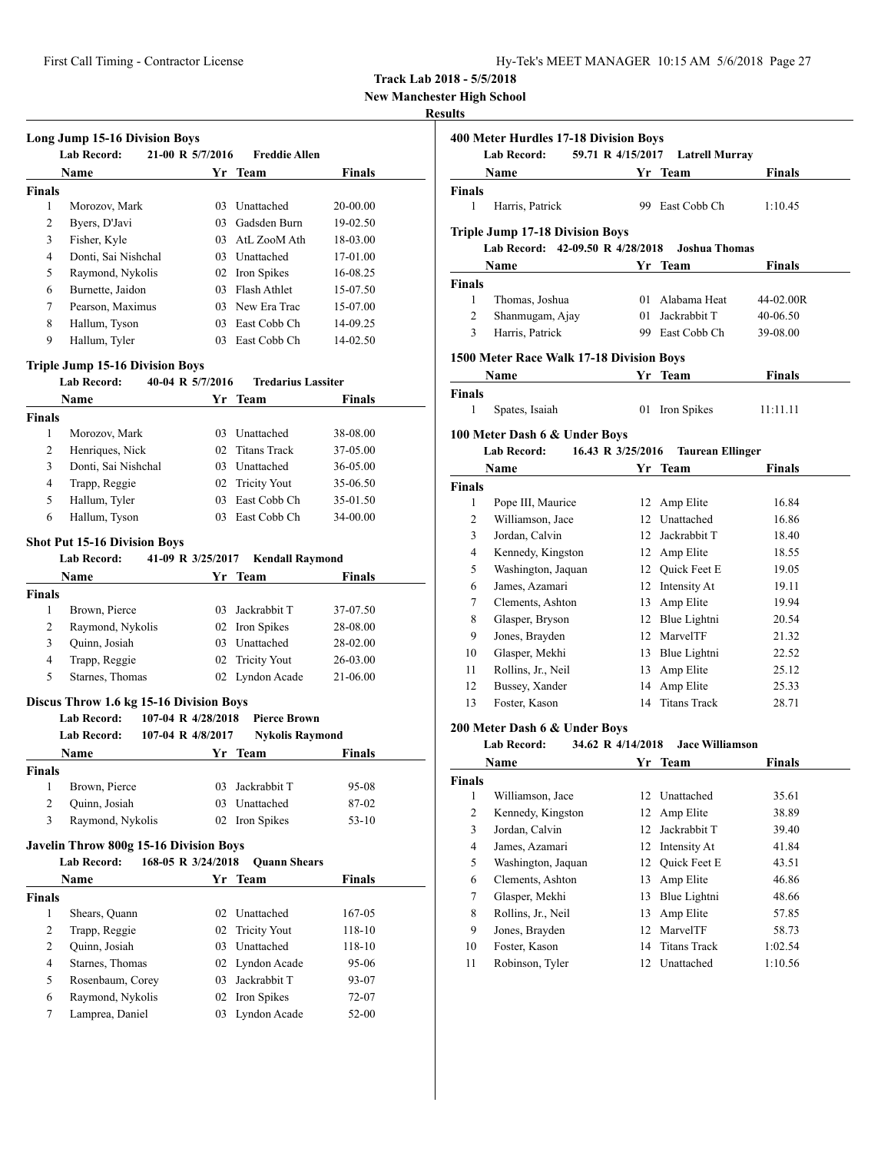| Hy-Tek's MEET MANAGER 10:15 AM 5/6/2018 Page 27 |  |  |  |
|-------------------------------------------------|--|--|--|
|-------------------------------------------------|--|--|--|

**New Manchester High School**

## **Results**

|                               | <b>Lab Record:</b>                      |                    | 21-00 R 5/7/2016 | <b>Freddie Allen</b>           |                  |
|-------------------------------|-----------------------------------------|--------------------|------------------|--------------------------------|------------------|
|                               | <b>Name</b>                             |                    |                  | Yr Team                        | <b>Finals</b>    |
| <b>Finals</b>                 |                                         |                    |                  |                                |                  |
| 1                             | Morozov, Mark                           |                    |                  | 03 Unattached                  | 20-00.00         |
| 2                             | Byers, D'Javi                           |                    |                  | 03 Gadsden Burn                | 19-02.50         |
| 3                             | Fisher, Kyle                            |                    |                  | 03 AtL ZooM Ath                | 18-03.00         |
| $\overline{4}$                | Donti, Sai Nishchal                     |                    |                  | 03 Unattached                  | 17-01.00         |
| 5                             | Raymond, Nykolis                        |                    |                  | 02 Iron Spikes                 | 16-08.25         |
| 6                             | Burnette, Jaidon                        |                    |                  | 03 Flash Athlet                | 15-07.50         |
| 7                             | Pearson, Maximus                        |                    |                  | 03 New Era Trac                | 15-07.00         |
| 8                             | Hallum, Tyson                           |                    |                  | 03 East Cobb Ch                | 14-09.25         |
| 9                             | Hallum, Tyler                           |                    |                  | 03 East Cobb Ch                | 14-02.50         |
|                               | <b>Triple Jump 15-16 Division Boys</b>  |                    |                  |                                |                  |
|                               | <b>Lab Record:</b>                      | 40-04 R 5/7/2016   |                  | <b>Tredarius Lassiter</b>      |                  |
|                               | <b>Name</b>                             |                    |                  | Yr Team                        | Finals           |
| <b>Finals</b>                 |                                         |                    |                  |                                |                  |
| 1                             | Morozov, Mark                           |                    |                  | 03 Unattached                  | 38-08.00         |
| 2                             | Henriques, Nick                         |                    |                  | 02 Titans Track                | 37-05.00         |
| 3                             | Donti, Sai Nishchal                     |                    |                  | 03 Unattached                  | 36-05.00         |
| $\overline{4}$                | Trapp, Reggie                           |                    |                  | 02 Tricity Yout                | 35-06.50         |
| 5                             | Hallum, Tyler                           |                    |                  | 03 East Cobb Ch                | 35-01.50         |
| 6                             | Hallum, Tyson                           |                    |                  | 03 East Cobb Ch                | 34-00.00         |
|                               | <b>Lab Record:</b><br><b>Name</b>       | 41-09 R 3/25/2017  | Yr               | <b>Kendall Raymond</b><br>Team | <b>Finals</b>    |
| <b>Finals</b>                 |                                         |                    |                  |                                |                  |
| 1                             | Brown, Pierce                           |                    |                  | 03 Jackrabbit T                | 37-07.50         |
| 2                             | Raymond, Nykolis                        |                    |                  | 02 Iron Spikes                 | 28-08.00         |
| 3                             | Quinn, Josiah                           |                    |                  | 03 Unattached                  | 28-02.00         |
| 4                             | Trapp, Reggie                           |                    | 02               | <b>Tricity Yout</b>            | 26-03.00         |
| 5                             | Starnes, Thomas                         |                    |                  | 02 Lyndon Acade                | 21-06.00         |
|                               | Discus Throw 1.6 kg 15-16 Division Boys |                    |                  |                                |                  |
|                               | Lab Record:                             | 107-04 R 4/28/2018 |                  | <b>Pierce Brown</b>            |                  |
|                               | <b>Lab Record:</b>                      | 107-04 R 4/8/2017  |                  | <b>Nykolis Raymond</b>         |                  |
|                               |                                         |                    |                  |                                | Finals           |
|                               | Name                                    |                    | Yr               | <b>Team</b>                    |                  |
|                               |                                         |                    |                  |                                |                  |
| Finals<br>1                   | Brown, Pierce                           |                    |                  | 03 Jackrabbit T                | 95-08            |
| $\overline{c}$                | Quinn, Josiah                           |                    |                  | 03 Unattached                  | 87-02            |
| 3                             | Raymond, Nykolis                        |                    |                  | 02 Iron Spikes                 | $53-10$          |
|                               |                                         |                    |                  |                                |                  |
|                               | Javelin Throw 800g 15-16 Division Boys  |                    |                  |                                |                  |
|                               | <b>Lab Record:</b>                      | 168-05 R 3/24/2018 |                  | <b>Quann Shears</b>            |                  |
|                               | <b>Name</b>                             |                    |                  | Yr Team                        | <b>Finals</b>    |
| <b>Finals</b><br>$\mathbf{1}$ | Shears, Quann                           |                    | 02               | Unattached                     | 167-05           |
| 2                             | Trapp, Reggie                           |                    | 02               | <b>Tricity Yout</b>            |                  |
| 2                             | Quinn, Josiah                           |                    | 03               | Unattached                     | 118-10<br>118-10 |

5 Rosenbaum, Corey 03 Jackrabbit T 93-07 6 Raymond, Nykolis 02 Iron Spikes 72-07 7 Lamprea, Daniel 03 Lyndon Acade 52-00

|                | 400 Meter Hurdles 17-18 Division Boys<br><b>Lab Record:</b> | 59.71 R 4/15/2017 | <b>Latrell Murray</b>   |               |
|----------------|-------------------------------------------------------------|-------------------|-------------------------|---------------|
|                | Name                                                        |                   | Yr Team                 | Finals        |
| Finals         |                                                             |                   |                         |               |
| 1              | Harris, Patrick                                             |                   | 99 East Cobb Ch         | 1:10.45       |
|                | <b>Triple Jump 17-18 Division Boys</b>                      |                   |                         |               |
|                | Lab Record: 42-09.50 R 4/28/2018                            |                   | <b>Joshua Thomas</b>    |               |
|                | Name                                                        |                   | Yr Team                 | Finals        |
| Finals         |                                                             |                   |                         |               |
| 1              | Thomas, Joshua                                              |                   | 01 Alabama Heat         | 44-02.00R     |
| $\overline{2}$ | Shanmugam, Ajay                                             |                   | 01 Jackrabbit T         | 40-06.50      |
| 3              | Harris, Patrick                                             |                   | 99 East Cobb Ch         | 39-08.00      |
|                | 1500 Meter Race Walk 17-18 Division Boys                    |                   |                         |               |
|                | Name                                                        |                   | Yr Team                 | <b>Finals</b> |
| <b>Finals</b>  |                                                             |                   |                         |               |
| 1              | Spates, Isaiah                                              |                   | 01 Iron Spikes          | 11:11.11      |
|                | 100 Meter Dash 6 & Under Boys                               |                   |                         |               |
|                | Lab Record:                                                 | 16.43 R 3/25/2016 | <b>Taurean Ellinger</b> |               |
|                | Name                                                        |                   | Yr Team                 | Finals        |
| Finals         |                                                             |                   |                         |               |
| 1              | Pope III, Maurice                                           |                   | 12 Amp Elite            | 16.84         |
| 2              | Williamson, Jace                                            |                   | 12 Unattached           | 16.86         |
| 3              | Jordan, Calvin                                              |                   | 12 Jackrabbit T         | 18.40         |
| 4              | Kennedy, Kingston                                           |                   | 12 Amp Elite            | 18.55         |
| 5              | Washington, Jaquan                                          |                   | 12 Quick Feet E         | 19.05         |
| 6              | James, Azamari                                              |                   | 12 Intensity At         | 19.11         |
| 7              | Clements, Ashton                                            |                   | 13 Amp Elite            | 19.94         |
| 8              | Glasper, Bryson                                             |                   | 12 Blue Lightni         | 20.54         |
| 9              | Jones, Brayden                                              |                   | 12 MarvelTF             | 21.32         |
| 10             | Glasper, Mekhi                                              |                   | 13 Blue Lightni         | 22.52         |
| 11             | Rollins, Jr., Neil                                          |                   | 13 Amp Elite            | 25.12         |
| 12             | Bussey, Xander                                              |                   | 14 Amp Elite            | 25.33         |
| 13             | Foster, Kason                                               |                   | 14 Titans Track         | 28.71         |
|                | 200 Meter Dash 6 & Under Boys                               |                   |                         |               |
|                | <b>Lab Record:</b>                                          | 34.62 R 4/14/2018 | <b>Jace Williamson</b>  |               |
|                | Name                                                        | Yr                | Team                    | Finals        |
| Finals         |                                                             |                   |                         |               |
| 1              | Williamson, Jace                                            |                   | 12 Unattached           | 35.61         |
| $\overline{c}$ | Kennedy, Kingston                                           | 12                | Amp Elite               | 38.89         |
| 3              | Jordan, Calvin                                              | 12                | Jackrabbit T            | 39.40         |
| 4              | James, Azamari                                              | 12                | Intensity At            | 41.84         |
| 5              | Washington, Jaquan                                          | 12                | Quick Feet E            | 43.51         |
| 6              | Clements, Ashton                                            | 13                | Amp Elite               | 46.86         |
| 7              | Glasper, Mekhi                                              | 13                | Blue Lightni            | 48.66         |
|                | Rollins, Jr., Neil                                          | 13                | Amp Elite               | 57.85         |
| 8              |                                                             |                   |                         |               |
| 9              | Jones, Brayden                                              | 12                | MarvelTF                | 58.73         |
| 10             | Foster, Kason                                               | 14                | <b>Titans Track</b>     | 1:02.54       |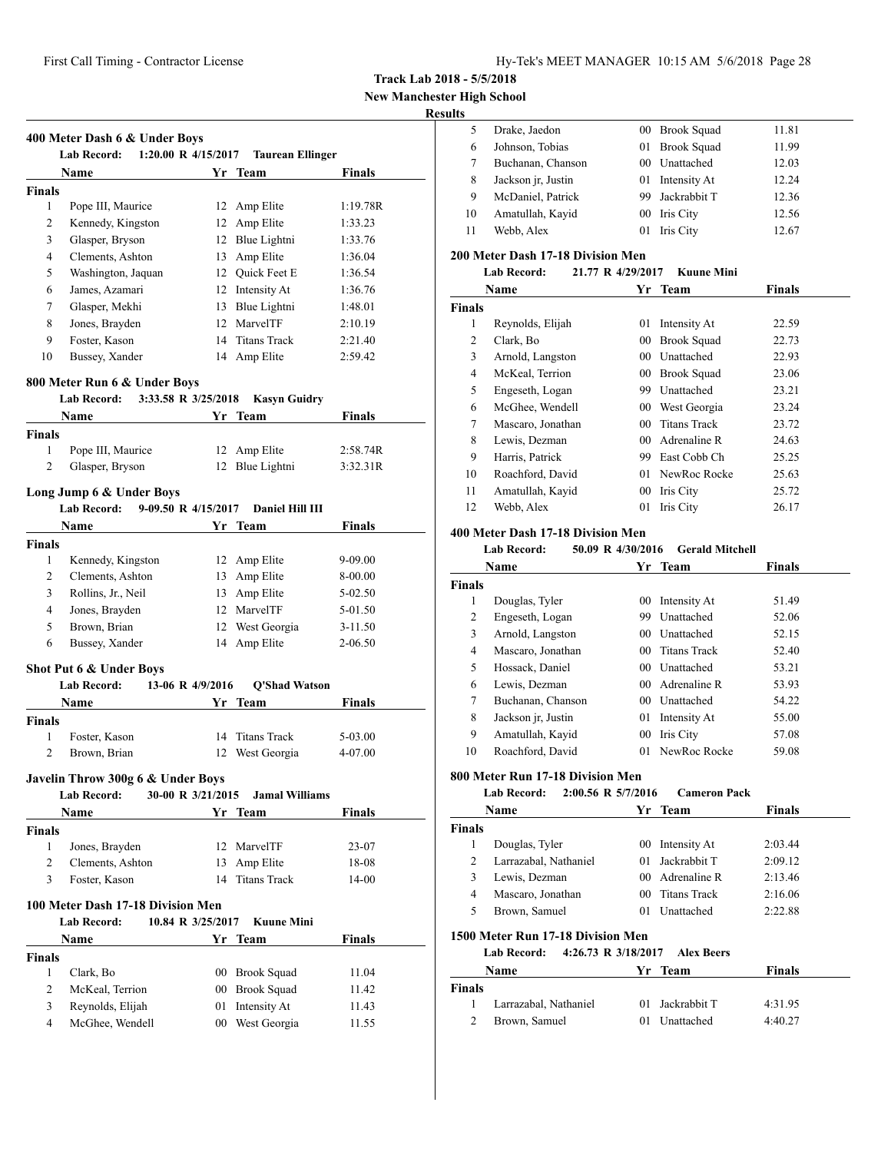**New Manchester High School**

## **Results**

|                                      | <b>Lab Record:</b><br>$1:20.00 \text{ R}$ 4/15/2017 |                   | <b>Taurean Ellinger</b>          |                |
|--------------------------------------|-----------------------------------------------------|-------------------|----------------------------------|----------------|
|                                      | <b>Name</b>                                         |                   | Yr Team                          | <b>Finals</b>  |
| <b>Finals</b>                        |                                                     |                   |                                  |                |
| 1                                    | Pope III, Maurice                                   |                   | 12 Amp Elite                     | 1:19.78R       |
| 2                                    | Kennedy, Kingston                                   |                   | 12 Amp Elite                     | 1:33.23        |
| 3                                    | Glasper, Bryson                                     |                   | 12 Blue Lightni                  | 1:33.76        |
| $\overline{4}$                       | Clements, Ashton                                    |                   | 13 Amp Elite                     | 1:36.04        |
| 5                                    | Washington, Jaquan                                  |                   | 12 Quick Feet E                  | 1:36.54        |
| 6                                    | James, Azamari                                      |                   | 12 Intensity At                  | 1:36.76        |
| 7                                    | Glasper, Mekhi                                      |                   | 13 Blue Lightni                  | 1:48.01        |
| 8                                    | Jones, Brayden                                      |                   | 12 MarvelTF                      | 2:10.19        |
| 9                                    | Foster, Kason                                       |                   | 14 Titans Track                  | 2:21.40        |
| 10                                   | Bussey, Xander                                      |                   | 14 Amp Elite                     | 2:59.42        |
|                                      | 800 Meter Run 6 & Under Boys                        |                   |                                  |                |
|                                      | <b>Lab Record:</b><br>3:33.58 R 3/25/2018<br>Name   |                   | <b>Kasyn Guidry</b><br>Yr Team   | <b>Finals</b>  |
| <b>Finals</b>                        |                                                     |                   |                                  |                |
| 1                                    | Pope III, Maurice                                   |                   | 12 Amp Elite                     | 2:58.74R       |
| 2                                    | Glasper, Bryson                                     |                   | 12 Blue Lightni                  | 3:32.31R       |
|                                      |                                                     |                   |                                  |                |
|                                      | Long Jump 6 & Under Boys                            |                   |                                  |                |
|                                      | 9-09.50 R 4/15/2017<br><b>Lab Record:</b>           |                   | Daniel Hill III                  |                |
|                                      | Name                                                |                   | Yr Team                          | Finals         |
| <b>Finals</b>                        |                                                     |                   |                                  |                |
| 1                                    | Kennedy, Kingston                                   |                   | 12 Amp Elite                     | 9-09.00        |
| 2                                    | Clements, Ashton                                    |                   | 13 Amp Elite                     | 8-00.00        |
| 3                                    | Rollins, Jr., Neil                                  |                   | 13 Amp Elite                     | 5-02.50        |
| $\overline{4}$                       | Jones, Brayden                                      |                   | 12 MarvelTF                      | 5-01.50        |
| 5                                    | Brown, Brian                                        |                   | 12 West Georgia                  | $3 - 11.50$    |
| 6                                    | Bussey, Xander                                      |                   | 14 Amp Elite                     | 2-06.50        |
|                                      | Shot Put 6 & Under Boys                             |                   |                                  |                |
|                                      | <b>Lab Record:</b>                                  | 13-06 R 4/9/2016  | <b>Q'Shad Watson</b>             |                |
|                                      | Name                                                |                   | Yr Team                          | Finals         |
| <b>Finals</b>                        |                                                     |                   |                                  |                |
| 1                                    | Foster, Kason                                       | 14                | <b>Titans Track</b>              | 5-03.00        |
| 2                                    | Brown, Brian                                        |                   | 12 West Georgia                  | 4-07.00        |
|                                      | Javelin Throw 300g 6 & Under Boys                   |                   |                                  |                |
|                                      | <b>Lab Record:</b><br>Name                          | 30-00 R 3/21/2015 | <b>Jamal Williams</b><br>Yr Team | Finals         |
| <b>Finals</b>                        |                                                     |                   |                                  |                |
|                                      | Jones, Brayden                                      |                   | 12 MarvelTF                      | 23-07          |
|                                      |                                                     |                   | 13 Amp Elite                     | 18-08          |
| $\mathbf{1}$                         |                                                     |                   |                                  | 14-00          |
| 2                                    | Clements, Ashton                                    |                   |                                  |                |
| 3                                    | Foster, Kason                                       | 14                | <b>Titans Track</b>              |                |
|                                      | 100 Meter Dash 17-18 Division Men                   |                   |                                  |                |
|                                      | <b>Lab Record:</b>                                  | 10.84 R 3/25/2017 | <b>Kuune Mini</b>                |                |
|                                      | Name                                                |                   | Yr Team                          | <b>Finals</b>  |
|                                      |                                                     |                   |                                  |                |
| 1                                    | Clark, Bo                                           |                   | 00 Brook Squad                   | 11.04          |
| 2                                    | McKeal, Terrion                                     | $00\,$            | <b>Brook Squad</b>               | 11.42          |
| <b>Finals</b><br>3<br>$\overline{4}$ | Reynolds, Elijah<br>McGhee, Wendell                 | 01                | Intensity At<br>00 West Georgia  | 11.43<br>11.55 |

| LS |                    |                 |                 |       |
|----|--------------------|-----------------|-----------------|-------|
|    | Drake, Jaedon      |                 | 00 Brook Squad  | 11.81 |
| 6  | Johnson, Tobias    |                 | 01 Brook Squad  | 11.99 |
|    | Buchanan, Chanson  | 00 <sup>1</sup> | Unattached      | 12.03 |
| 8  | Jackson jr, Justin |                 | 01 Intensity At | 12.24 |
| 9  | McDaniel, Patrick  |                 | Jackrabbit T    | 12.36 |
| 10 | Amatullah, Kayid   | 00              | Iris City       | 12.56 |
| 11 | Webb, Alex         | 01              | Iris City       | 12.67 |
|    |                    |                 |                 |       |

#### **200 Meter Dash 17-18 Division Men**

#### **Lab Record: 21.77 R 4/29/2017 Kuune Mini**

|        | Name              |                 | Yr Team             | <b>Finals</b> |  |
|--------|-------------------|-----------------|---------------------|---------------|--|
| Finals |                   |                 |                     |               |  |
| 1      | Reynolds, Elijah  | 01              | Intensity At        | 22.59         |  |
| 2      | Clark, Bo         | 00              | <b>Brook Squad</b>  | 22.73         |  |
| 3      | Arnold, Langston  | 00              | Unattached          | 22.93         |  |
| 4      | McKeal, Terrion   | 00              | <b>Brook Squad</b>  | 23.06         |  |
| 5      | Engeseth, Logan   | 99              | Unattached          | 23.21         |  |
| 6      | McGhee, Wendell   | $00\,$          | West Georgia        | 23.24         |  |
| 7      | Mascaro, Jonathan | 00              | <b>Titans Track</b> | 23.72         |  |
| 8      | Lewis, Dezman     | 00 <sup>1</sup> | Adrenaline R        | 24.63         |  |
| 9      | Harris, Patrick   | 99              | East Cobb Ch        | 25.25         |  |
| 10     | Roachford, David  |                 | 01 NewRoc Rocke     | 25.63         |  |
| 11     | Amatullah, Kayid  | 00              | Iris City           | 25.72         |  |
| 12     | Webb, Alex        | 01              | Iris City           | 26.17         |  |

#### **400 Meter Dash 17-18 Division Men**

## **Lab Record: 50.09 R 4/30/2016 Gerald Mitchell**

| Name          |                    |                 | Yr Team             | <b>Finals</b> |  |
|---------------|--------------------|-----------------|---------------------|---------------|--|
| <b>Finals</b> |                    |                 |                     |               |  |
| 1             | Douglas, Tyler     | 00              | Intensity At        | 51.49         |  |
| 2             | Engeseth, Logan    | 99              | Unattached          | 52.06         |  |
| 3             | Arnold, Langston   | 00              | Unattached          | 52.15         |  |
| 4             | Mascaro, Jonathan  | 00 <sup>1</sup> | <b>Titans Track</b> | 52.40         |  |
| 5             | Hossack, Daniel    |                 | 00 Unattached       | 53.21         |  |
| 6             | Lewis, Dezman      |                 | 00 Adrenaline R     | 53.93         |  |
| 7             | Buchanan, Chanson  | 00 <sup>1</sup> | Unattached          | 54.22         |  |
| 8             | Jackson jr, Justin | 01              | Intensity At        | 55.00         |  |
| 9             | Amatullah, Kayid   | 00              | Iris City           | 57.08         |  |
| 10            | Roachford, David   | 01              | NewRoc Rocke        | 59.08         |  |

#### **800 Meter Run 17-18 Division Men**

## **Lab Record: 2:00.56 R 5/7/2016 Cameron Pack**

| Name          |                                                                         |    | Yr Team               | <b>Finals</b> |  |
|---------------|-------------------------------------------------------------------------|----|-----------------------|---------------|--|
| <b>Finals</b> |                                                                         |    |                       |               |  |
| 1             | Douglas, Tyler                                                          |    | Intensity At          | 2:03.44       |  |
| 2             | Larrazabal, Nathaniel                                                   |    | Jackrabbit T          | 2:09.12       |  |
| 3             | Lewis, Dezman                                                           |    | Adrenaline R<br>$00-$ | 2:13.46       |  |
| 4             | Mascaro, Jonathan                                                       |    | <b>Titans Track</b>   | 2:16.06       |  |
| 5             | Brown, Samuel                                                           |    | Unattached            | 2:22.88       |  |
|               | 1500 Meter Run 17-18 Division Men<br>4:26.73 R 3/18/2017<br>Lab Record: |    | <b>Alex Beers</b>     |               |  |
| <b>Name</b>   |                                                                         | Yr | Team                  | <b>Finals</b> |  |
| <b>Finals</b> |                                                                         |    |                       |               |  |

| ınals |                       |                 |         |
|-------|-----------------------|-----------------|---------|
|       | Larrazabal, Nathaniel | 01 Jackrabbit T | 4:31.95 |
|       | Brown, Samuel         | 01 Unattached   | 4:40.27 |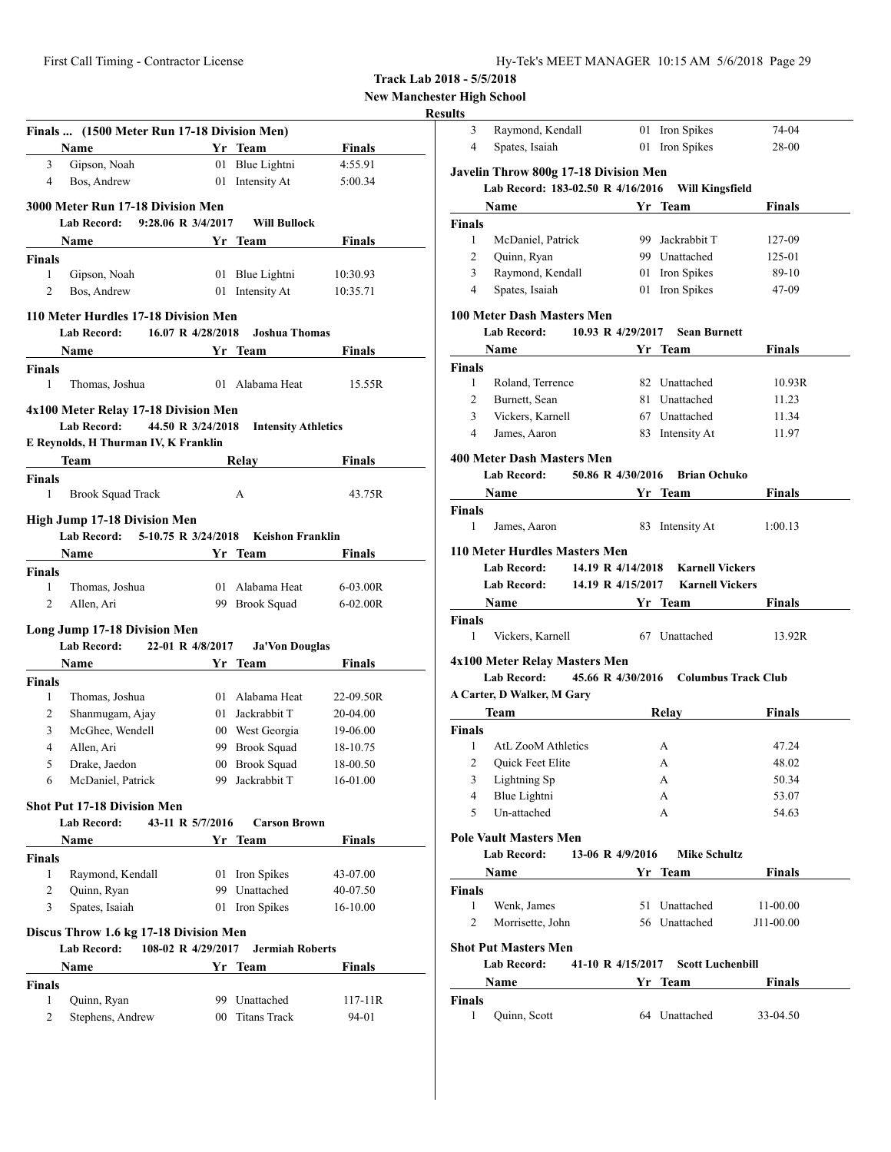**New Manchester High School**

#### **Results**

|                                     | Finals  (1500 Meter Run 17-18 Division Men) |                   |                                      |                      |
|-------------------------------------|---------------------------------------------|-------------------|--------------------------------------|----------------------|
|                                     | Name                                        |                   | Yr Team                              | <b>Finals</b>        |
| 3                                   | Gipson, Noah                                |                   | 01 Blue Lightni                      | 4:55.91              |
| 4                                   | Bos, Andrew                                 | 01                | Intensity At                         | 5:00.34              |
|                                     | 3000 Meter Run 17-18 Division Men           |                   |                                      |                      |
|                                     | Lab Record: 9:28.06 R 3/4/2017              |                   | <b>Will Bullock</b>                  |                      |
|                                     | Name                                        |                   | Yr Team                              | <b>Finals</b>        |
| <b>Finals</b>                       |                                             |                   |                                      |                      |
| 1                                   | Gipson, Noah                                |                   | 01 Blue Lightni                      | 10:30.93             |
| 2                                   | Bos, Andrew                                 |                   | 01 Intensity At                      | 10:35.71             |
|                                     | 110 Meter Hurdles 17-18 Division Men        |                   |                                      |                      |
|                                     | <b>Lab Record:</b>                          | 16.07 R 4/28/2018 | <b>Joshua Thomas</b>                 |                      |
|                                     | <b>Name</b>                                 |                   | Yr Team                              | Finals               |
| <b>Finals</b>                       |                                             |                   |                                      |                      |
| 1                                   | Thomas, Joshua                              |                   | 01 Alabama Heat                      | 15.55R               |
|                                     | 4x100 Meter Relay 17-18 Division Men        |                   |                                      |                      |
|                                     | <b>Lab Record:</b>                          | 44.50 R 3/24/2018 | <b>Intensity Athletics</b>           |                      |
|                                     | E Reynolds, H Thurman IV, K Franklin        |                   |                                      |                      |
|                                     | <b>Team</b>                                 |                   | Relay                                | Finals               |
| <b>Finals</b>                       |                                             |                   |                                      |                      |
| 1                                   | <b>Brook Squad Track</b>                    |                   | A                                    | 43.75R               |
|                                     | <b>High Jump 17-18 Division Men</b>         |                   |                                      |                      |
|                                     | <b>Lab Record:</b>                          |                   | 5-10.75 R 3/24/2018 Keishon Franklin |                      |
|                                     | <b>Name</b>                                 | Yr Team           |                                      | Finals               |
|                                     |                                             |                   |                                      |                      |
|                                     |                                             |                   |                                      |                      |
| 1                                   | Thomas, Joshua                              |                   | 01 Alabama Heat                      | $6-03.00R$           |
| $\overline{2}$                      | Allen, Ari                                  |                   | 99 Brook Squad                       | $6 - 02.00R$         |
|                                     | Long Jump 17-18 Division Men                |                   |                                      |                      |
|                                     | <b>Lab Record:</b>                          | 22-01 R 4/8/2017  | <b>Ja'Von Douglas</b>                |                      |
|                                     | Name                                        |                   | Yr Team                              | Finals               |
|                                     |                                             |                   |                                      |                      |
| 1                                   | Thomas, Joshua                              |                   | 01 Alabama Heat                      | 22-09.50R            |
| 2                                   | Shanmugam, Ajay                             |                   | 01 Jackrabbit T                      | 20-04.00             |
| <b>Finals</b><br><b>Finals</b><br>3 | McGhee, Wendell                             |                   | 00 West Georgia                      | 19-06.00             |
| $\overline{4}$<br>5                 | Allen, Ari                                  |                   | 99 Brook Squad                       | 18-10.75             |
| 6                                   | Drake, Jaedon                               |                   | 00 Brook Squad                       | 18-00.50             |
|                                     | McDaniel, Patrick                           |                   | 99 Jackrabbit T                      | 16-01.00             |
|                                     | <b>Shot Put 17-18 Division Men</b>          |                   |                                      |                      |
|                                     | Lab Record:                                 | 43-11 R 5/7/2016  | <b>Carson Brown</b>                  |                      |
|                                     | Name                                        |                   | Yr Team                              | <b>Finals</b>        |
| <b>Finals</b>                       |                                             |                   |                                      |                      |
| 1<br>2                              | Raymond, Kendall                            |                   | 01 Iron Spikes<br>99 Unattached      | 43-07.00             |
| 3                                   | Quinn, Ryan                                 |                   |                                      | 40-07.50             |
|                                     | Spates, Isaiah                              |                   | 01 Iron Spikes                       | 16-10.00             |
|                                     | Discus Throw 1.6 kg 17-18 Division Men      |                   |                                      |                      |
|                                     | <b>Lab Record:</b><br>108-02 R 4/29/2017    |                   | <b>Jermiah Roberts</b>               |                      |
|                                     | Name                                        |                   | Yr Team                              | <b>Finals</b>        |
| <b>Finals</b>                       |                                             |                   |                                      |                      |
| 1<br>2                              | Quinn, Ryan<br>Stephens, Andrew             |                   | 99 Unattached<br>00 Titans Track     | $117 - 11R$<br>94-01 |

| 3              | Raymond, Kendall                                  |                  | 01 Iron Spikes                     | 74-04                                 |
|----------------|---------------------------------------------------|------------------|------------------------------------|---------------------------------------|
| 4              | Spates, Isaiah                                    |                  | 01 Iron Spikes                     | 28-00                                 |
|                | Javelin Throw 800g 17-18 Division Men             |                  |                                    |                                       |
|                | Lab Record: 183-02.50 R 4/16/2016 Will Kingsfield |                  |                                    |                                       |
|                | Name                                              |                  | Yr Team                            | Finals                                |
| Finals         |                                                   |                  |                                    |                                       |
| 1              | McDaniel, Patrick                                 |                  | 99 Jackrabbit T                    | 127-09                                |
| 2              | Quinn, Ryan                                       |                  | 99 Unattached                      | 125-01                                |
| 3              | Raymond, Kendall                                  |                  | 01 Iron Spikes                     | 89-10                                 |
| 4              | Spates, Isaiah                                    |                  | 01 Iron Spikes                     | 47-09                                 |
|                | <b>100 Meter Dash Masters Men</b>                 |                  |                                    |                                       |
|                | <b>Lab Record:</b>                                |                  | 10.93 R 4/29/2017 Sean Burnett     |                                       |
|                | Name                                              |                  | Yr Team                            | Finals                                |
| Finals         |                                                   |                  |                                    |                                       |
| 1              | Roland, Terrence                                  |                  | 82 Unattached                      | 10.93R                                |
| 2              | Burnett, Sean                                     |                  | 81 Unattached                      | 11.23                                 |
| 3              | Vickers, Karnell                                  |                  | 67 Unattached                      | 11.34                                 |
|                |                                                   |                  |                                    |                                       |
| 4              | James, Aaron                                      |                  | 83 Intensity At                    | 11.97                                 |
|                | 400 Meter Dash Masters Men                        |                  |                                    |                                       |
|                | <b>Lab Record:</b>                                |                  | 50.86 R 4/30/2016 Brian Ochuko     |                                       |
|                | <b>Name</b>                                       |                  | Yr Team                            | Finals                                |
|                |                                                   |                  |                                    |                                       |
| Finals         |                                                   |                  |                                    |                                       |
| 1              | James, Aaron                                      |                  | 83 Intensity At                    | 1:00.13                               |
|                | 110 Meter Hurdles Masters Men                     |                  |                                    |                                       |
|                | <b>Lab Record:</b>                                |                  | 14.19 R 4/14/2018 Karnell Vickers  |                                       |
|                |                                                   |                  |                                    |                                       |
|                |                                                   |                  |                                    |                                       |
|                | <b>Lab Record:</b>                                |                  | 14.19 R 4/15/2017 Karnell Vickers  |                                       |
|                | <b>Name</b>                                       |                  | Yr Team                            | Finals                                |
| Finals         |                                                   |                  |                                    |                                       |
| 1              | Vickers, Karnell                                  |                  | 67 Unattached                      | 13.92R                                |
|                |                                                   |                  |                                    |                                       |
|                | 4x100 Meter Relay Masters Men                     |                  |                                    |                                       |
|                | <b>Lab Record:</b>                                |                  |                                    | 45.66 R 4/30/2016 Columbus Track Club |
|                | A Carter, D Walker, M Gary                        |                  |                                    |                                       |
|                | <b>Team</b>                                       |                  | Relay                              | Finals                                |
| <b>Finals</b>  |                                                   |                  |                                    |                                       |
| 1              | AtL ZooM Athletics                                |                  | A                                  | 47.24                                 |
| 2              | <b>Ouick Feet Elite</b>                           |                  | А                                  | 48.02                                 |
| $\overline{3}$ | Lightning Sp                                      |                  | A                                  | 50.34                                 |
| 4              |                                                   |                  | А                                  | 53.07                                 |
| 5              | Blue Lightni<br>Un-attached                       |                  | A                                  |                                       |
|                |                                                   |                  |                                    | 54.63                                 |
|                | <b>Pole Vault Masters Men</b>                     |                  |                                    |                                       |
|                | Lab Record:                                       | 13-06 R 4/9/2016 | <b>Mike Schultz</b>                |                                       |
|                |                                                   |                  | Yr Team                            | <b>Example 1</b> Finals               |
|                | Name                                              |                  |                                    |                                       |
| Finals<br>1    |                                                   |                  |                                    |                                       |
|                | Wenk, James                                       |                  | 51 Unattached                      | 11-00.00                              |
| 2              | Morrisette, John                                  |                  | 56 Unattached                      | J11-00.00                             |
|                | <b>Shot Put Masters Men</b>                       |                  |                                    |                                       |
|                | <b>Lab Record:</b>                                |                  | 41-10 R 4/15/2017 Scott Luchenbill |                                       |
|                |                                                   |                  |                                    |                                       |
|                | Name                                              |                  | Yr Team                            | Finals                                |
| <b>Finals</b>  |                                                   |                  |                                    |                                       |
| 1              | Quinn, Scott                                      |                  | 64 Unattached                      | 33-04.50                              |